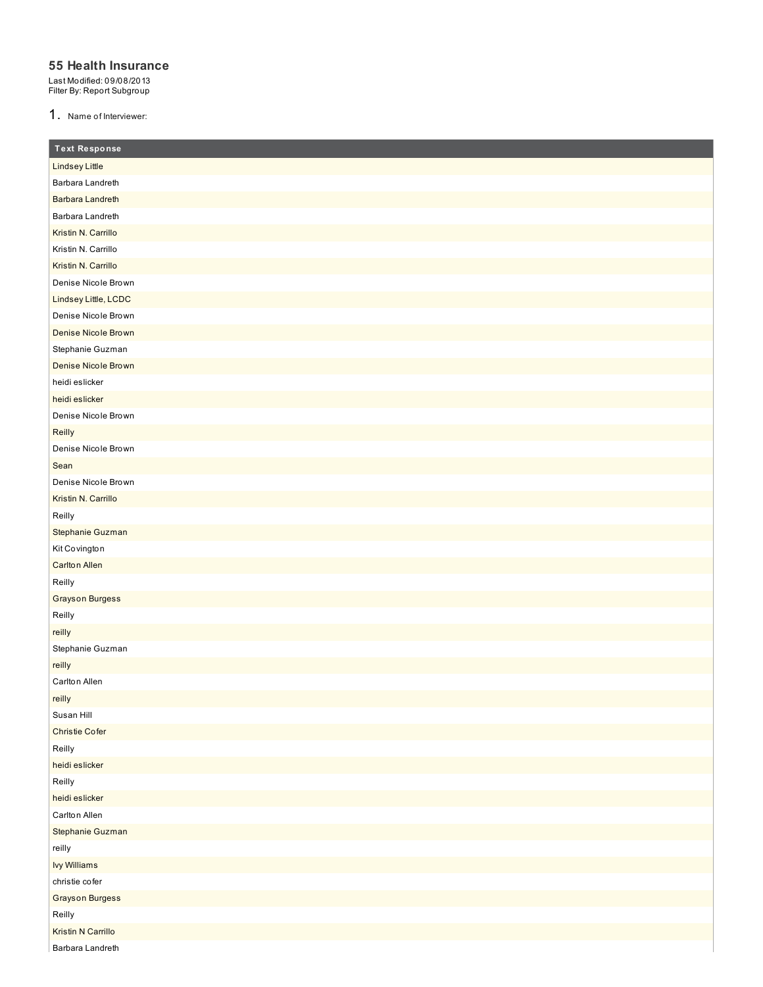### **55 Health Insurance**

Last Modified: 09/08/2013 Filter By: Report Subgroup

1. Name of Interviewer:

| <b>Text Response</b>      |
|---------------------------|
| <b>Lindsey Little</b>     |
| Barbara Landreth          |
| <b>Barbara Landreth</b>   |
| Barbara Landreth          |
| Kristin N. Carrillo       |
| Kristin N. Carrillo       |
| Kristin N. Carrillo       |
| Denise Nicole Brown       |
| Lindsey Little, LCDC      |
| Denise Nicole Brown       |
| Denise Nicole Brown       |
| Stephanie Guzman          |
| Denise Nicole Brown       |
| heidi eslicker            |
| heidi eslicker            |
| Denise Nicole Brown       |
| Reilly                    |
| Denise Nicole Brown       |
| Sean                      |
| Denise Nicole Brown       |
| Kristin N. Carrillo       |
| Reilly                    |
| Stephanie Guzman          |
| Kit Covington             |
| <b>Carlton Allen</b>      |
| Reilly                    |
| <b>Grayson Burgess</b>    |
| Reilly                    |
| reilly                    |
| Stephanie Guzman          |
| reilly                    |
| Carlton Allen             |
| reilly                    |
| Susan Hill                |
| <b>Christie Cofer</b>     |
| Reilly                    |
| heidi eslicker            |
| Reilly                    |
| heidi eslicker            |
| Carlton Allen             |
| Stephanie Guzman          |
| reilly                    |
| <b>Ivy Williams</b>       |
| christie cofer            |
| <b>Grayson Burgess</b>    |
| Reilly                    |
| <b>Kristin N Carrillo</b> |
| Barbara Landreth          |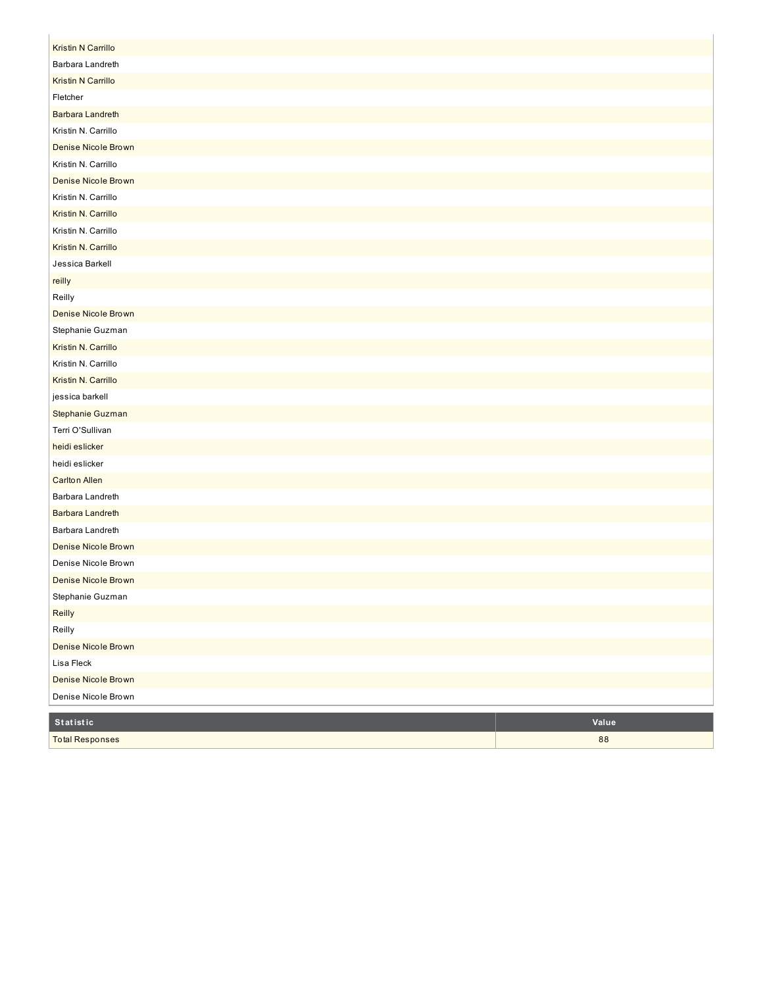| <b>Total Responses</b>                         | 88    |
|------------------------------------------------|-------|
| Statistic                                      | Value |
|                                                |       |
| Denise Nicole Brown                            |       |
| Denise Nicole Brown                            |       |
| Lisa Fleck                                     |       |
| Reilly<br>Denise Nicole Brown                  |       |
| Reilly                                         |       |
| Stephanie Guzman                               |       |
| Denise Nicole Brown                            |       |
| Denise Nicole Brown                            |       |
| Denise Nicole Brown                            |       |
| Barbara Landreth                               |       |
| Barbara Landreth                               |       |
| Barbara Landreth                               |       |
|                                                |       |
| <b>Carlton Allen</b>                           |       |
| heidi eslicker                                 |       |
| heidi eslicker                                 |       |
| Terri O'Sullivan                               |       |
| Stephanie Guzman                               |       |
| jessica barkell                                |       |
| Kristin N. Carrillo                            |       |
| Kristin N. Carrillo                            |       |
| Stephanie Guzman<br>Kristin N. Carrillo        |       |
|                                                |       |
| <b>Denise Nicole Brown</b>                     |       |
| Reilly                                         |       |
| reilly                                         |       |
| Jessica Barkell                                |       |
| Kristin N. Carrillo                            |       |
| Kristin N. Carrillo                            |       |
| Kristin N. Carrillo<br>Kristin N. Carrillo     |       |
| Denise Nicole Brown                            |       |
|                                                |       |
| Denise Nicole Brown<br>Kristin N. Carrillo     |       |
|                                                |       |
| <b>Barbara Landreth</b><br>Kristin N. Carrillo |       |
| Fletcher                                       |       |
| Kristin N Carrillo                             |       |
| Barbara Landreth                               |       |
| <b>Kristin N Carrillo</b>                      |       |
|                                                |       |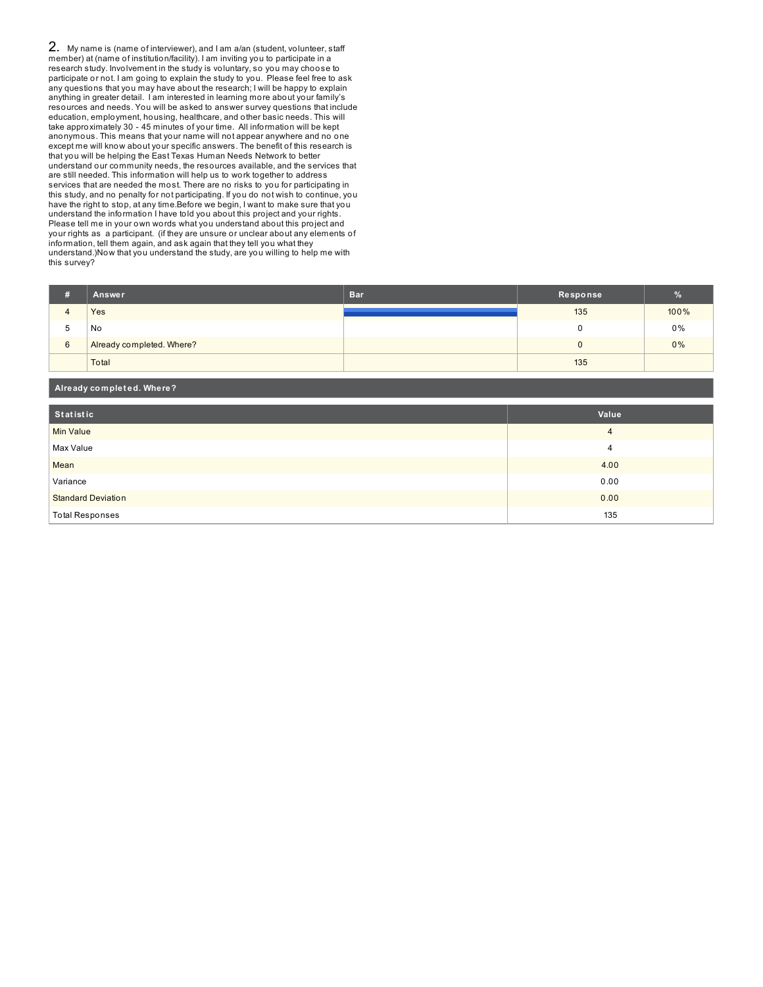2. My name is (name of interviewer), and I am a/an (student, volunteer, staff member) at (name of institution/facility). I am inviting you to participate in a research study. Involvement in the study is voluntary, so you may choose to participate or not. I am going to explain the study to you. Please feel free to ask any questions that you may have about the research; I will be happy to explain anything in greater detail. I am interested in learning more about your family's resources and needs. You will be asked to answer survey questions that include education, employment, housing, healthcare, and other basic needs. This will take approximately 30 - 45 minutes of your time. All information will be kept anonymous. This means that your name will not appear anywhere and no one except me will know about your specific answers. The benefit of this research is that you will be helping the East Texas Human Needs Network to better understand our community needs, the resources available, and the services that are still needed. This information will help us to work together to address services that are needed the most. There are no risks to you for participating in this study, and no penalty for not participating. If you do not wish to continue, you have the right to stop, at any time.Before we begin, I want to make sure that you understand the information I have told you about this project and your rights. Please tell me in your own words what you understand about this project and your rights as a participant. (if they are unsure or unclear about any elements of information, tell them again, and ask again that they tell you what they understand.)Now that you understand the study, are you willing to help me with this survey?

**Already complet ed. Where?**

|        | Answer                    | <b>Bar</b> | Response |      |
|--------|---------------------------|------------|----------|------|
|        | <b>Yes</b>                |            | 135      | 100% |
| ∽<br>w | No                        |            |          | 0%   |
| 6      | Already completed. Where? |            | U        | 0%   |
|        | Total                     |            | 135      |      |

| _____                     |       |
|---------------------------|-------|
| Statistic                 | Value |
| Min Value                 | 4     |
| Max Value                 | 4     |
| Mean                      | 4.00  |
| Variance                  | 0.00  |
| <b>Standard Deviation</b> | 0.00  |
| <b>Total Responses</b>    | 135   |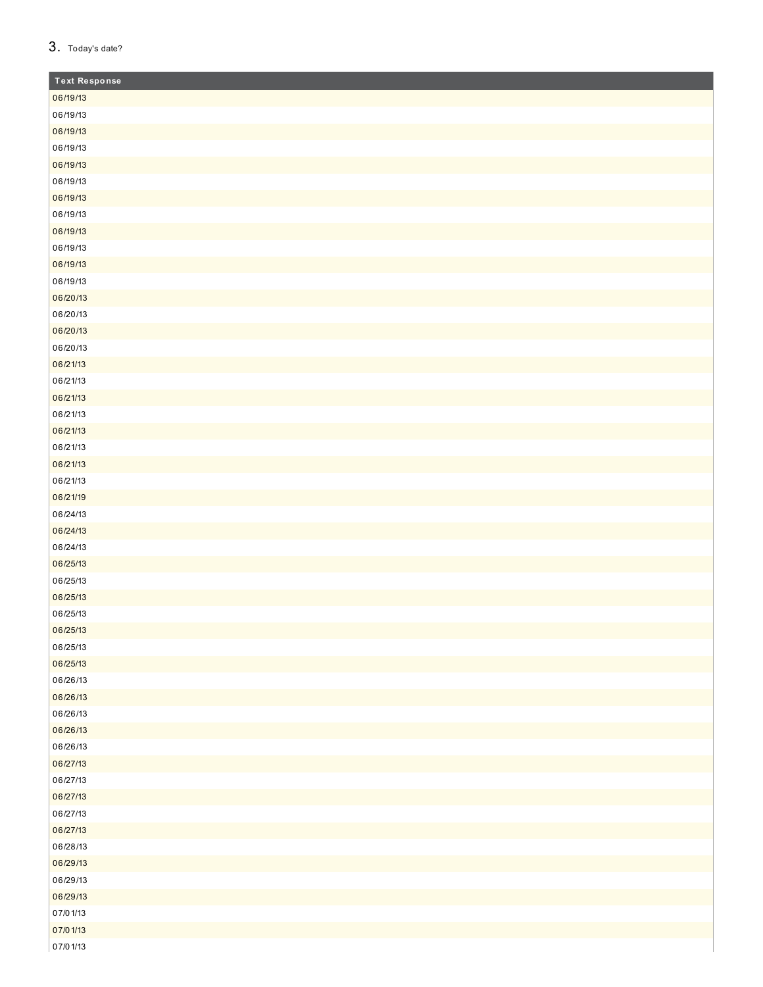# 3. Today's date?

| <b>Text Response</b> |
|----------------------|
| 06/19/13             |
| 06/19/13             |
| 06/19/13             |
| 06/19/13             |
| 06/19/13             |
| 06/19/13             |
| 06/19/13             |
| 06/19/13             |
| 06/19/13             |
| 06/19/13             |
| 06/19/13             |
| 06/19/13             |
| 06/20/13             |
| 06/20/13             |
| 06/20/13             |
| 06/20/13             |
| 06/21/13             |
| 06/21/13             |
| 06/21/13             |
| 06/21/13             |
| 06/21/13             |
| 06/21/13             |
| 06/21/13             |
| 06/21/13             |
| 06/21/19             |
| 06/24/13             |
| 06/24/13             |
| 06/24/13             |
| 06/25/13             |
| 06/25/13             |
| 06/25/13             |
| 06/25/13             |
| 06/25/13             |
| 06/25/13             |
| 06/25/13             |
| 06/26/13             |
| 06/26/13             |
| 06/26/13             |
| 06/26/13             |
| 06/26/13             |
| 06/27/13             |
| 06/27/13             |
| 06/27/13             |
| 06/27/13             |
| 06/27/13             |
| 06/28/13             |
| 06/29/13             |
| 06/29/13             |
| 06/29/13             |
| 07/01/13             |
| 07/01/13             |
| 07/01/13             |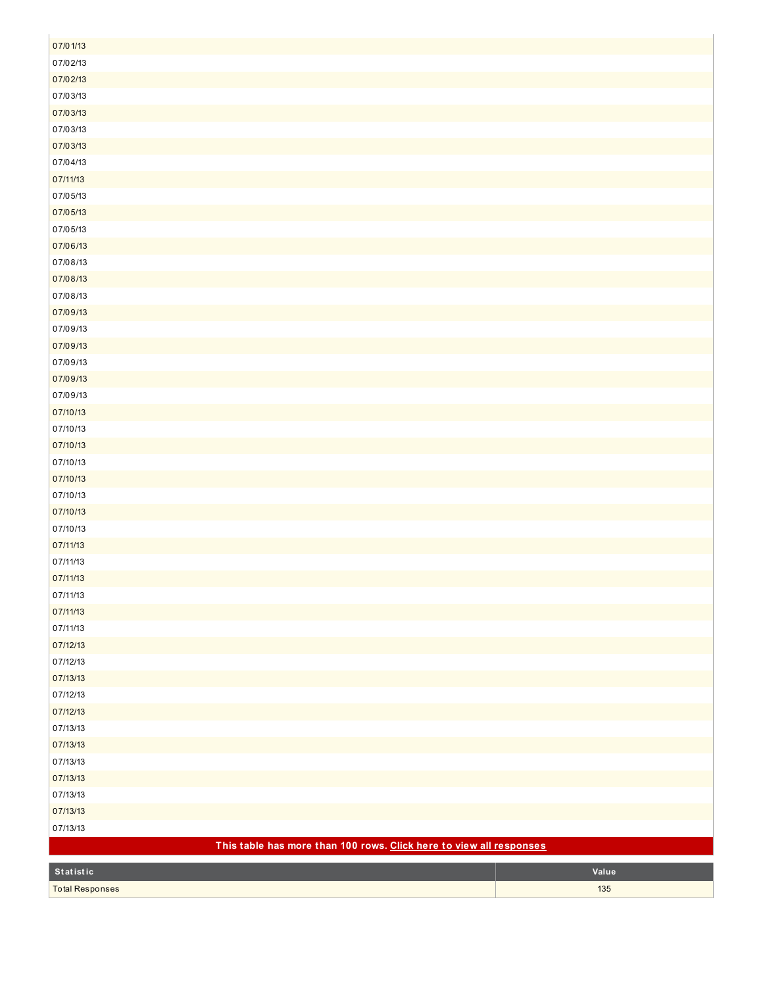| 07/01/13                                                            |       |
|---------------------------------------------------------------------|-------|
| 07/02/13                                                            |       |
| 07/02/13                                                            |       |
| 07/03/13                                                            |       |
| 07/03/13                                                            |       |
| 07/03/13                                                            |       |
| 07/03/13                                                            |       |
| 07/04/13                                                            |       |
| 07/11/13                                                            |       |
| 07/05/13                                                            |       |
| 07/05/13                                                            |       |
| 07/05/13                                                            |       |
| 07/06/13                                                            |       |
| 07/08/13                                                            |       |
| 07/08/13                                                            |       |
| 07/08/13                                                            |       |
| 07/09/13                                                            |       |
| 07/09/13                                                            |       |
| 07/09/13                                                            |       |
| 07/09/13                                                            |       |
| 07/09/13                                                            |       |
| 07/09/13                                                            |       |
| 07/10/13                                                            |       |
| 07/10/13                                                            |       |
| 07/10/13                                                            |       |
| 07/10/13                                                            |       |
| 07/10/13                                                            |       |
| 07/10/13                                                            |       |
| 07/10/13                                                            |       |
| 07/10/13                                                            |       |
| 07/11/13                                                            |       |
| 07/11/13                                                            |       |
| 07/11/13                                                            |       |
| 07/11/13                                                            |       |
| 07/11/13                                                            |       |
| 07/11/13                                                            |       |
| 07/12/13                                                            |       |
| 07/12/13                                                            |       |
| 07/13/13                                                            |       |
| 07/12/13<br>07/12/13                                                |       |
| 07/13/13                                                            |       |
|                                                                     |       |
| 07/13/13<br>07/13/13                                                |       |
| 07/13/13                                                            |       |
| 07/13/13                                                            |       |
| 07/13/13                                                            |       |
| 07/13/13                                                            |       |
| This table has more than 100 rows. Click here to view all responses |       |
|                                                                     |       |
| Statistic                                                           | Value |
| <b>Total Responses</b>                                              | 135   |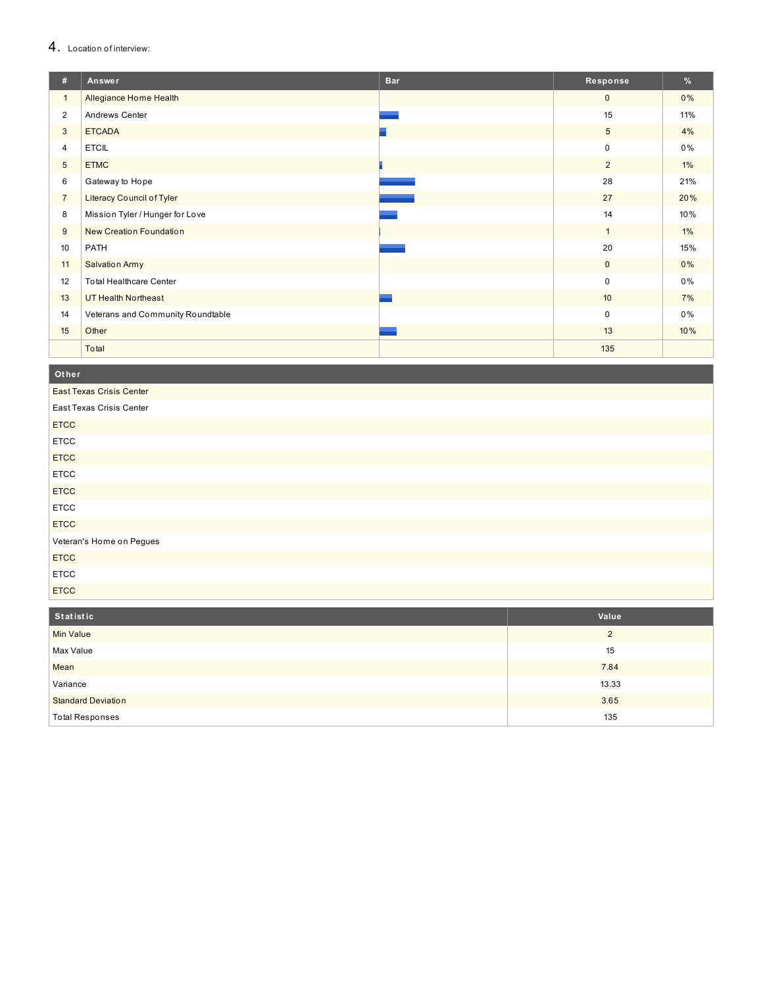# 4. Location of interview:

| #               | Answer                            | <b>Bar</b> | Response        | %     |
|-----------------|-----------------------------------|------------|-----------------|-------|
| $\mathbf{1}$    | Allegiance Home Health            |            | $\mathbf{0}$    | $0\%$ |
| $\overline{2}$  | Andrews Center                    |            | 15              | 11%   |
| 3               | <b>ETCADA</b>                     |            | $5\phantom{.0}$ | 4%    |
| 4               | <b>ETCIL</b>                      |            | $\mathbf 0$     | 0%    |
| $5\phantom{.0}$ | <b>ETMC</b>                       |            | $\overline{2}$  | $1\%$ |
| 6               | Gateway to Hope                   |            | 28              | 21%   |
| $7\overline{ }$ | <b>Literacy Council of Tyler</b>  |            | 27              | 20%   |
| 8               | Mission Tyler / Hunger for Love   |            | 14              | 10%   |
| 9               | <b>New Creation Foundation</b>    |            | $\mathbf{1}$    | $1\%$ |
| 10              | PATH                              |            | 20              | 15%   |
| 11              | <b>Salvation Army</b>             |            | $\mathbf{0}$    | 0%    |
| 12              | <b>Total Healthcare Center</b>    |            | $\mathbf 0$     | 0%    |
| 13              | <b>UT Health Northeast</b>        |            | 10              | 7%    |
| 14              | Veterans and Community Roundtable |            | $\mathbf 0$     | $0\%$ |
| 15              | Other                             |            | 13              | 10%   |
|                 | Total                             |            | 135             |       |

Other

East Texas Crisis Center

| East Texas Crisis Center |
|--------------------------|
| <b>ETCC</b>              |
| <b>ETCC</b>              |
| <b>ETCC</b>              |
| <b>ETCC</b>              |
| <b>ETCC</b>              |
| <b>ETCC</b>              |
| <b>ETCC</b>              |
| Veteran's Home on Pegues |
| <b>ETCC</b>              |
| <b>ETCC</b>              |
| <b>ETCC</b>              |

| Statistic                 | Value |
|---------------------------|-------|
| <b>Min Value</b>          | ◠     |
| Max Value                 | 15    |
| Mean                      | 7.84  |
| Variance                  | 13.33 |
| <b>Standard Deviation</b> | 3.65  |
| <b>Total Responses</b>    | 135   |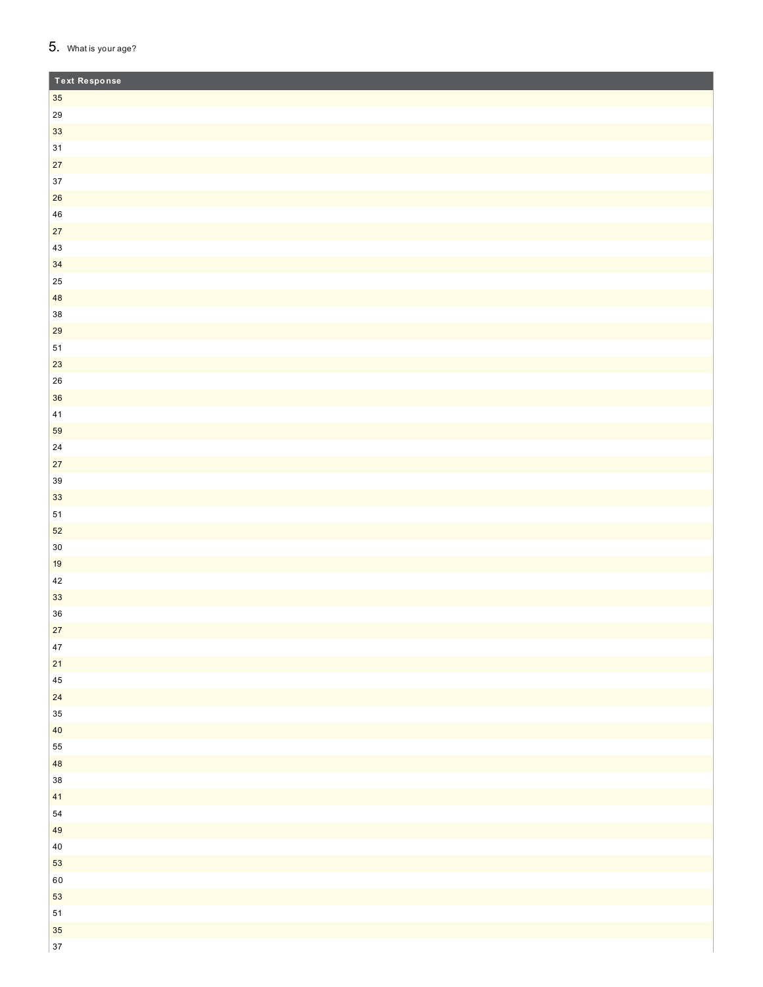# 5. What is your age?

| <b>Text Response</b> |  |
|----------------------|--|
| $35\,$               |  |
| ${\bf 29}$           |  |
| 33                   |  |
| $31$                 |  |
| 27                   |  |
| $37\,$               |  |
| 26                   |  |
| ${\bf 46}$           |  |
| $27\,$               |  |
| $43\,$               |  |
| 34                   |  |
| $25\,$               |  |
| 48                   |  |
| $38\,$               |  |
| 29                   |  |
| $51\,$               |  |
| $23\,$               |  |
| ${\bf 26}$           |  |
| 36                   |  |
| $\bf 41$             |  |
| 59                   |  |
| ${\bf 24}$           |  |
| $27\,$               |  |
| $39\,$               |  |
| 33                   |  |
| ${\bf 51}$<br>52     |  |
| $30\,$               |  |
| 19                   |  |
| $42\,$               |  |
| 33                   |  |
| 36                   |  |
| $27\,$               |  |
| $47\,$               |  |
| $21$                 |  |
| $\bf 45$             |  |
| 24                   |  |
| 35                   |  |
| $40\,$               |  |
| 55                   |  |
| 48                   |  |
| $38\,$               |  |
| 41                   |  |
| 54                   |  |
| 49                   |  |
| $40\,$               |  |
| 53                   |  |
| $60\,$               |  |
| 53                   |  |
| ${\bf 51}$           |  |
| 35                   |  |
| 37                   |  |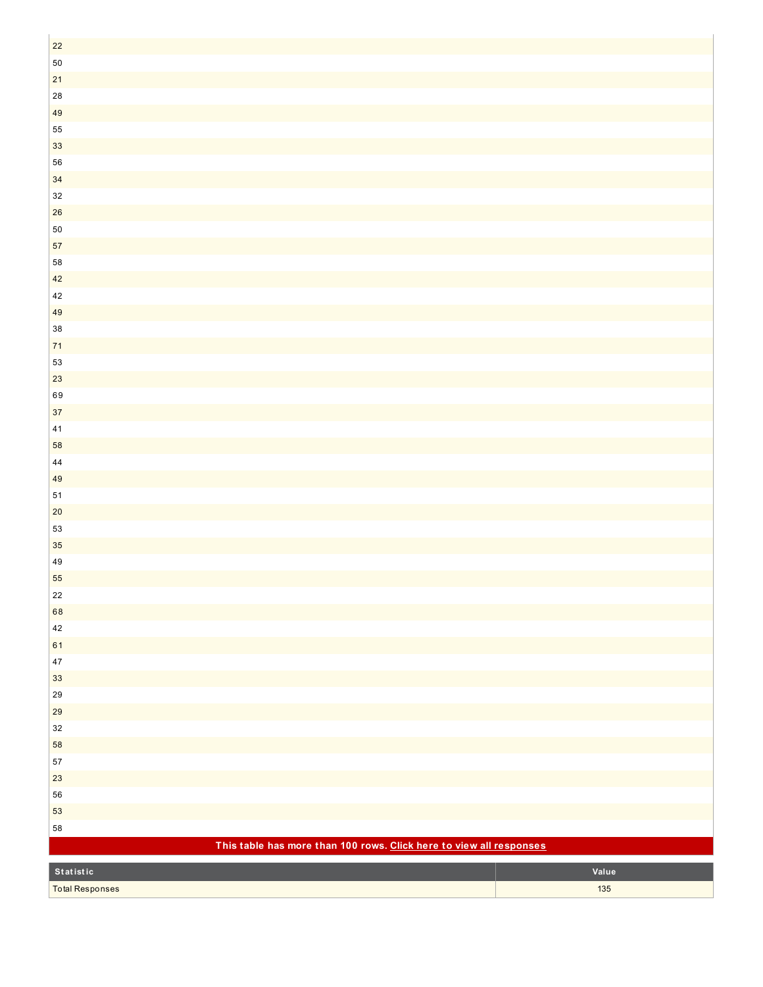| $22\,$                                                              |       |
|---------------------------------------------------------------------|-------|
| $50\,$                                                              |       |
| $21$                                                                |       |
| ${\bf 28}$                                                          |       |
| 49                                                                  |       |
|                                                                     |       |
| 55                                                                  |       |
| $33\,$                                                              |       |
| 56                                                                  |       |
| $34\,$                                                              |       |
| $32\,$                                                              |       |
| ${\bf 26}$                                                          |       |
| $50\,$                                                              |       |
| $57\,$                                                              |       |
| 58                                                                  |       |
| $42\,$                                                              |       |
| $42\,$                                                              |       |
| 49                                                                  |       |
| $38\,$                                                              |       |
| $71$                                                                |       |
| 53                                                                  |       |
| $23\,$                                                              |       |
| 69                                                                  |       |
| $37\,$                                                              |       |
| $41$                                                                |       |
| 58                                                                  |       |
| $\bf 44$                                                            |       |
| 49                                                                  |       |
| $51$                                                                |       |
| $20\,$                                                              |       |
| 53                                                                  |       |
| $35\,$                                                              |       |
| 49                                                                  |       |
| 55                                                                  |       |
| 22                                                                  |       |
| 68                                                                  |       |
| 42                                                                  |       |
| 61                                                                  |       |
| $47\,$                                                              |       |
| $33\,$                                                              |       |
| $29\,$                                                              |       |
| 29                                                                  |       |
| $32\,$                                                              |       |
|                                                                     |       |
| 58                                                                  |       |
| ${\bf 57}$                                                          |       |
| $23\,$                                                              |       |
| 56                                                                  |       |
| 53                                                                  |       |
| 58                                                                  |       |
| This table has more than 100 rows. Click here to view all responses |       |
| Statistic                                                           | Value |
| <b>Total Responses</b>                                              | 135   |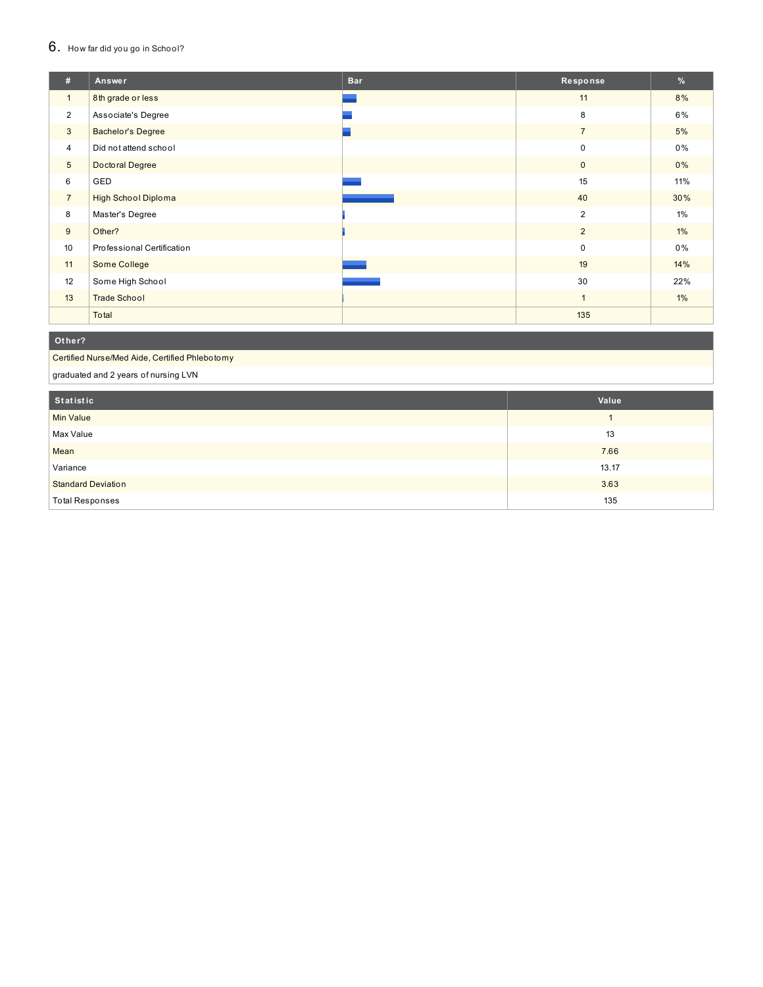# 6. How far did you go in School?

| #               | Answer                     | <b>Bar</b> | Response       | %     |
|-----------------|----------------------------|------------|----------------|-------|
| $\mathbf{1}$    | 8th grade or less          |            | 11             | 8%    |
| $\overline{2}$  | Associate's Degree         |            | 8              | 6%    |
| 3               | <b>Bachelor's Degree</b>   |            | $\overline{7}$ | 5%    |
| $\overline{4}$  | Did not attend school      |            | 0              | $0\%$ |
| $5\phantom{.0}$ | Doctoral Degree            |            | 0              | $0\%$ |
| 6               | GED                        |            | 15             | 11%   |
| $\overline{7}$  | <b>High School Diploma</b> |            | 40             | 30%   |
| 8               | Master's Degree            |            | $\overline{2}$ | 1%    |
| 9               | Other?                     |            | $\overline{2}$ | $1\%$ |
| 10              | Professional Certification |            | $\mathbf 0$    | $0\%$ |
| 11              | Some College               |            | 19             | 14%   |
| 12              | Some High School           |            | 30             | 22%   |
| 13              | <b>Trade School</b>        |            | 1              | $1\%$ |
|                 | Total                      |            | 135            |       |

### **Ot her?**

Certified Nurse/Med Aide, Certified Phlebotomy

graduated and 2 years of nursing LVN

| Statistic                 | Value |
|---------------------------|-------|
| <b>Min Value</b>          |       |
| Max Value                 | 13    |
| Mean                      | 7.66  |
| Variance                  | 13.17 |
| <b>Standard Deviation</b> | 3.63  |
| <b>Total Responses</b>    | 135   |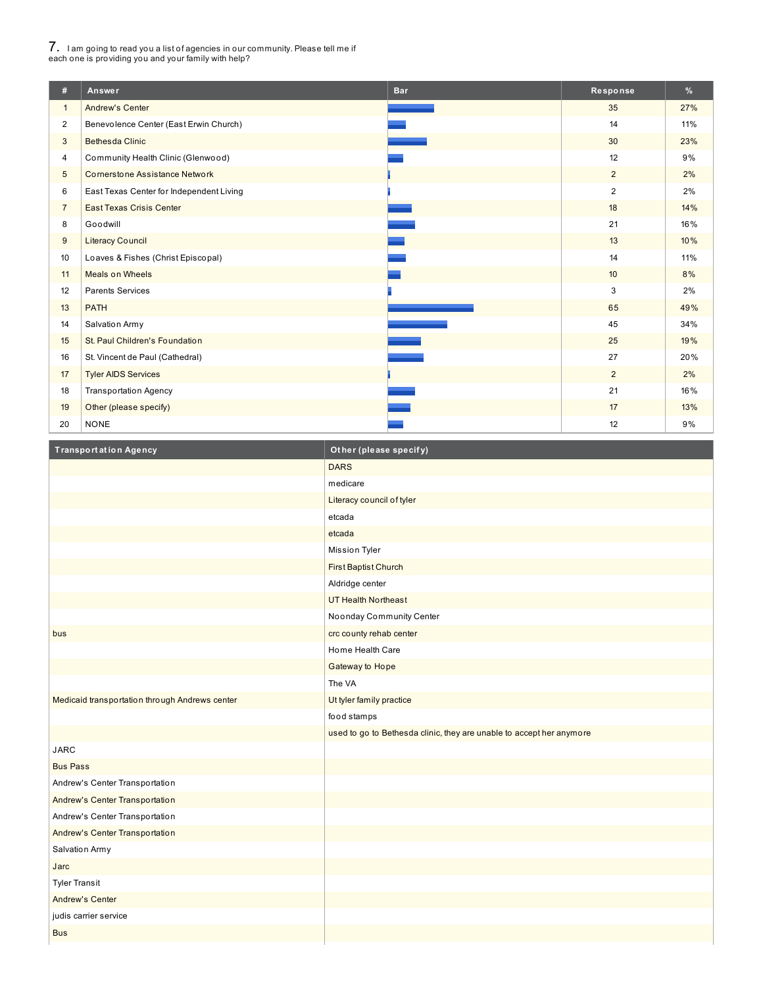# 7. <sup>I</sup> am going to read you <sup>a</sup> list of agencies in our community. Please tell me if each one is providing you and your family with help?

I

| #              | Answer                                   | <b>Bar</b> | Response       | $\frac{9}{6}$ |
|----------------|------------------------------------------|------------|----------------|---------------|
| $\mathbf{1}$   | <b>Andrew's Center</b>                   |            | 35             | 27%           |
| $\overline{2}$ | Benevolence Center (East Erwin Church)   |            | 14             | 11%           |
| 3              | <b>Bethesda Clinic</b>                   |            | 30             | 23%           |
| 4              | Community Health Clinic (Glenwood)       |            | 12             | 9%            |
| 5              | <b>Cornerstone Assistance Network</b>    |            | $\overline{2}$ | 2%            |
| 6              | East Texas Center for Independent Living |            | $\overline{c}$ | 2%            |
| $\overline{7}$ | <b>East Texas Crisis Center</b>          |            | 18             | 14%           |
| 8              | Goodwill                                 |            | 21             | 16%           |
| 9              | <b>Literacy Council</b>                  |            | 13             | 10%           |
| 10             | Loaves & Fishes (Christ Episcopal)       |            | 14             | 11%           |
| 11             | <b>Meals on Wheels</b>                   |            | 10             | 8%            |
| 12             | <b>Parents Services</b>                  |            | 3              | 2%            |
| 13             | <b>PATH</b>                              |            | 65             | 49%           |
| 14             | Salvation Army                           |            | 45             | 34%           |
| 15             | St. Paul Children's Foundation           |            | 25             | 19%           |
| 16             | St. Vincent de Paul (Cathedral)          |            | 27             | 20%           |
| 17             | <b>Tyler AIDS Services</b>               |            | $\overline{2}$ | 2%            |
| 18             | <b>Transportation Agency</b>             |            | 21             | 16%           |
| 19             | Other (please specify)                   |            | 17             | 13%           |
| 20             | <b>NONE</b>                              |            | 12             | 9%            |

| <b>Transportation Agency</b>                   | Other (please specify)                                               |
|------------------------------------------------|----------------------------------------------------------------------|
|                                                | <b>DARS</b>                                                          |
|                                                | medicare                                                             |
|                                                | Literacy council of tyler                                            |
|                                                | etcada                                                               |
|                                                | etcada                                                               |
|                                                | Mission Tyler                                                        |
|                                                | First Baptist Church                                                 |
|                                                | Aldridge center                                                      |
|                                                | <b>UT Health Northeast</b>                                           |
|                                                | Noonday Community Center                                             |
| bus                                            | crc county rehab center                                              |
|                                                | Home Health Care                                                     |
|                                                | Gateway to Hope                                                      |
|                                                | The VA                                                               |
| Medicaid transportation through Andrews center | Ut tyler family practice                                             |
|                                                | food stamps                                                          |
|                                                | used to go to Bethesda clinic, they are unable to accept her anymore |
| <b>JARC</b>                                    |                                                                      |
| <b>Bus Pass</b>                                |                                                                      |
| Andrew's Center Transportation                 |                                                                      |
| Andrew's Center Transportation                 |                                                                      |
| Andrew's Center Transportation                 |                                                                      |
| Andrew's Center Transportation                 |                                                                      |
| Salvation Army                                 |                                                                      |
| Jarc                                           |                                                                      |
| <b>Tyler Transit</b>                           |                                                                      |
| <b>Andrew's Center</b>                         |                                                                      |
| judis carrier service                          |                                                                      |
| <b>Bus</b>                                     |                                                                      |
|                                                |                                                                      |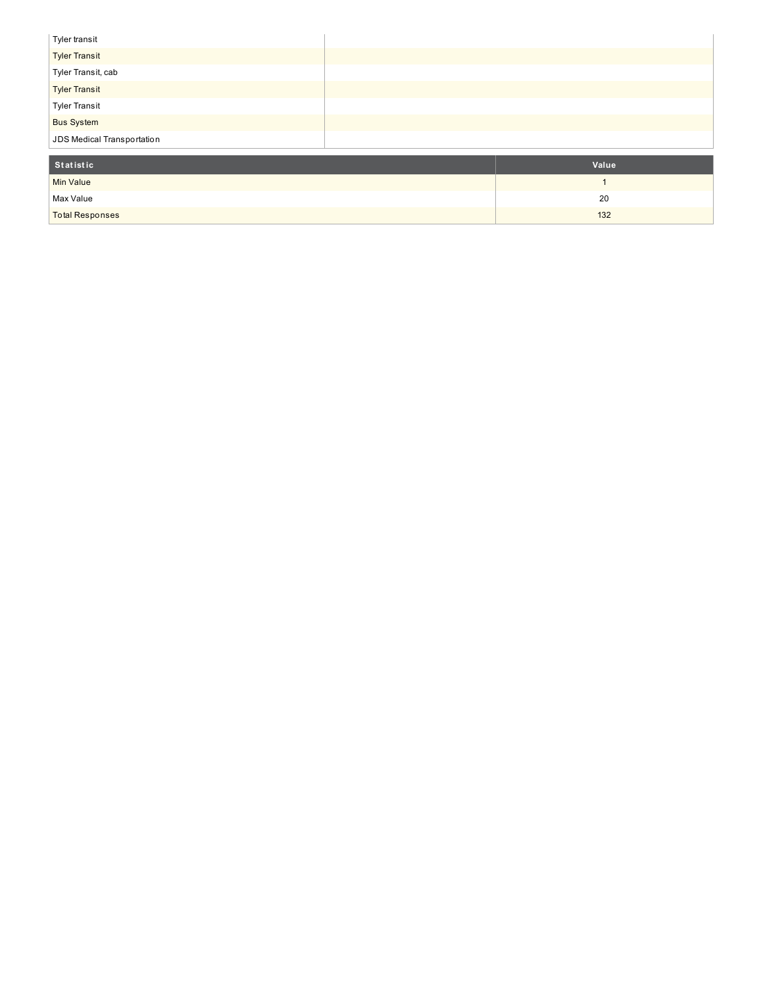| Tyler transit              |  |
|----------------------------|--|
| <b>Tyler Transit</b>       |  |
| Tyler Transit, cab         |  |
| <b>Tyler Transit</b>       |  |
| <b>Tyler Transit</b>       |  |
| <b>Bus System</b>          |  |
| JDS Medical Transportation |  |

| Statistic              | Value |
|------------------------|-------|
| <b>Min Value</b>       |       |
| Max Value              | 20    |
| <b>Total Responses</b> | 132   |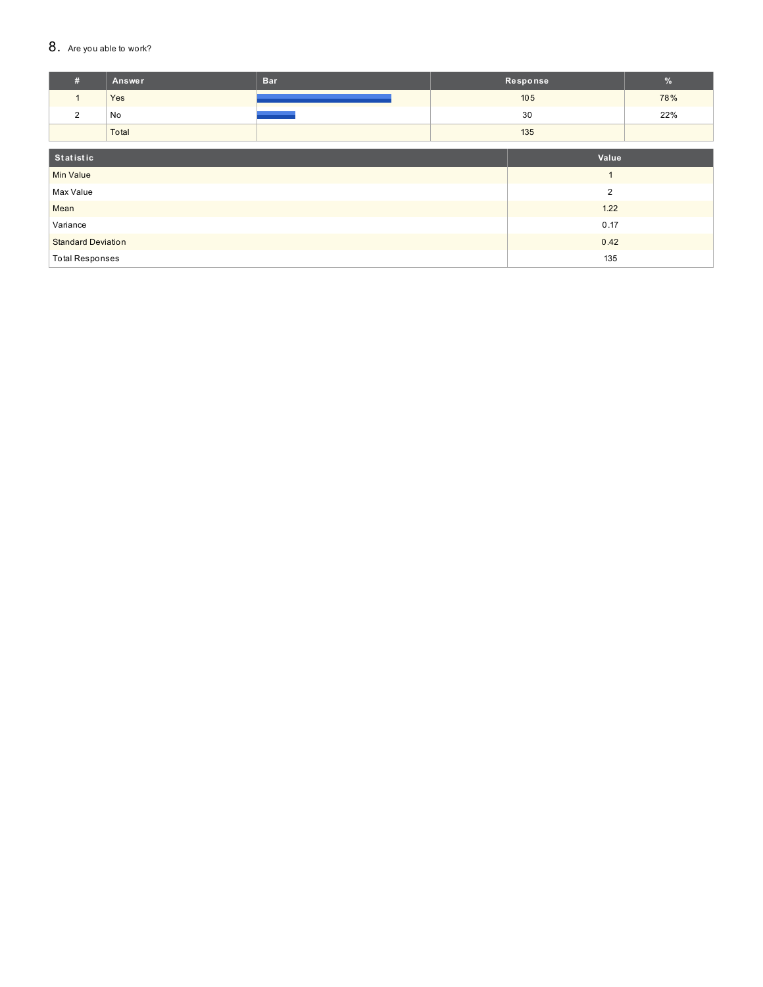### 8. Are you able to work?

| #                         | <b>Answer</b> | <b>Bar</b> | Response |                | $\frac{9}{6}$ |
|---------------------------|---------------|------------|----------|----------------|---------------|
| $\mathbf{1}$              | Yes           |            |          | 105            | 78%           |
| 2                         | No            |            |          | 30             | 22%           |
|                           | Total         |            |          | 135            |               |
|                           |               |            |          |                |               |
| Statistic                 |               |            |          | Value          |               |
| <b>Min Value</b>          |               |            |          |                |               |
| Max Value                 |               |            |          | $\overline{2}$ |               |
| Mean                      |               | 1.22       |          |                |               |
| Variance                  |               |            | 0.17     |                |               |
| <b>Standard Deviation</b> |               |            | 0.42     |                |               |
| <b>Total Responses</b>    |               |            |          | 135            |               |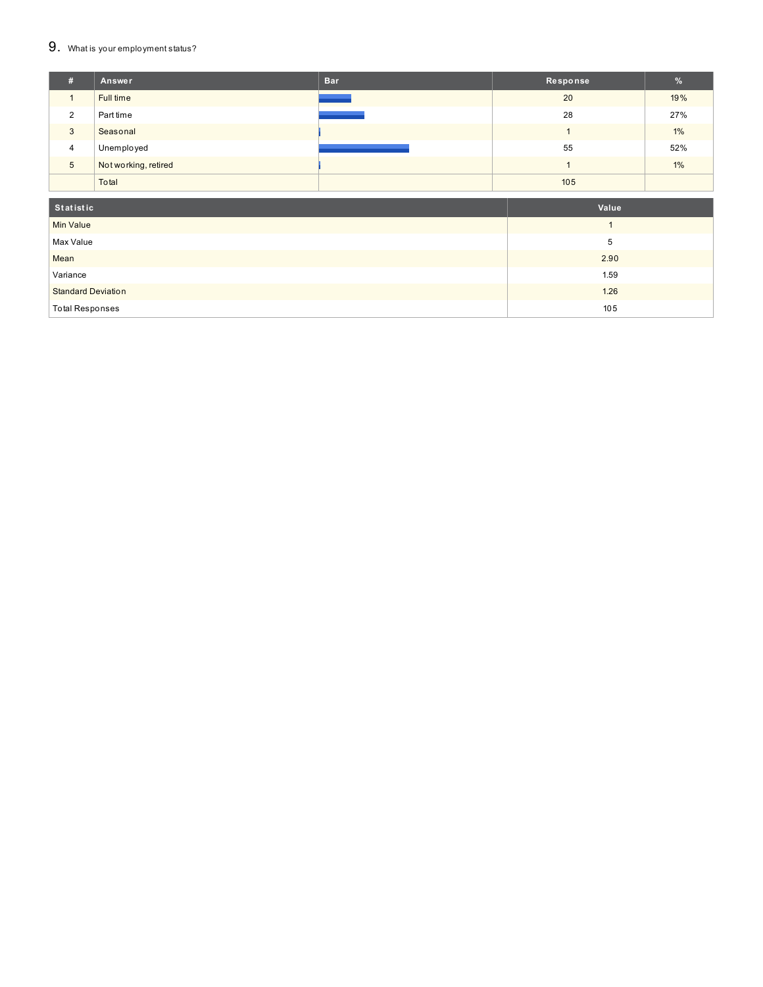#### $9.$  What is your employment status?

| #               | Answer               | <b>Bar</b> | Response | $\frac{9}{6}$ |
|-----------------|----------------------|------------|----------|---------------|
|                 | Full time            |            | 20       | 19%           |
| 2               | Part time            |            | 28       | 27%           |
| 3               | Seasonal             |            |          | 1%            |
| $\overline{4}$  | Unemployed           |            | 55       | 52%           |
| $5\phantom{.0}$ | Not working, retired |            |          | 1%            |
|                 | Total                |            | 105      |               |
| Statistic       | Value                |            |          |               |

| <b>Min Value</b>          |      |
|---------------------------|------|
| Max Value                 |      |
| Mean                      | 2.90 |
| Variance                  | 1.59 |
| <b>Standard Deviation</b> | 1.26 |
| <b>Total Responses</b>    | 105  |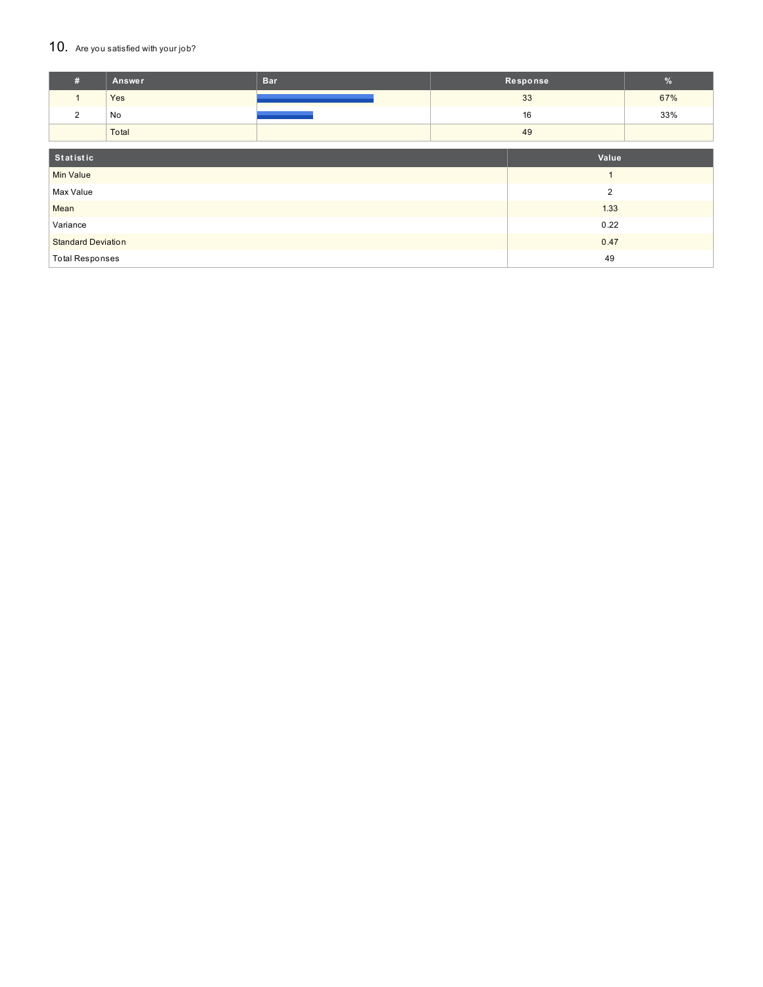### 10. Are you satisfied with your job?

| #                           | Answer | <b>Bar</b> | Response |       | %   |
|-----------------------------|--------|------------|----------|-------|-----|
| $\mathbf{1}$                | Yes    |            |          | 33    | 67% |
| $\overline{2}$              | No     |            |          | 16    | 33% |
|                             | Total  |            |          | 49    |     |
|                             |        |            |          |       |     |
| Statistic                   |        |            |          | Value |     |
| <b>Min Value</b>            |        |            |          |       |     |
| $\overline{2}$<br>Max Value |        |            |          |       |     |
| Mean                        |        | 1.33       |          |       |     |
| Variance                    |        |            | 0.22     |       |     |
| <b>Standard Deviation</b>   |        |            | 0.47     |       |     |
| <b>Total Responses</b>      |        |            |          | 49    |     |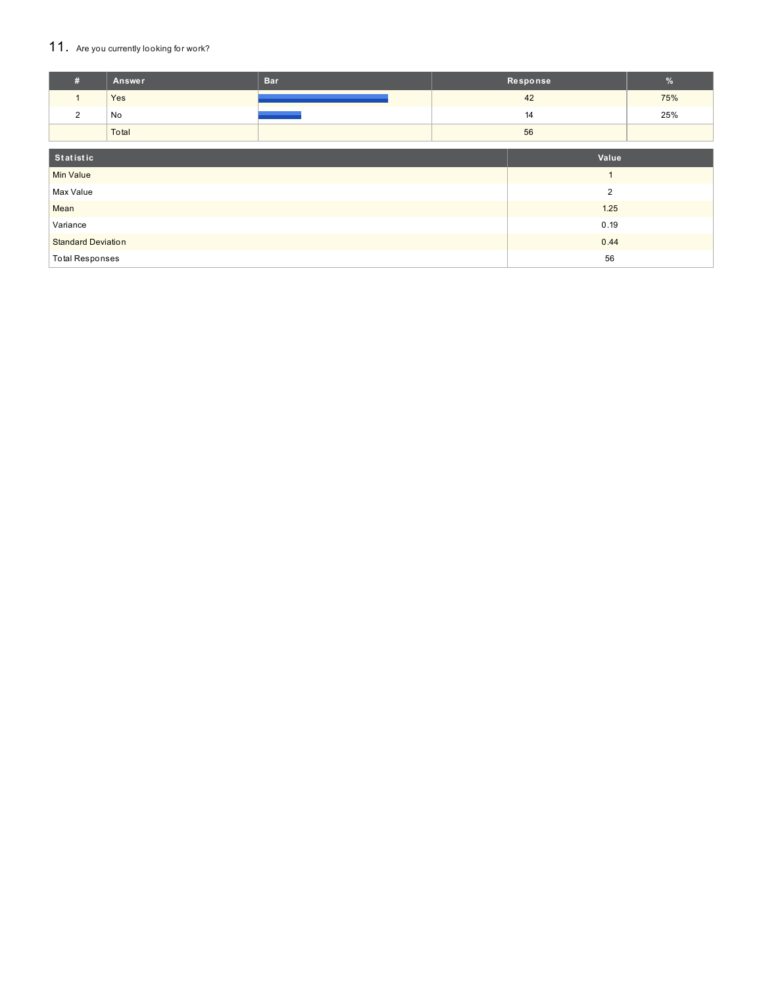# 11. Are you currently looking for work?

| #                         | Answer         | <b>Bar</b> | Response |                | $\%$ |
|---------------------------|----------------|------------|----------|----------------|------|
| $\mathbf{1}$              | Yes            |            |          | 42             | 75%  |
| $\overline{2}$            | No             |            |          | 14             | 25%  |
|                           | Total          |            |          | 56             |      |
| Statistic                 |                |            |          | Value          |      |
| <b>Min Value</b>          |                |            |          | $\overline{A}$ |      |
| Max Value                 | $\overline{2}$ |            |          |                |      |
| Mean                      |                |            | 1.25     |                |      |
| Variance                  |                |            | 0.19     |                |      |
| <b>Standard Deviation</b> |                |            | 0.44     |                |      |
| <b>Total Responses</b>    |                |            | 56       |                |      |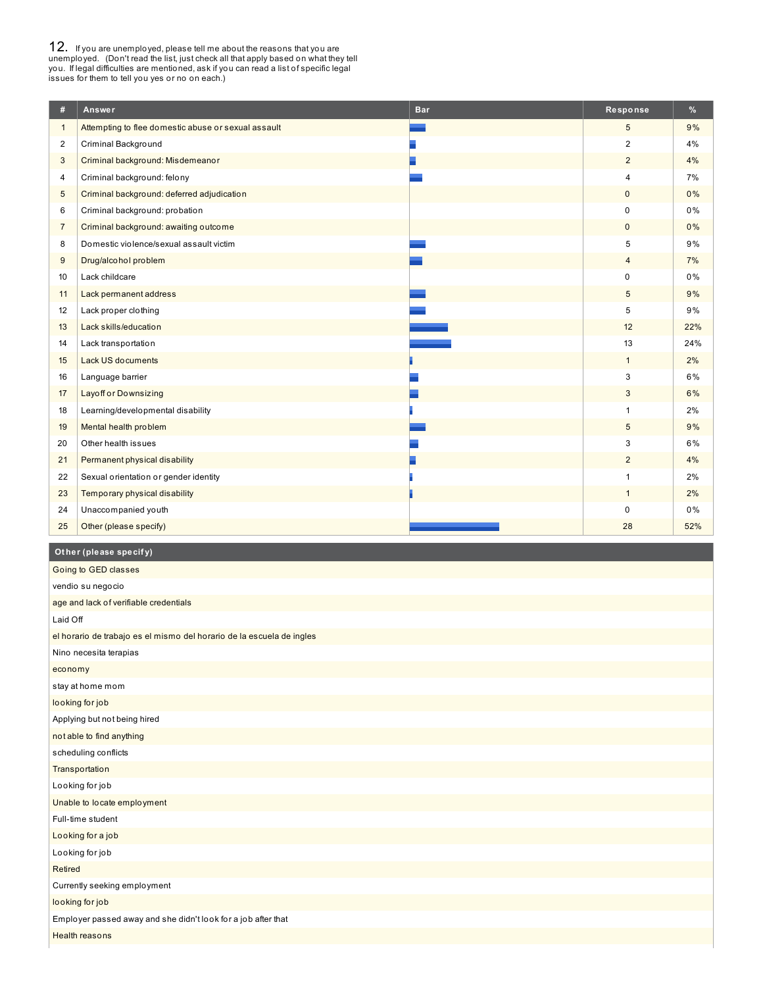**12.** If you are unemployed, please tell me about the reasons that you are unemployed. (Don't read the list, just check all that apply based on what they tell you. If legal difficulties are mentioned, ask if you can read a

| #              | Answer                                              | <b>Bar</b> | Response       | %   |
|----------------|-----------------------------------------------------|------------|----------------|-----|
| $\mathbf{1}$   | Attempting to flee domestic abuse or sexual assault |            | 5              | 9%  |
| $\overline{2}$ | Criminal Background                                 |            | 2              | 4%  |
| 3              | Criminal background: Misdemeanor                    |            | 2              | 4%  |
| 4              | Criminal background: felony                         |            | $\overline{4}$ | 7%  |
| 5              | Criminal background: deferred adjudication          |            | $\mathbf 0$    | 0%  |
| 6              | Criminal background: probation                      |            | $\mathbf 0$    | 0%  |
| $\overline{7}$ | Criminal background: awaiting outcome               |            | $\mathbf{0}$   | 0%  |
| 8              | Domestic violence/sexual assault victim             |            | 5              | 9%  |
| 9              | Drug/alcohol problem                                |            | $\overline{4}$ | 7%  |
| 10             | Lack childcare                                      |            | $\mathbf 0$    | 0%  |
| 11             | Lack permanent address                              |            | 5              | 9%  |
| 12             | Lack proper clothing                                |            | 5              | 9%  |
| 13             | Lack skills/education                               |            | 12             | 22% |
| 14             | Lack transportation                                 |            | 13             | 24% |
| 15             | Lack US documents                                   |            | $\mathbf{1}$   | 2%  |
| 16             | Language barrier                                    |            | 3              | 6%  |
| 17             | <b>Layoff or Downsizing</b>                         |            | 3              | 6%  |
| 18             | Learning/developmental disability                   |            | $\mathbf{1}$   | 2%  |
| 19             | Mental health problem                               |            | 5              | 9%  |
| 20             | Other health issues                                 |            | 3              | 6%  |
| 21             | Permanent physical disability                       |            | $\overline{2}$ | 4%  |
| 22             | Sexual orientation or gender identity               |            | $\overline{1}$ | 2%  |
| 23             | Temporary physical disability                       |            | $\mathbf{1}$   | 2%  |
| 24             | Unaccompanied youth                                 |            | $\mathbf 0$    | 0%  |
| 25             | Other (please specify)                              |            | 28             | 52% |

### **Ot her (please specif y)**

| Going to GED classes                                                  |
|-----------------------------------------------------------------------|
| vendio su negocio                                                     |
| age and lack of verifiable credentials                                |
| Laid Off                                                              |
| el horario de trabajo es el mismo del horario de la escuela de ingles |
| Nino necesita terapias                                                |
| economy                                                               |
| stay at home mom                                                      |
| looking for job                                                       |
| Applying but not being hired                                          |
| not able to find anything                                             |
| scheduling conflicts                                                  |
| Transportation                                                        |
| Looking for job                                                       |
| Unable to locate employment                                           |
| Full-time student                                                     |
| Looking for a job                                                     |
| Looking for job                                                       |
| Retired                                                               |
| Currently seeking employment                                          |
| looking for job                                                       |
| Employer passed away and she didn't look for a job after that         |
| <b>Health reasons</b>                                                 |
|                                                                       |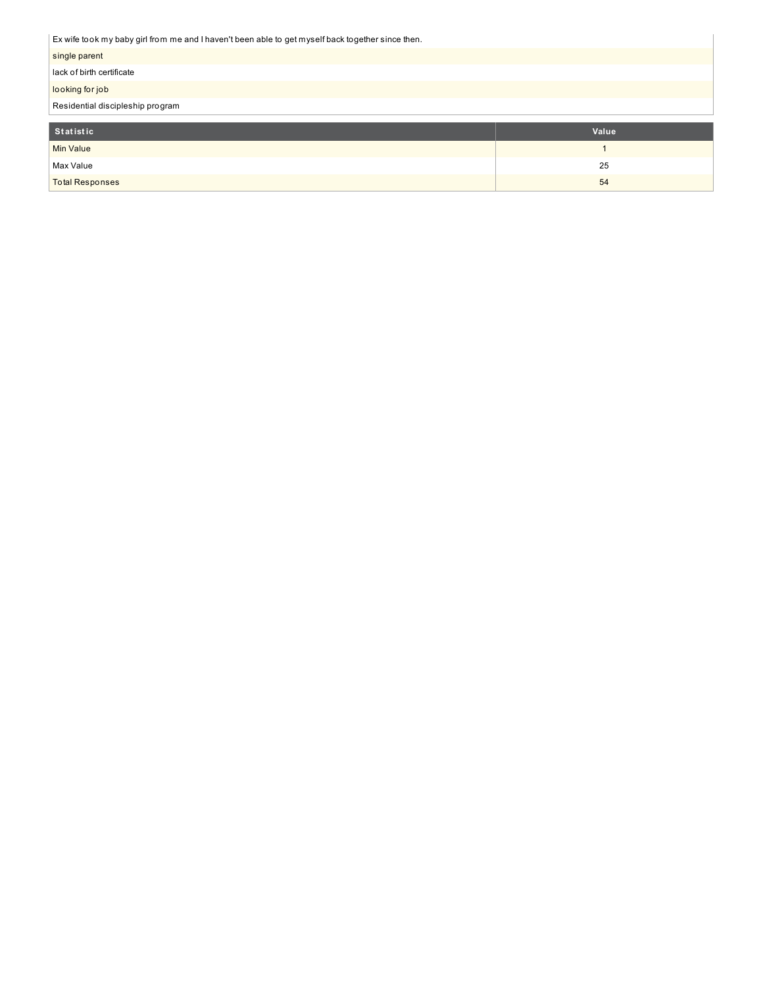Ex wife took my baby girl from me and I haven't been able to get myself back together since then.

| Statistic                                                                                              | Value |
|--------------------------------------------------------------------------------------------------------|-------|
| Residential discipleship program                                                                       |       |
| looking for job                                                                                        |       |
| lack of birth certificate                                                                              |       |
| single parent                                                                                          |       |
| LA WILE WONTHLY DADY GILL ITOTH THE AIRLY LITAVEH LIDEEH ADIE IN GELTHYSEII DACK INGELIEI SINCE INEIT. |       |

| _________              | ______ |
|------------------------|--------|
| Min Value              |        |
| Max Value              | 25     |
| <b>Total Responses</b> | 54     |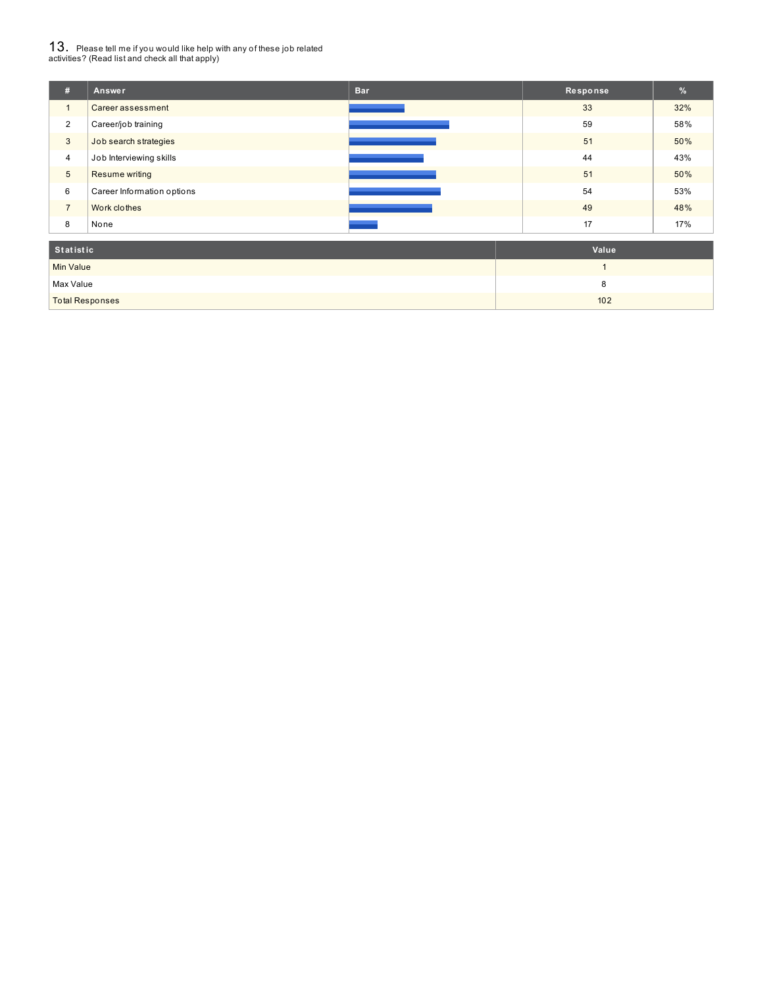# $13_\cdot$  Please tell me if you would like help with any of these job related<br>activities? (Read list and check all that apply)

| #                | Answer                     | <b>Bar</b> | Response | %   |
|------------------|----------------------------|------------|----------|-----|
| $\mathbf{1}$     | Career assessment          |            | 33       | 32% |
| $\overline{2}$   | Career/job training        |            | 59       | 58% |
| 3                | Job search strategies      |            | 51       | 50% |
| $\overline{4}$   | Job Interviewing skills    |            | 44       | 43% |
| $\sqrt{5}$       | Resume writing             |            | 51       | 50% |
| 6                | Career Information options |            | 54       | 53% |
| $\overline{7}$   | Work clothes               |            | 49       | 48% |
| 8                | None                       |            | 17       | 17% |
| <b>Statistic</b> |                            |            | Value    |     |

| otatistic              | value |
|------------------------|-------|
| <b>Min Value</b>       |       |
| Max Value              |       |
| <b>Total Responses</b> | 102   |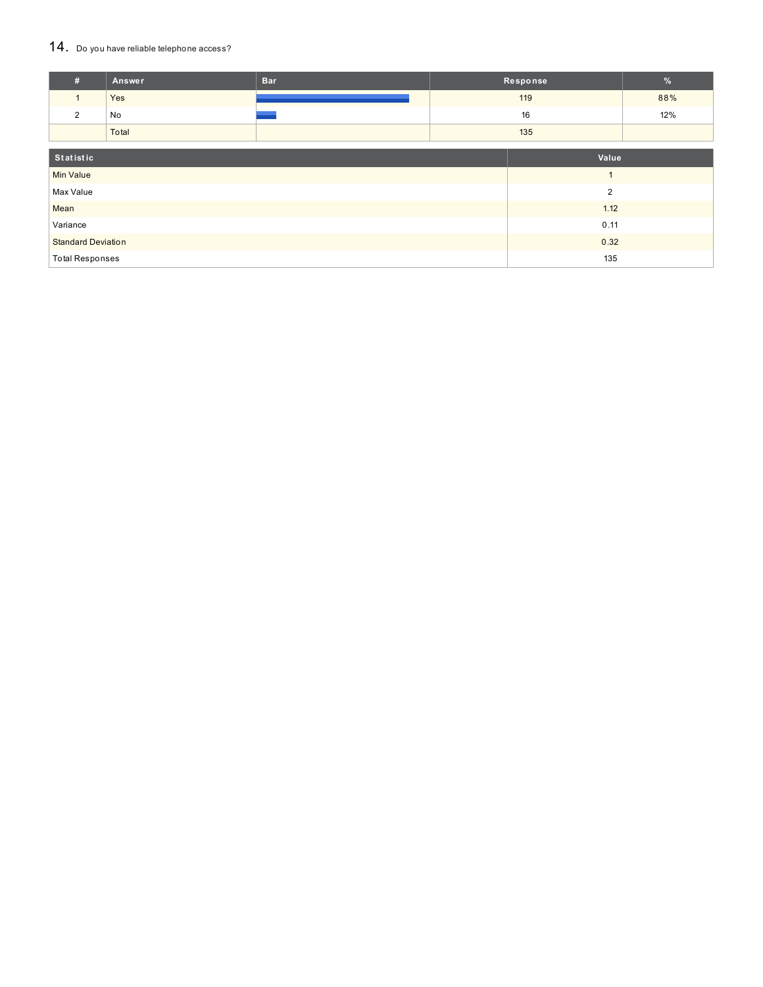### 14. Do you have reliable telephone access?

| #                         | <b>Answer</b> | <b>Bar</b>     |      | Response | %   |
|---------------------------|---------------|----------------|------|----------|-----|
| $\mathbf{1}$              | Yes           |                |      | 119      | 88% |
| 2                         | No            |                |      | 16       | 12% |
|                           | Total         |                |      | 135      |     |
|                           |               |                |      |          |     |
| Statistic                 |               |                |      | Value    |     |
| <b>Min Value</b>          |               |                |      |          |     |
| Max Value                 |               | $\overline{2}$ |      |          |     |
| Mean                      |               | 1.12           |      |          |     |
| Variance                  |               |                | 0.11 |          |     |
| <b>Standard Deviation</b> |               |                | 0.32 |          |     |
| <b>Total Responses</b>    |               |                | 135  |          |     |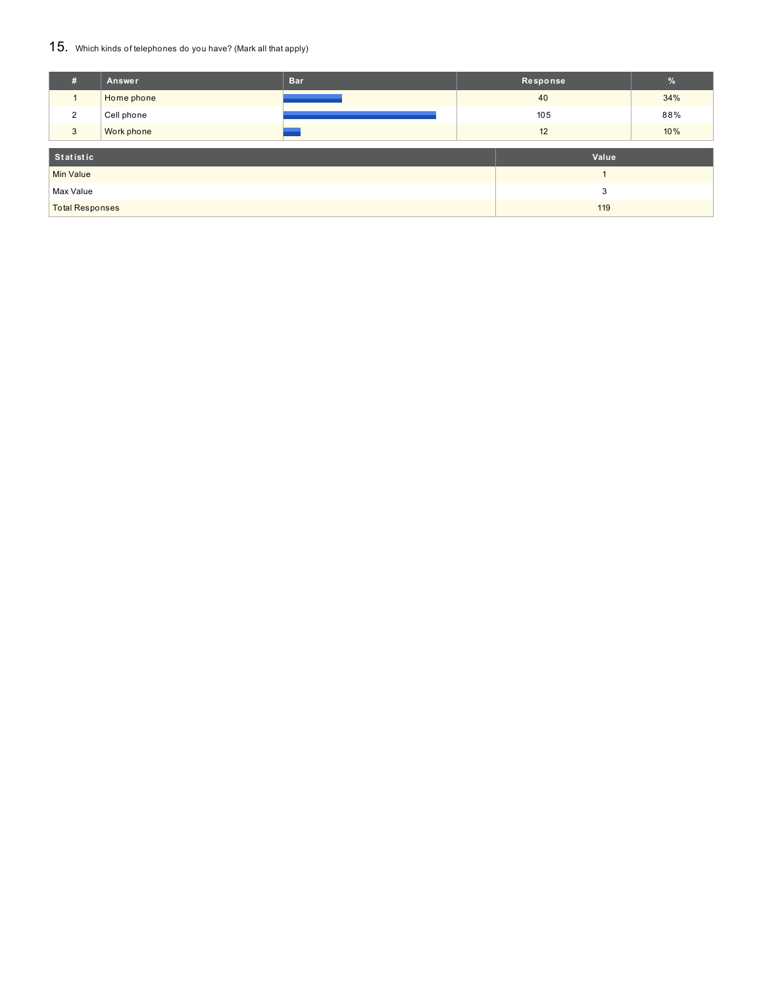### 15. Which kinds of telephones do you have? (Mark all that apply)

| #                      | Answer     | <b>Bar</b> | Response |       | $\frac{9}{6}$ |
|------------------------|------------|------------|----------|-------|---------------|
|                        | Home phone |            | 40       |       | 34%           |
| 2                      | Cell phone |            | 105      |       | 88%           |
| 3                      | Work phone |            | 12       |       | 10%           |
|                        |            |            |          |       |               |
| Statistic              |            |            |          | Value |               |
| Min Value              |            |            |          |       |               |
| Max Value              |            |            |          | 3     |               |
| <b>Total Responses</b> |            |            | 119      |       |               |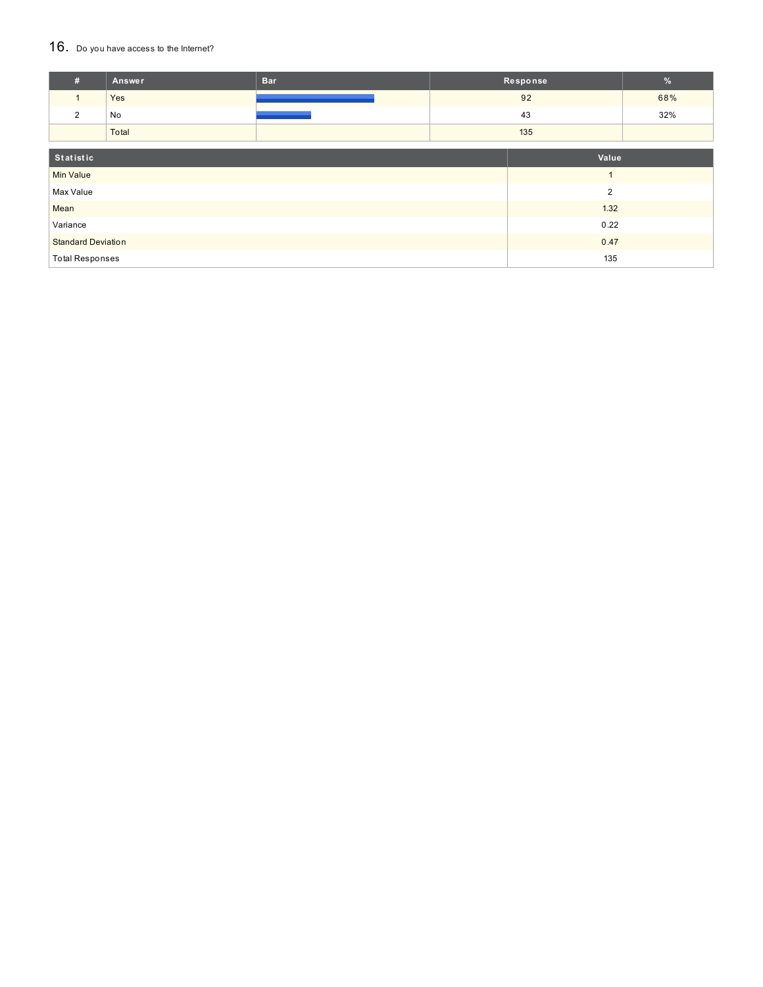### 16. Do you have access to the Internet?

| #                         | Answer | <b>Bar</b>     |      | Response | $\%$  |
|---------------------------|--------|----------------|------|----------|-------|
| $\mathbf{1}$              | Yes    |                |      | 92       | 68%   |
| 2                         | No     |                |      | 43       | 32%   |
|                           | Total  |                |      | 135      |       |
| Statistic                 |        |                |      |          | Value |
| <b>Min Value</b>          |        | $\overline{ }$ |      |          |       |
| Max Value                 |        | $\overline{2}$ |      |          |       |
| Mean                      |        | 1.32           |      |          |       |
| Variance                  |        |                | 0.22 |          |       |
| <b>Standard Deviation</b> |        |                | 0.47 |          |       |
| <b>Total Responses</b>    |        |                | 135  |          |       |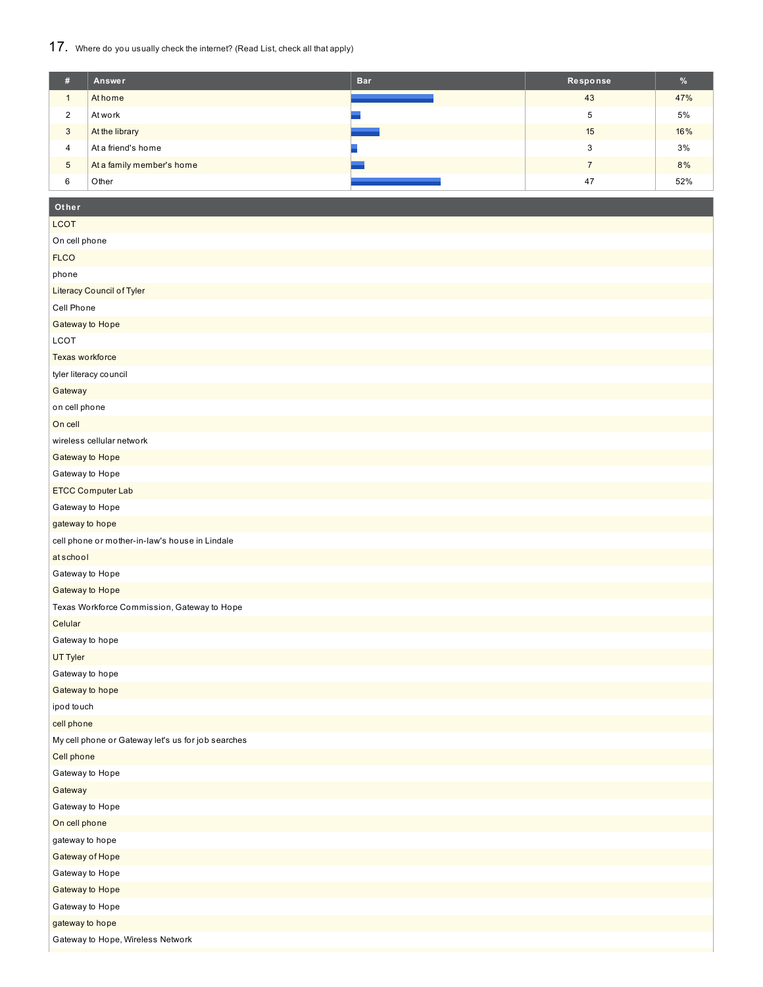# 17. Where do you usually check the internet? (Read List, check all that apply)

| #                  | Answer                    | <b>Bar</b> | Response | %   |
|--------------------|---------------------------|------------|----------|-----|
|                    | At home                   |            | 43       | 47% |
| $\mathcal{L}$<br>∠ | At work                   |            | 5        | 5%  |
| 3                  | At the library            |            | 15       | 16% |
| 4                  | At a friend's home        |            | З        | 3%  |
| $\sqrt{5}$         | At a family member's home |            |          | 8%  |
| 6                  | Other                     |            | 47       | 52% |

# **Other**

| <b>LCOT</b>                                        |
|----------------------------------------------------|
| On cell phone                                      |
| <b>FLCO</b>                                        |
| phone                                              |
| Literacy Council of Tyler                          |
| Cell Phone                                         |
| Gateway to Hope                                    |
| LCOT                                               |
| Texas workforce                                    |
| tyler literacy council                             |
| Gateway                                            |
| on cell phone                                      |
| On cell                                            |
| wireless cellular network                          |
| Gateway to Hope                                    |
| Gateway to Hope                                    |
| ETCC Computer Lab                                  |
| Gateway to Hope                                    |
| gateway to hope                                    |
| cell phone or mother-in-law's house in Lindale     |
| at school                                          |
| Gateway to Hope                                    |
| Gateway to Hope                                    |
| Texas Workforce Commission, Gateway to Hope        |
| Celular                                            |
| Gateway to hope                                    |
| UT Tyler                                           |
| Gateway to hope                                    |
| Gateway to hope                                    |
| ipod touch                                         |
| cell phone                                         |
| My cell phone or Gateway let's us for job searches |
| Cell phone                                         |
| Gateway to Hope                                    |
| Gateway                                            |
| Gateway to Hope                                    |
| On cell phone                                      |
| gateway to hope                                    |
| Gateway of Hope                                    |
| Gateway to Hope                                    |
| Gateway to Hope                                    |
| Gateway to Hope                                    |
| gateway to hope                                    |
| Gateway to Hope, Wireless Network                  |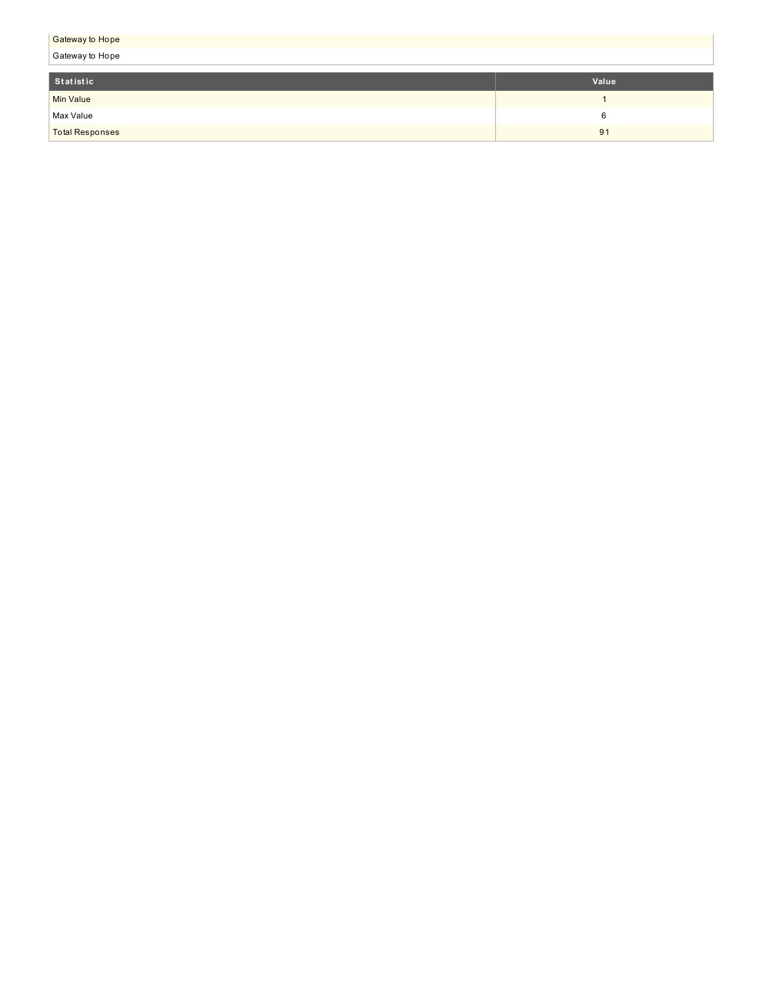| <b>Gateway to Hope</b> |       |  |  |  |
|------------------------|-------|--|--|--|
| Gateway to Hope        |       |  |  |  |
|                        |       |  |  |  |
| Statistic              | Value |  |  |  |
| <b>Min Value</b>       |       |  |  |  |
| Max Value              | 6     |  |  |  |
| <b>Total Responses</b> | 91    |  |  |  |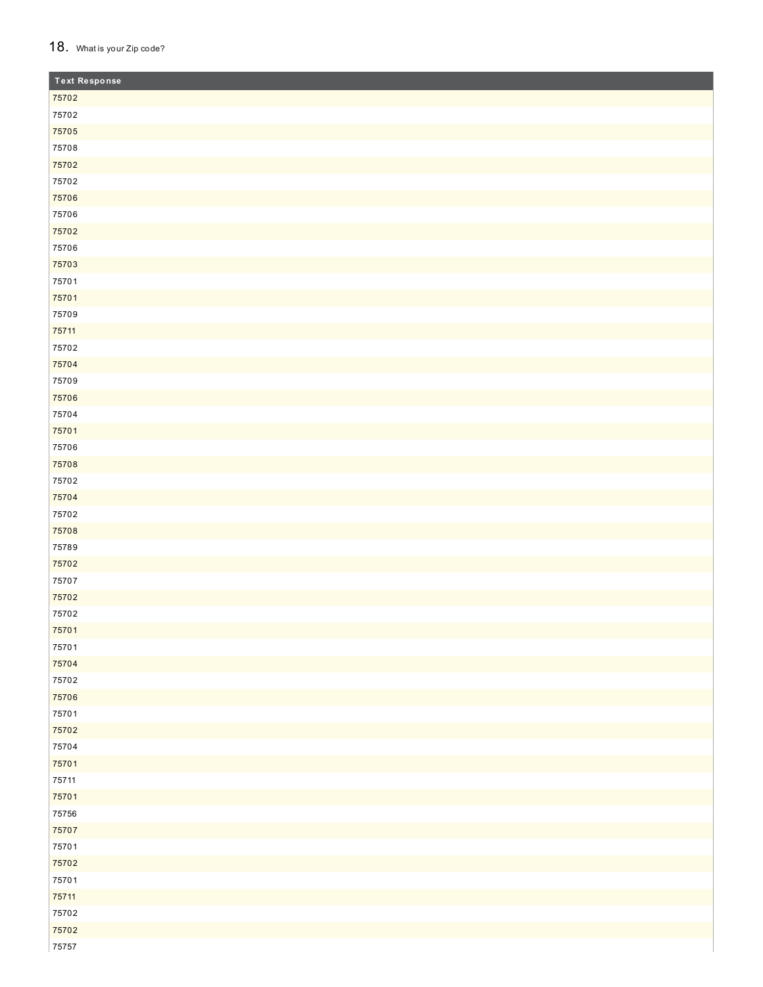### 18. What is your Zip code?

| <b>Text Response</b> |
|----------------------|
| 75702                |
| 75702                |
| 75705                |
| 75708                |
| 75702                |
| 75702                |
| 75706                |
| 75706                |
| 75702                |
| 75706                |
| 75703                |
| 75701                |
| 75701                |
| 75709                |
| 75711                |
| 75702                |
| 75704                |
| 75709                |
| 75706                |
| 75704                |
| 75701                |
| 75706                |
| 75708                |
| 75702                |
| 75704                |
| 75702                |
| 75708                |
| 75789                |
| 75702                |
| 75707                |
| 75702                |
| 75702                |
| 75701                |
| 75701                |
| 75704                |
| 75702                |
| 75706                |
| 75701                |
| 75702                |
| 75704                |
| 75701                |
| 75711                |
| 75701                |
| 75756                |
| 75707                |
| 75701                |
| 75702                |
| 75701                |
| 75711                |
| 75702                |
| 75702                |
| 75757                |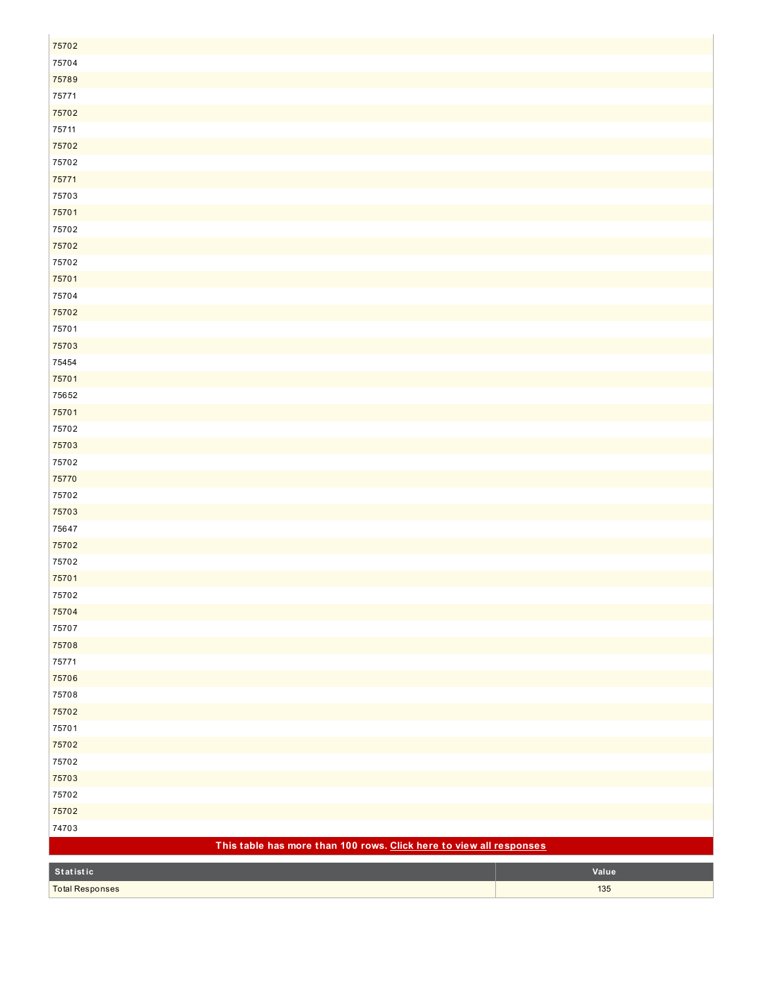| 75702                                                               |       |
|---------------------------------------------------------------------|-------|
| 75704                                                               |       |
| 75789                                                               |       |
| 75771                                                               |       |
| 75702                                                               |       |
| 75711                                                               |       |
| 75702                                                               |       |
| 75702                                                               |       |
| 75771                                                               |       |
| 75703                                                               |       |
| 75701                                                               |       |
| 75702                                                               |       |
| 75702                                                               |       |
| 75702                                                               |       |
| 75701                                                               |       |
| 75704                                                               |       |
| 75702                                                               |       |
| 75701                                                               |       |
| 75703                                                               |       |
| 75454                                                               |       |
| 75701                                                               |       |
| 75652                                                               |       |
| 75701                                                               |       |
| 75702                                                               |       |
| 75703                                                               |       |
| 75702                                                               |       |
| 75770                                                               |       |
| 75702                                                               |       |
| 75703                                                               |       |
| 75647                                                               |       |
| 75702                                                               |       |
| 75702                                                               |       |
| 75701                                                               |       |
| 75702                                                               |       |
| 75704                                                               |       |
| 75707                                                               |       |
| 75708                                                               |       |
| 75771                                                               |       |
| 75706                                                               |       |
| 75708                                                               |       |
| 75702                                                               |       |
| 75701                                                               |       |
| 75702                                                               |       |
| 75702                                                               |       |
| 75703                                                               |       |
| 75702                                                               |       |
| 75702                                                               |       |
| 74703                                                               |       |
| This table has more than 100 rows. Click here to view all responses |       |
| Statistic                                                           | Value |
| <b>Total Responses</b>                                              | 135   |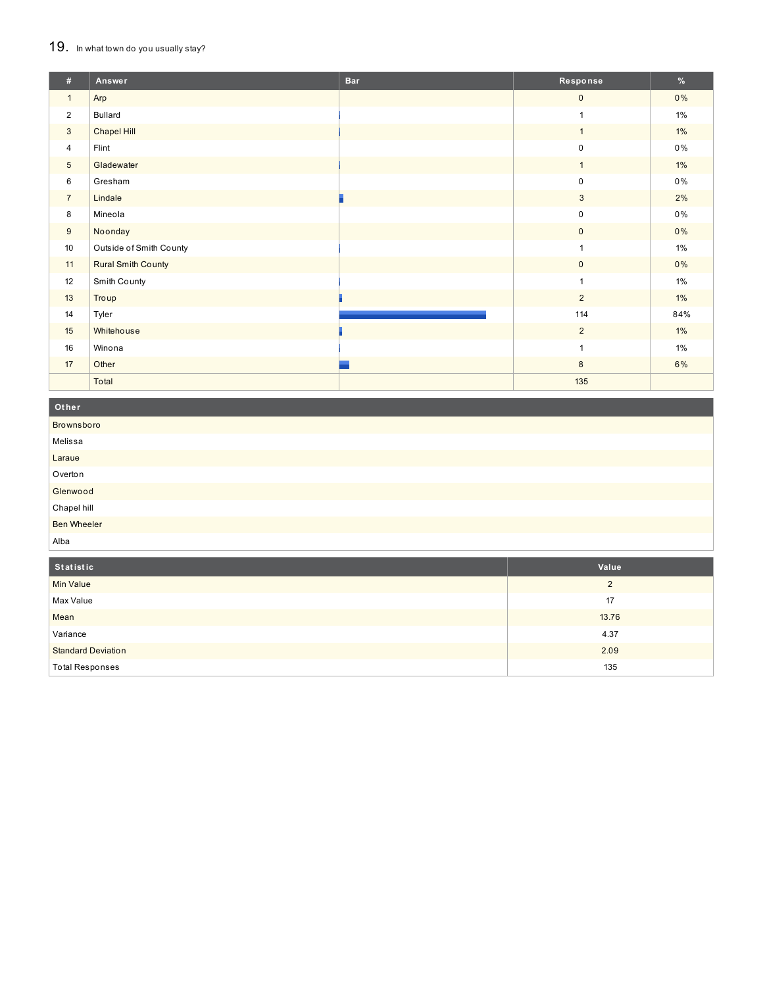# 19. In what town do you usually stay?

| #               | Answer                    | <b>Bar</b> | Response       | %     |
|-----------------|---------------------------|------------|----------------|-------|
| $\mathbf{1}$    | Arp                       |            | $\mathbf{0}$   | 0%    |
| $\overline{2}$  | <b>Bullard</b>            |            | $\mathbf{1}$   | $1\%$ |
| 3               | Chapel Hill               |            | $\mathbf{1}$   | $1\%$ |
| $\overline{4}$  | Flint                     |            | $\mathbf 0$    | 0%    |
| $5\phantom{.0}$ | Gladewater                |            | $\overline{1}$ | $1\%$ |
| 6               | Gresham                   |            | $\mathbf 0$    | 0%    |
| $\overline{7}$  | Lindale                   |            | $\mathbf{3}$   | 2%    |
| 8               | Mineola                   |            | $\mathsf 0$    | 0%    |
| 9               | Noonday                   |            | $\mathbf{0}$   | 0%    |
| 10              | Outside of Smith County   |            | $\mathbf{1}$   | $1\%$ |
| 11              | <b>Rural Smith County</b> |            | $\mathbf{0}$   | 0%    |
| 12              | Smith County              |            | $\mathbf{1}$   | $1\%$ |
| 13              | Troup                     |            | $\overline{2}$ | $1\%$ |
| 14              | Tyler                     |            | 114            | 84%   |
| 15              | Whitehouse                |            | $\overline{2}$ | $1\%$ |
| 16              | Winona                    |            | 1              | $1\%$ |
| 17              | Other                     |            | 8              | 6%    |
|                 | Total                     |            | 135            |       |

Other Brownsboro Melissa Laraue Overton Glenwood Chapel hill **Ben Wheeler** Alba

| Statistic                 | Value    |
|---------------------------|----------|
| <b>Min Value</b>          | $\Omega$ |
| Max Value                 | 17       |
| Mean                      | 13.76    |
| Variance                  | 4.37     |
| <b>Standard Deviation</b> | 2.09     |
| <b>Total Responses</b>    | 135      |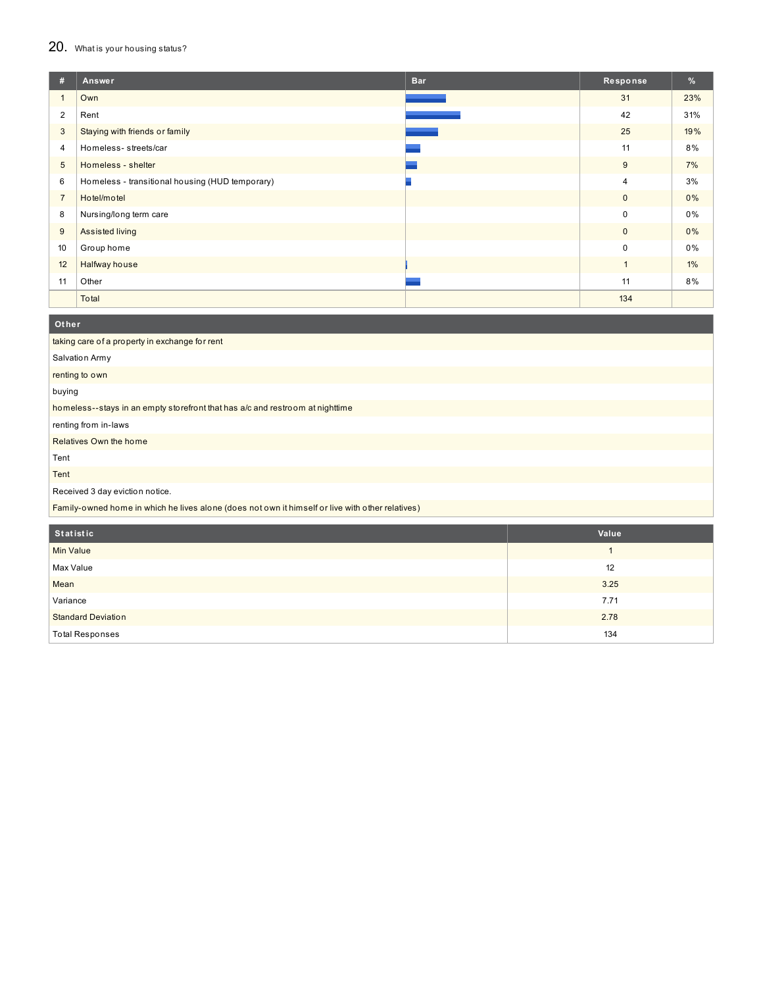# 20. What is your housing status?

| #              | Answer                                          | <b>Bar</b> | Response     | %   |
|----------------|-------------------------------------------------|------------|--------------|-----|
| 1              | Own                                             |            | 31           | 23% |
| 2              | Rent                                            |            | 42           | 31% |
| 3              | Staying with friends or family                  |            | 25           | 19% |
| $\overline{4}$ | Homeless-streets/car                            |            | 11           | 8%  |
| 5              | Homeless - shelter                              |            | 9            | 7%  |
| 6              | Homeless - transitional housing (HUD temporary) |            | 4            | 3%  |
| $\overline{7}$ | Hotel/motel                                     |            | $\mathbf{0}$ | 0%  |
| 8              | Nursing/long term care                          |            | 0            | 0%  |
| 9              | Assisted living                                 |            | $\mathbf{0}$ | 0%  |
| 10             | Group home                                      |            | 0            | 0%  |
| 12             | Halfway house                                   |            | $\mathbf{1}$ | 1%  |
| 11             | Other                                           |            | 11           | 8%  |
|                | Total                                           |            | 134          |     |

| Other                                                                                            |              |  |  |  |
|--------------------------------------------------------------------------------------------------|--------------|--|--|--|
| taking care of a property in exchange for rent                                                   |              |  |  |  |
| Salvation Army                                                                                   |              |  |  |  |
| renting to own                                                                                   |              |  |  |  |
| buying                                                                                           |              |  |  |  |
| homeless--stays in an empty storefront that has a/c and restroom at nighttime                    |              |  |  |  |
| renting from in-laws                                                                             |              |  |  |  |
| Relatives Own the home                                                                           |              |  |  |  |
| Tent                                                                                             |              |  |  |  |
| Tent                                                                                             |              |  |  |  |
| Received 3 day eviction notice.                                                                  |              |  |  |  |
| Family-owned home in which he lives alone (does not own it himself or live with other relatives) |              |  |  |  |
|                                                                                                  |              |  |  |  |
| Statistic                                                                                        | Value        |  |  |  |
| Min Value                                                                                        | $\mathbf{1}$ |  |  |  |
| Max Value                                                                                        | 12           |  |  |  |

| Mean                      | 3.25 |
|---------------------------|------|
| Variance                  | 7.71 |
| <b>Standard Deviation</b> | 2.78 |
| <b>Total Responses</b>    | 134  |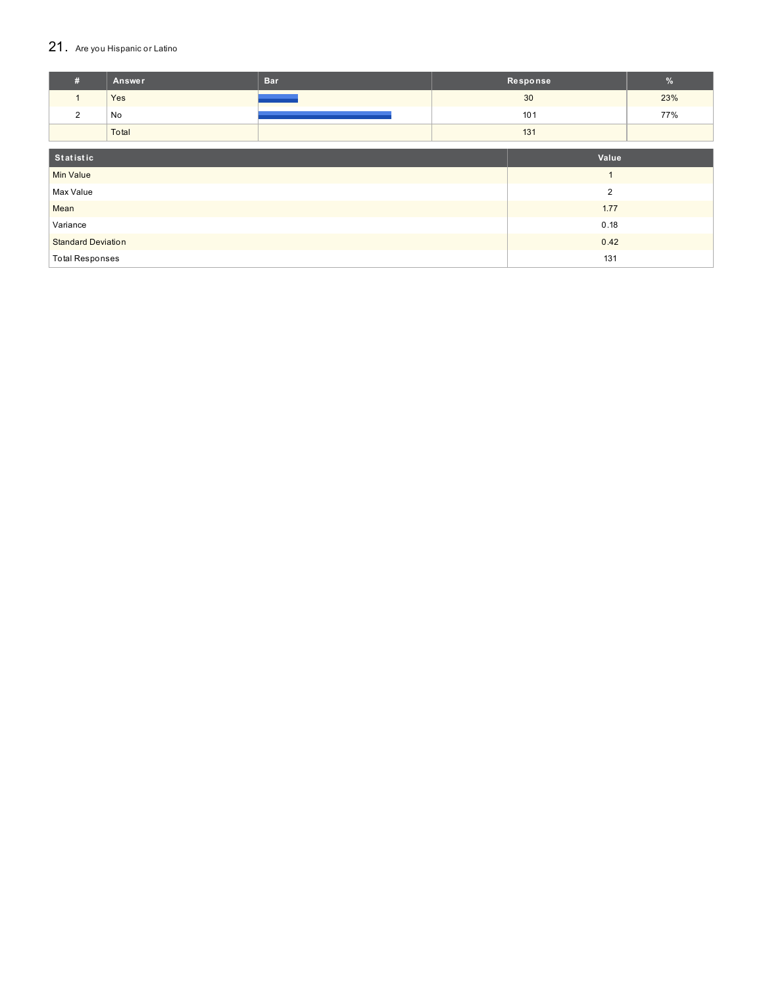# 21. Are you Hispanic or Latino

| #                         | Answer    | <b>Bar</b> |                | Response | $\%$ |
|---------------------------|-----------|------------|----------------|----------|------|
| $\mathbf{1}$              | Yes       |            |                | 30       | 23%  |
| $\overline{2}$            | No        |            |                | 101      | 77%  |
|                           | Total     |            |                | 131      |      |
|                           |           |            |                |          |      |
|                           | Statistic |            |                | Value    |      |
| <b>Min Value</b>          |           |            |                |          |      |
| Max Value                 |           |            | $\overline{2}$ |          |      |
| Mean                      |           | 1.77       |                |          |      |
| Variance                  |           | 0.18       |                |          |      |
| <b>Standard Deviation</b> |           |            | 0.42           |          |      |
| <b>Total Responses</b>    |           |            |                | 131      |      |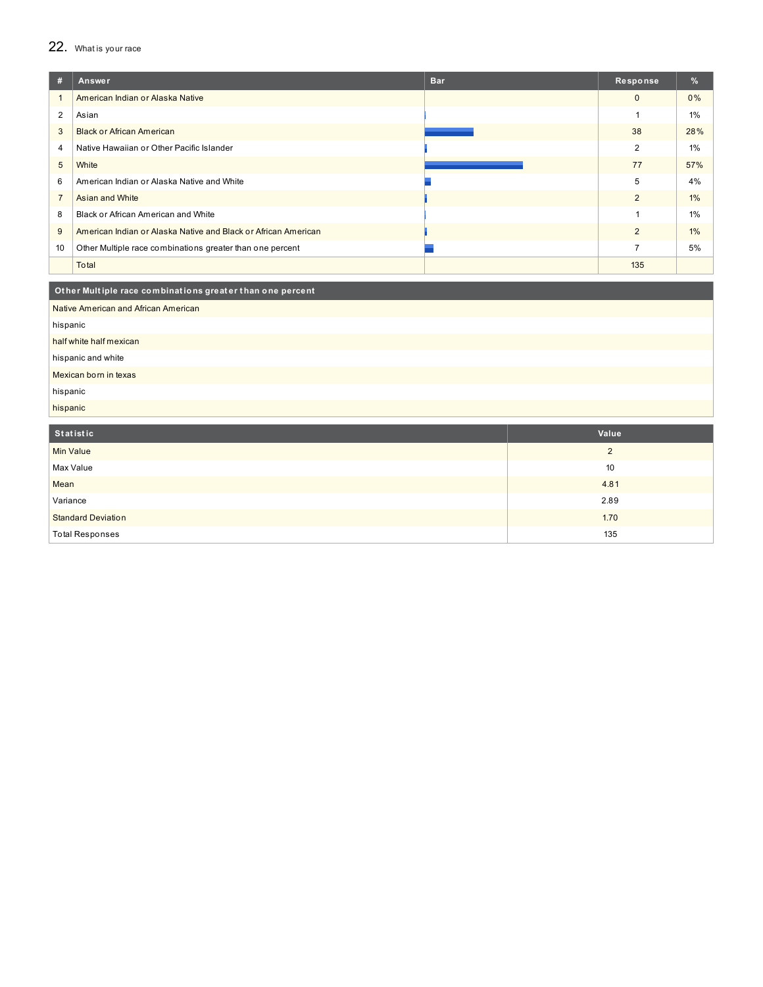# 22. What is your race

| #              | Answer                                                         | <b>Bar</b> | Response       | %     |  |
|----------------|----------------------------------------------------------------|------------|----------------|-------|--|
| $\mathbf{1}$   | American Indian or Alaska Native                               |            | $\mathbf 0$    | 0%    |  |
| $\overline{2}$ | Asian                                                          |            | $\mathbf{1}$   | $1\%$ |  |
| 3              | <b>Black or African American</b>                               |            | 38             | 28%   |  |
| $\overline{4}$ | Native Hawaiian or Other Pacific Islander                      |            | 2              | $1\%$ |  |
| 5              | White                                                          |            | 77             | 57%   |  |
| 6              | American Indian or Alaska Native and White                     |            | 5              | 4%    |  |
| $\overline{7}$ | Asian and White                                                |            | $\overline{2}$ | 1%    |  |
| 8              | Black or African American and White                            |            | $\mathbf{1}$   | $1\%$ |  |
| 9              | American Indian or Alaska Native and Black or African American |            | 2              | $1\%$ |  |
| 10             | Other Multiple race combinations greater than one percent      |            | $\overline{7}$ | 5%    |  |
|                | Total                                                          |            | 135            |       |  |
|                | Other Multiple race combinations greater than one percent      |            |                |       |  |
|                | Native American and African American                           |            |                |       |  |
| hispanic       |                                                                |            |                |       |  |
|                | half white half mexican                                        |            |                |       |  |
|                | hispanic and white                                             |            |                |       |  |
|                | Mexican born in texas                                          |            |                |       |  |
| hispanic       |                                                                |            |                |       |  |
| hispanic       |                                                                |            |                |       |  |
|                | <b>Statistic</b><br>Value                                      |            |                |       |  |
|                | <b>Min Value</b>                                               |            | $\overline{2}$ |       |  |
|                | Max Value                                                      |            | 10             |       |  |
| Mean           |                                                                |            | 4.81           |       |  |

2.89  $1.70$ 

135

**Standard Deviation Total Responses** 

Variance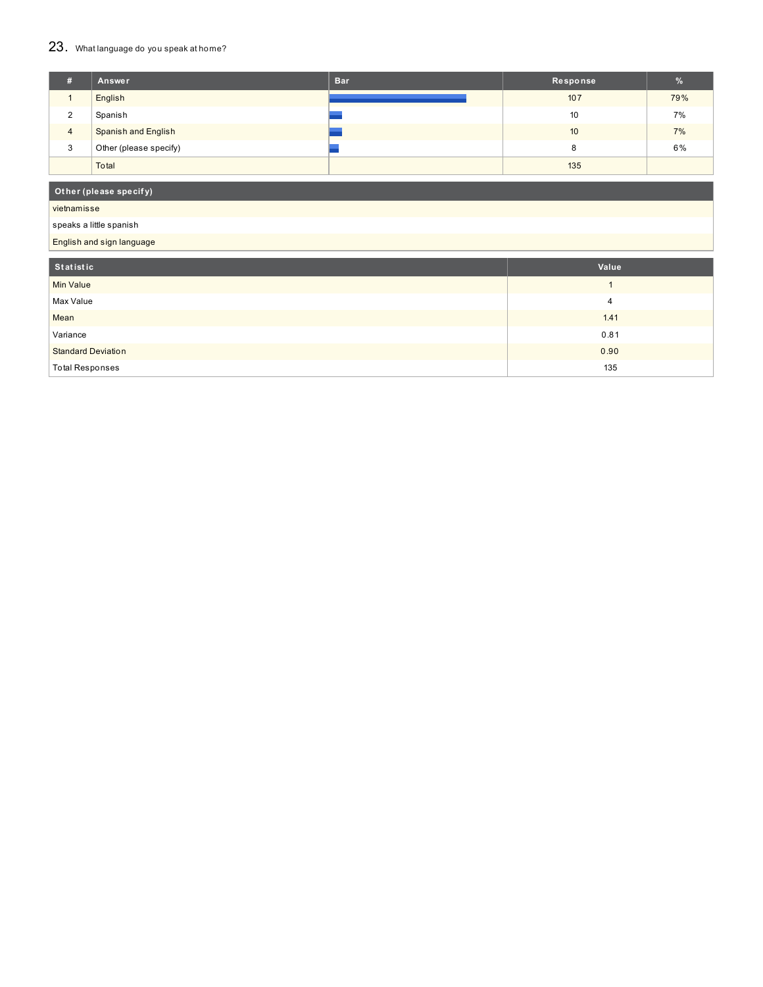# 23. What language do you speak at home?

| #           | Answer                     | <b>Bar</b> | Response        | %   |
|-------------|----------------------------|------------|-----------------|-----|
|             | English                    |            | 107             | 79% |
| $\sim$<br>∠ | Spanish                    |            | 10 <sup>°</sup> | 7%  |
| 4           | <b>Spanish and English</b> |            | 10              | 7%  |
| 3           | Other (please specify)     |            | 8               | 6%  |
|             | Total                      |            | 135             |     |

# **Ot her (please specif y)**

vietnamisse

# speaks a little spanish

English and sign language

| Statistic                 | Value |
|---------------------------|-------|
| <b>Min Value</b>          |       |
| Max Value                 |       |
| Mean                      | 1.41  |
| Variance                  | 0.81  |
| <b>Standard Deviation</b> | 0.90  |
| <b>Total Responses</b>    | 135   |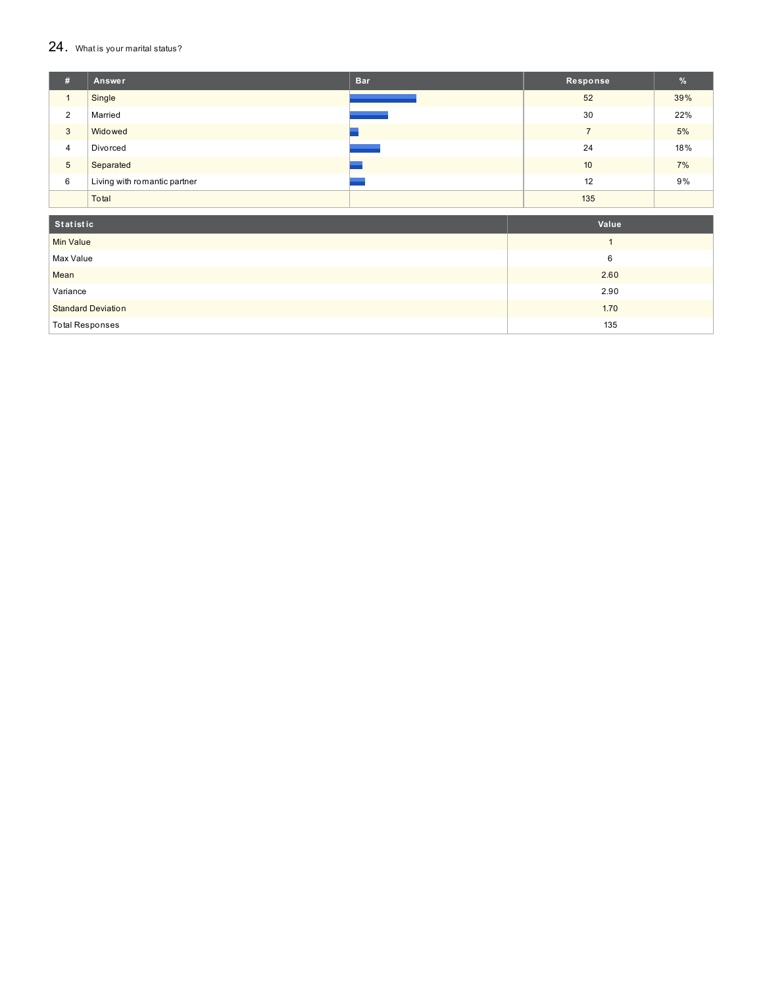#### $24.$  What is your marital status?

| #              | Answer                       | <b>Bar</b> | Response | $\frac{9}{6}$ |
|----------------|------------------------------|------------|----------|---------------|
|                | Single                       |            | 52       | 39%           |
| 2              | Married                      |            | 30       | 22%           |
| 3              | Widowed                      |            | -        | 5%            |
| $\overline{4}$ | Divorced                     |            | 24       | 18%           |
| 5              | Separated                    |            | 10       | 7%            |
| 6              | Living with romantic partner |            | 12       | 9%            |
|                | Total                        |            | 135      |               |

| Statistic                 | Value |
|---------------------------|-------|
| <b>Min Value</b>          |       |
| Max Value                 | 6     |
| Mean                      | 2.60  |
| Variance                  | 2.90  |
| <b>Standard Deviation</b> | 1.70  |
| <b>Total Responses</b>    | 135   |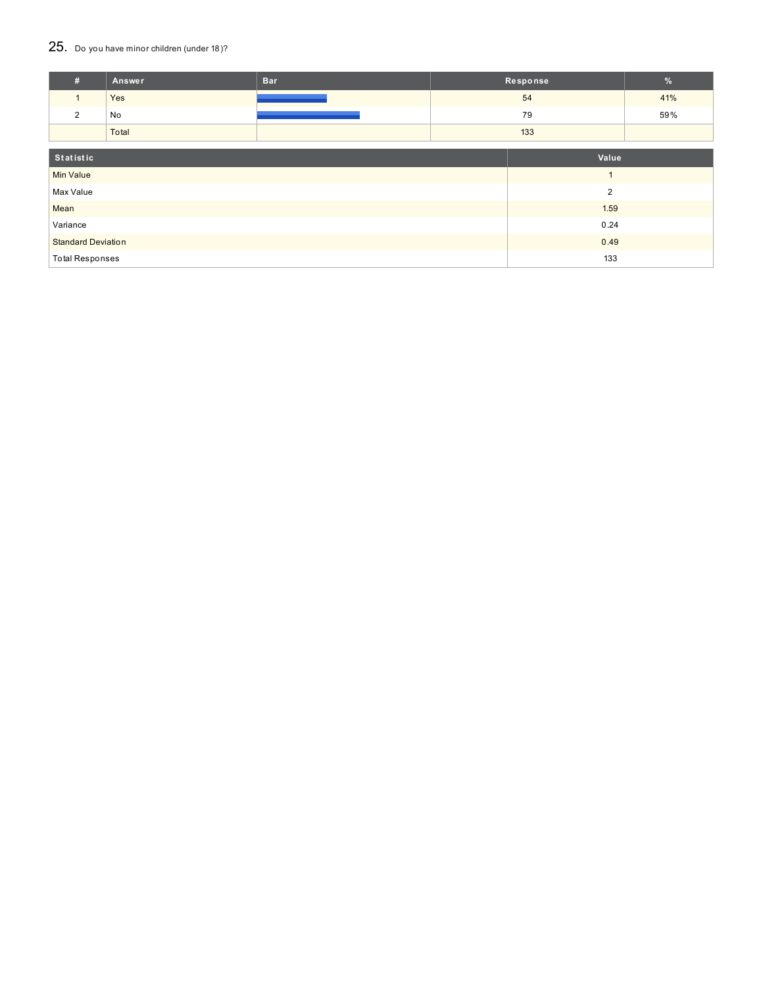# 25. Do you have minor children (under 18)?

| #                         | Answer | <b>Bar</b> |                | Response | $\%$ |
|---------------------------|--------|------------|----------------|----------|------|
| $\mathbf{1}$              | Yes    |            |                | 54       | 41%  |
| 2                         | No     |            |                | 79       | 59%  |
|                           | Total  |            |                | 133      |      |
| Statistic                 |        |            |                | Value    |      |
| <b>Min Value</b>          |        |            | $\overline{ }$ |          |      |
| Max Value                 |        |            | $\overline{2}$ |          |      |
| Mean                      |        | 1.59       |                |          |      |
| Variance                  |        |            | 0.24           |          |      |
| <b>Standard Deviation</b> |        |            | 0.49           |          |      |
| <b>Total Responses</b>    |        |            | 133            |          |      |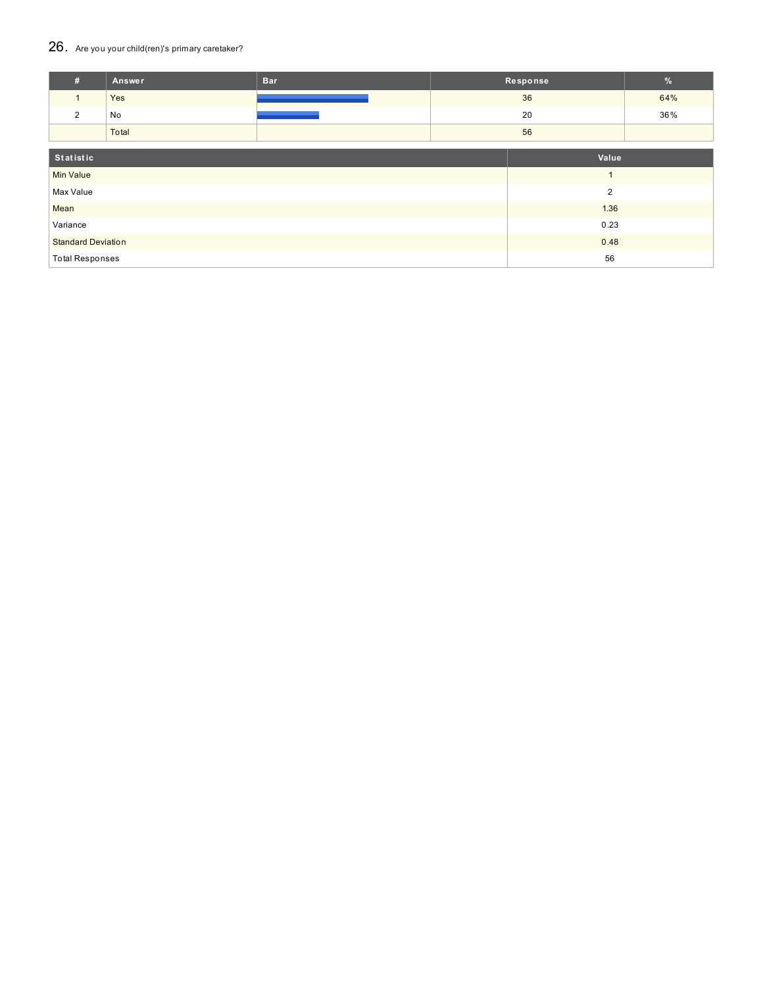# 26. Are you your child(ren)'s primary caretaker?

| #                         | Answer | <b>Bar</b> | Response       |      | $\%$ |
|---------------------------|--------|------------|----------------|------|------|
| $\mathbf{1}$              | Yes    |            | 36             |      | 64%  |
| 2                         | No     |            | 20             |      | 36%  |
|                           | Total  |            | 56             |      |      |
| Statistic                 |        |            | Value          |      |      |
| <b>Min Value</b>          |        |            | $\overline{ }$ |      |      |
| Max Value                 |        |            | $\overline{2}$ |      |      |
| Mean                      |        |            |                | 1.36 |      |
| Variance                  |        |            |                | 0.23 |      |
| <b>Standard Deviation</b> |        |            |                | 0.48 |      |
| <b>Total Responses</b>    |        |            |                | 56   |      |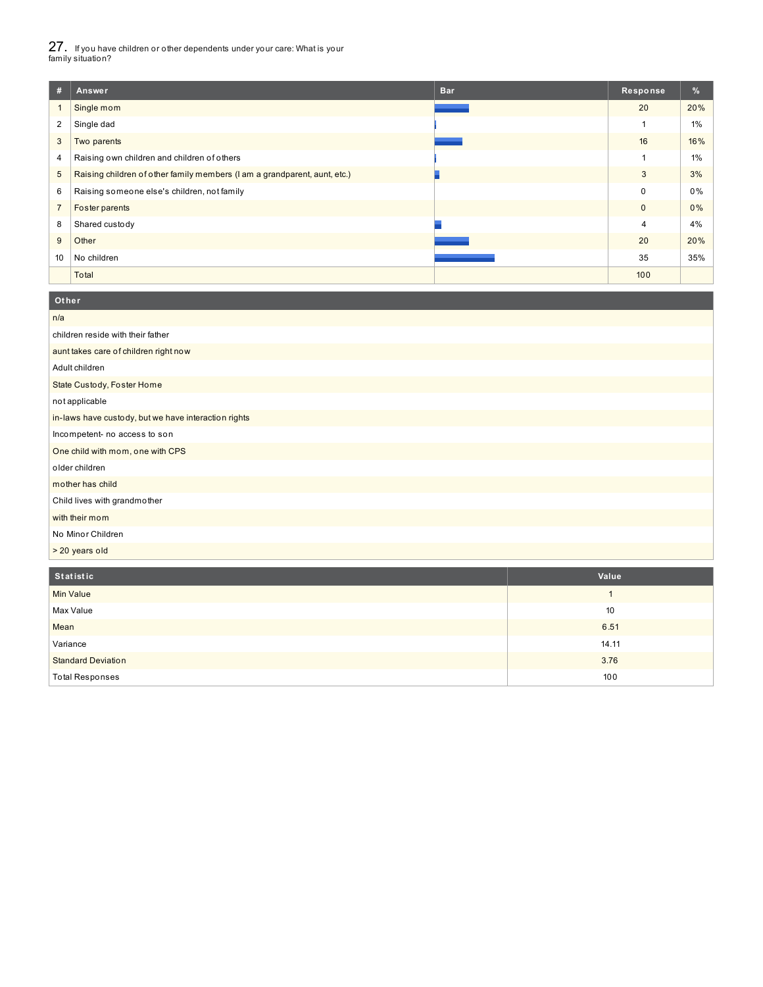27. If you have children or other dependents under your care: What is your family situation?

| #              | Answer                                                                    | <b>Bar</b> | Response     | %     |
|----------------|---------------------------------------------------------------------------|------------|--------------|-------|
|                | Single mom                                                                |            | 20           | 20%   |
| 2              | Single dad                                                                |            |              | $1\%$ |
| 3              | Two parents                                                               |            | 16           | 16%   |
| 4              | Raising own children and children of others                               |            |              | $1\%$ |
| 5              | Raising children of other family members (I am a grandparent, aunt, etc.) |            | 3            | 3%    |
| 6              | Raising someone else's children, not family                               |            | 0            | 0%    |
| $\overline{7}$ | Foster parents                                                            |            | $\mathbf{0}$ | 0%    |
| 8              | Shared custody                                                            |            | 4            | 4%    |
| 9              | Other                                                                     |            | 20           | 20%   |
| 10             | No children                                                               |            | 35           | 35%   |
|                | Total                                                                     |            | 100          |       |

| Other                                                |
|------------------------------------------------------|
| n/a                                                  |
| children reside with their father                    |
| aunt takes care of children right now                |
| Adult children                                       |
| State Custody, Foster Home                           |
| not applicable                                       |
| in-laws have custody, but we have interaction rights |
| Incompetent- no access to son                        |
| One child with mom, one with CPS                     |
| older children                                       |
| mother has child                                     |
| Child lives with grandmother                         |
| with their mom                                       |
| No Minor Children                                    |
| > 20 years old                                       |

| Statistic                 | Value |
|---------------------------|-------|
| <b>Min Value</b>          |       |
| Max Value                 | 10    |
| Mean                      | 6.51  |
| Variance                  | 14.11 |
| <b>Standard Deviation</b> | 3.76  |
| <b>Total Responses</b>    | 100   |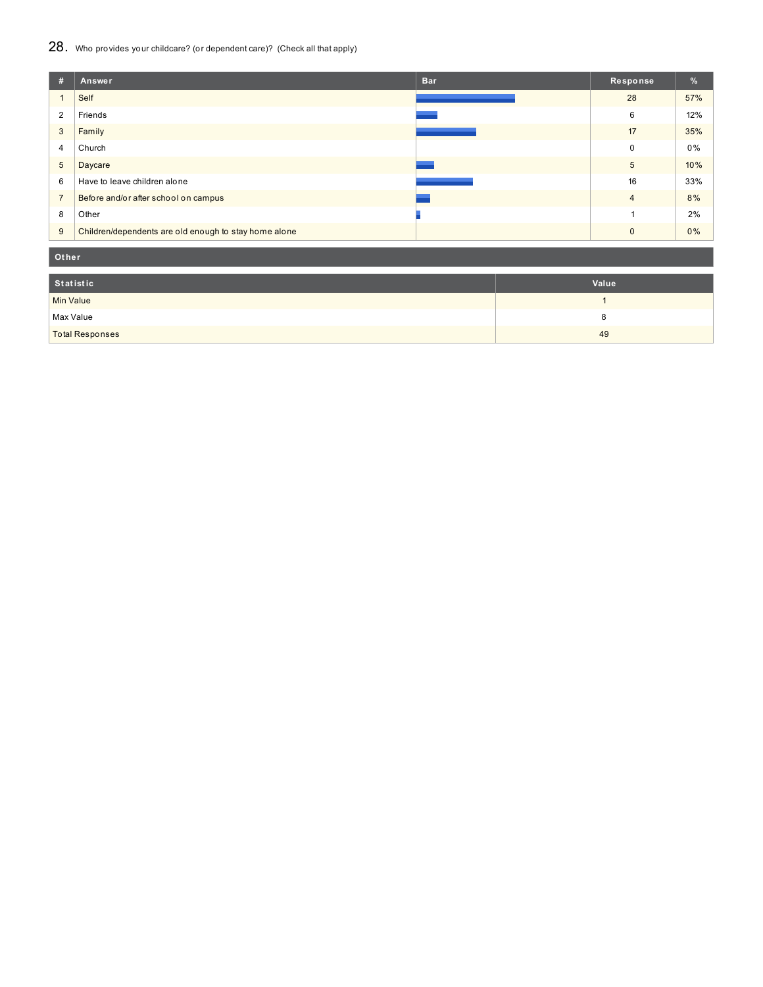# 28. Who provides your childcare? (or dependent care)? (Check all that apply)

| #              | <b>Bar</b><br>Answer                                  | Response       | $\frac{9}{6}$ |
|----------------|-------------------------------------------------------|----------------|---------------|
|                | Self                                                  | 28             | 57%           |
| $\overline{2}$ | Friends                                               | 6              | 12%           |
| 3              | Family                                                | 17             | 35%           |
| 4              | Church                                                | 0              | 0%            |
| 5              | Daycare                                               | 5              | 10%           |
| 6              | Have to leave children alone                          | 16             | 33%           |
| $\overline{7}$ | Before and/or after school on campus                  | $\overline{4}$ | 8%            |
| 8              | Other                                                 |                | 2%            |
| 9              | Children/dependents are old enough to stay home alone | $\mathbf{0}$   | 0%            |

**Ot her**

| Statistic              | Value |
|------------------------|-------|
| <b>Min Value</b>       |       |
| Max Value              |       |
| <b>Total Responses</b> | 49    |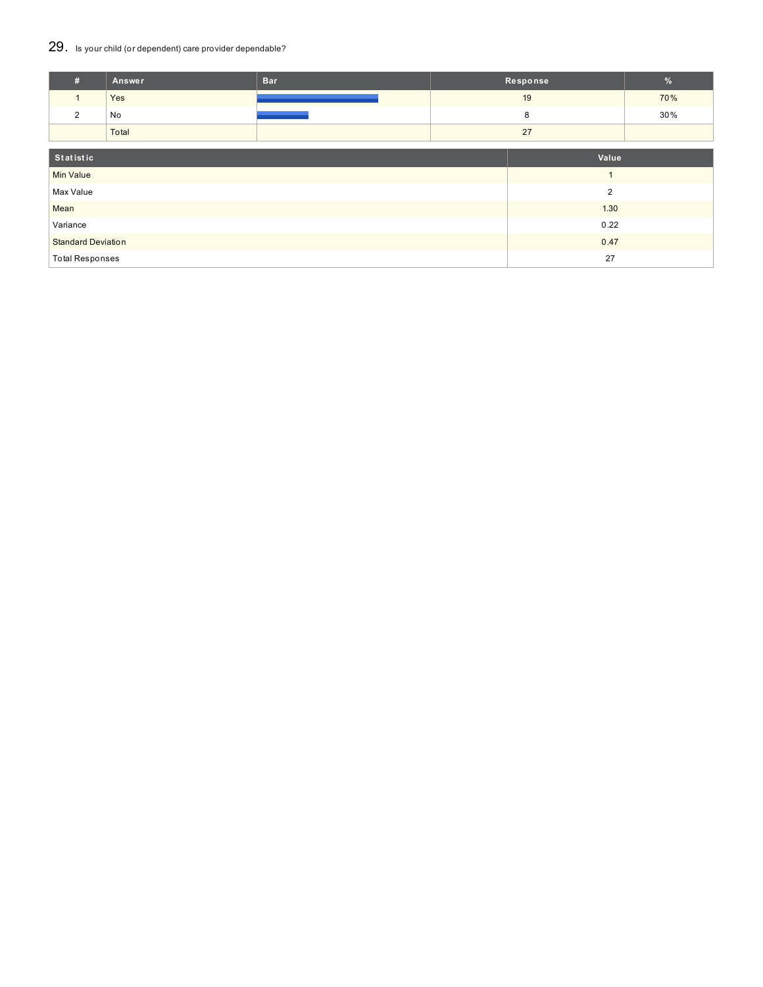# 29. Is your child (or dependent) care provider dependable?

| #                         | Answer | <b>Bar</b> | Response       |      | $\frac{9}{6}$ |
|---------------------------|--------|------------|----------------|------|---------------|
| $\mathbf{1}$              | Yes    |            | 19             |      | 70%           |
| 2                         | No     |            | 8              |      | 30%           |
|                           | Total  |            | 27             |      |               |
| Statistic                 |        |            | Value          |      |               |
| <b>Min Value</b>          |        |            | $\overline{A}$ |      |               |
| Max Value                 |        |            | $\overline{2}$ |      |               |
| Mean                      |        |            |                | 1.30 |               |
| Variance                  |        |            |                | 0.22 |               |
| <b>Standard Deviation</b> |        |            |                | 0.47 |               |
| <b>Total Responses</b>    |        |            |                | 27   |               |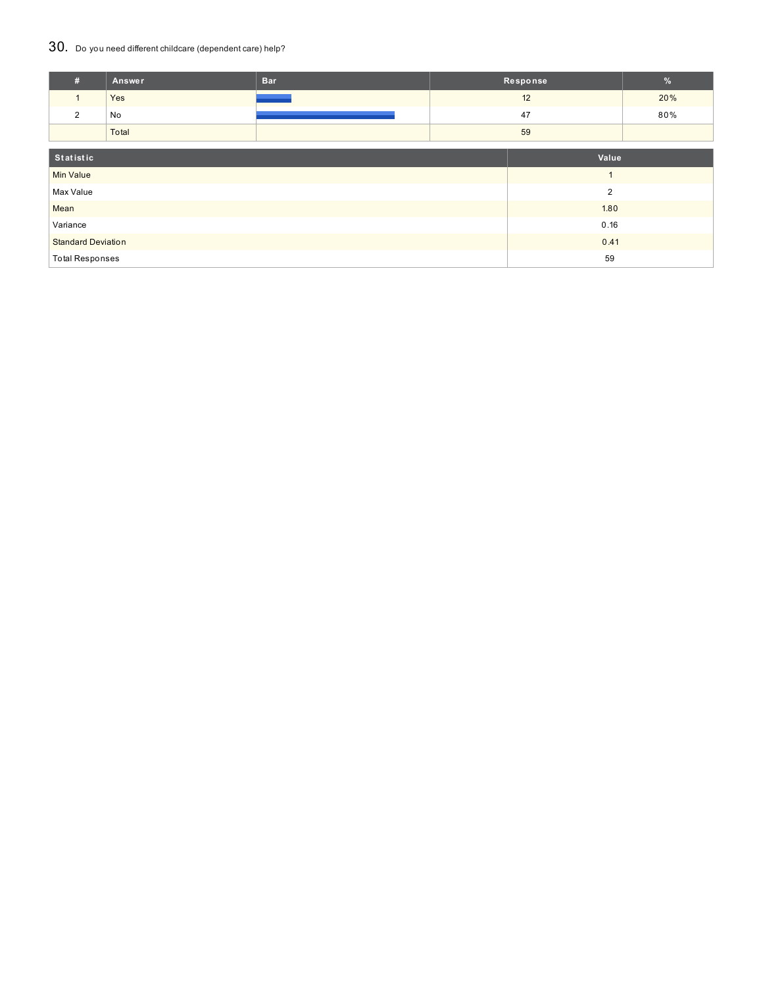## 30. Do you need different childcare (dependent care) help?

| #                         | Answer | <b>Bar</b> |  | Response       |     |
|---------------------------|--------|------------|--|----------------|-----|
| $\mathbf{1}$              | Yes    |            |  | 12             |     |
| 2                         | No     |            |  | 47             | 80% |
|                           | Total  |            |  | 59             |     |
|                           |        |            |  |                |     |
| Statistic                 |        |            |  | Value          |     |
| <b>Min Value</b>          |        |            |  | $\overline{ }$ |     |
| Max Value                 |        |            |  | $\overline{2}$ |     |
| Mean                      |        |            |  | 1.80           |     |
| Variance                  |        |            |  | 0.16           |     |
| <b>Standard Deviation</b> |        |            |  | 0.41           |     |
| <b>Total Responses</b>    |        |            |  | 59             |     |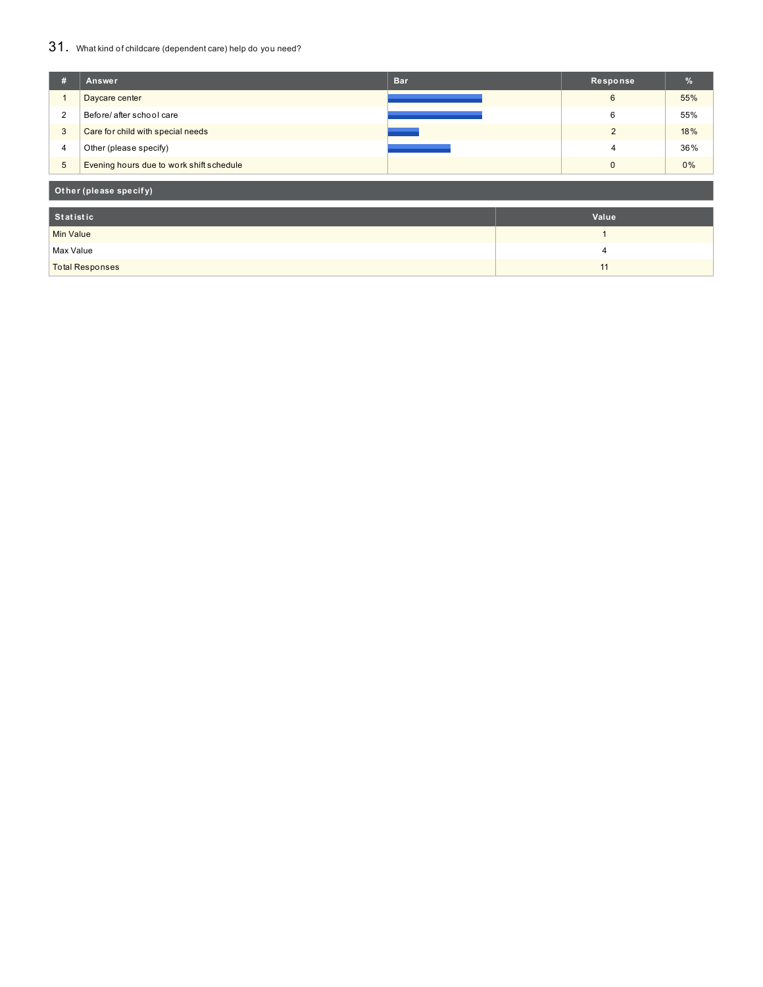## 31. What kind of childcare (dependent care) help do you need?

| #                | Answer                                   | <b>Bar</b> |  | Response       | %   |  |
|------------------|------------------------------------------|------------|--|----------------|-----|--|
|                  | Daycare center                           |            |  | 6              | 55% |  |
| 2                | Before/ after school care                |            |  | 6              | 55% |  |
| 3                | Care for child with special needs        |            |  | $\overline{2}$ | 18% |  |
| $\overline{4}$   | Other (please specify)                   |            |  | 4              | 36% |  |
| $\overline{5}$   | Evening hours due to work shift schedule |            |  | $\mathbf{0}$   | 0%  |  |
|                  | Other (please specify)                   |            |  |                |     |  |
| <b>Statistic</b> |                                          |            |  | Value          |     |  |
| <b>Min Value</b> |                                          |            |  | 1              |     |  |
| Max Value        |                                          |            |  | 4              |     |  |
|                  | <b>Total Responses</b>                   |            |  | 11             |     |  |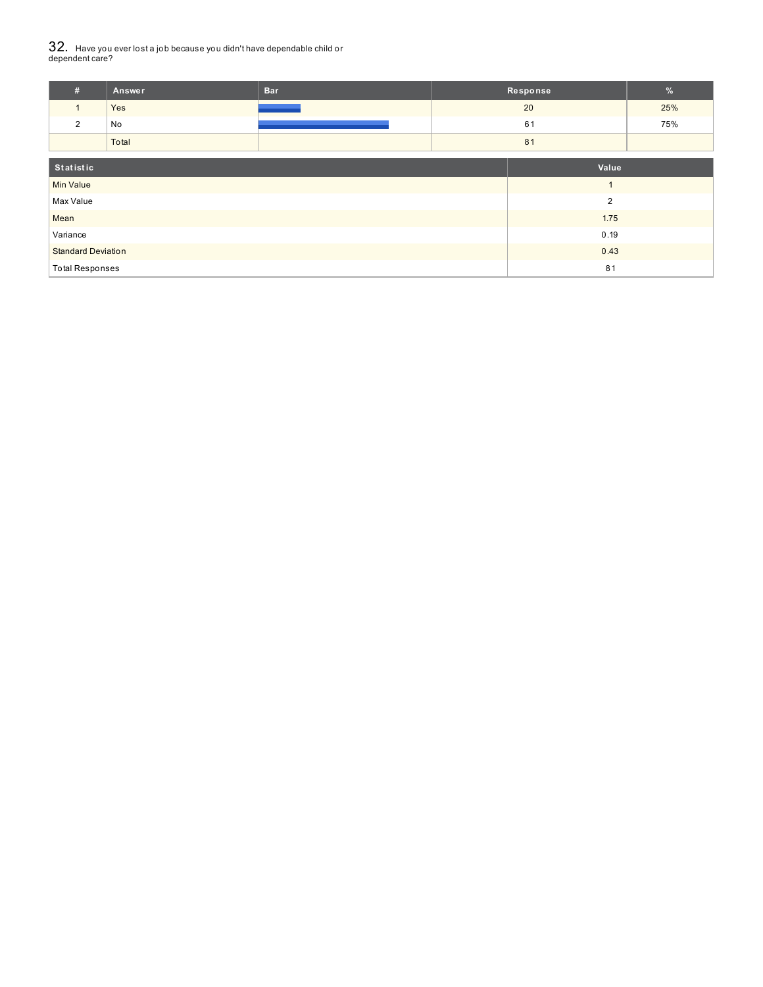# $32_\cdot\,$  Have you ever lost a job because you didn't have dependable child or<br>dependent care?

| #                         | Answer | <b>Bar</b> |       | Response | $\frac{9}{6}$ |
|---------------------------|--------|------------|-------|----------|---------------|
|                           | Yes    |            | 20    |          | 25%           |
| 2                         | No     |            | 61    |          | 75%           |
|                           | Total  |            |       | 81       |               |
| Statistic                 |        |            | Value |          |               |
| Min Value                 |        |            |       |          |               |
| Max Value                 |        |            |       | 2        |               |
| Mean                      |        |            |       | 1.75     |               |
| Variance                  |        |            |       | 0.19     |               |
| <b>Standard Deviation</b> |        |            |       | 0.43     |               |

Total Responses 81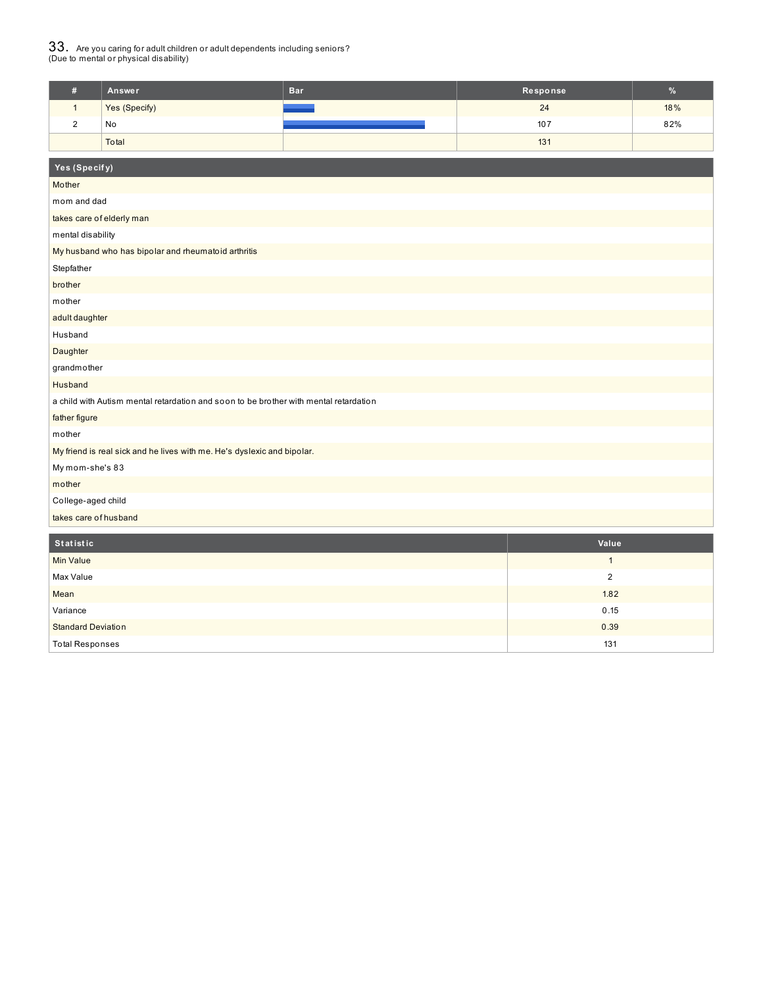# $33_\cdot$  Are you caring for adult children or adult dependents including seniors?<br>(Due to mental or physical disability)

| Answer        | <b>Bar</b> | Response | $\%$ |
|---------------|------------|----------|------|
| Yes (Specify) | - -        | 24       | 18%  |
| No            |            | 107      | 82%  |
| Total         |            | 131      |      |

| Yes (Specify)                                                                         |
|---------------------------------------------------------------------------------------|
| Mother                                                                                |
| mom and dad                                                                           |
| takes care of elderly man                                                             |
| mental disability                                                                     |
| My husband who has bipolar and rheumatoid arthritis                                   |
| Stepfather                                                                            |
| brother                                                                               |
| mother                                                                                |
| adult daughter                                                                        |
| Husband                                                                               |
| Daughter                                                                              |
| grandmother                                                                           |
| Husband                                                                               |
| a child with Autism mental retardation and soon to be brother with mental retardation |
| father figure                                                                         |
| mother                                                                                |
| My friend is real sick and he lives with me. He's dyslexic and bipolar.               |
| My mom-she's 83                                                                       |
| mother                                                                                |
| College-aged child                                                                    |
| takes care of husband                                                                 |

| Statistic                 | Value |
|---------------------------|-------|
| <b>Min Value</b>          |       |
| Max Value                 | っ     |
| Mean                      | 1.82  |
| Variance                  | 0.15  |
| <b>Standard Deviation</b> | 0.39  |
| <b>Total Responses</b>    | 131   |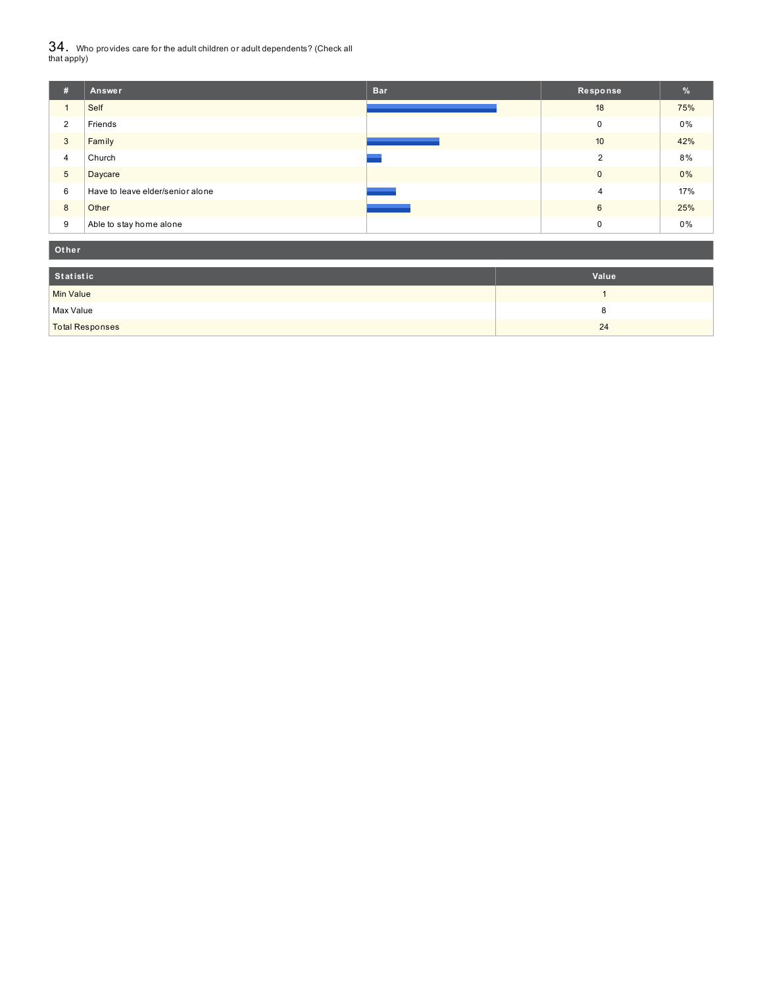${\bf 34}$  . Who provides care for the adult children or adult dependents? (Check all<br>that apply)

| #               | Answer                           | <b>Bar</b> | Response       | $\frac{9}{6}$ |
|-----------------|----------------------------------|------------|----------------|---------------|
|                 | Self                             |            | 18             | 75%           |
| 2               | Friends                          |            | 0              | 0%            |
| 3               | Family                           |            | 10             | 42%           |
| 4               | Church                           |            | $\overline{2}$ | 8%            |
| $5\phantom{.0}$ | Daycare                          |            | $\mathbf 0$    | $0\%$         |
| 6               | Have to leave elder/senior alone |            | 4              | 17%           |
| 8               | Other                            |            | 6              | 25%           |
| 9               | Able to stay home alone          |            | 0              | 0%            |

| Other                  |       |
|------------------------|-------|
| Statistic              | Value |
| Min Value              |       |
| Max Value              | о     |
| <b>Total Responses</b> | 24    |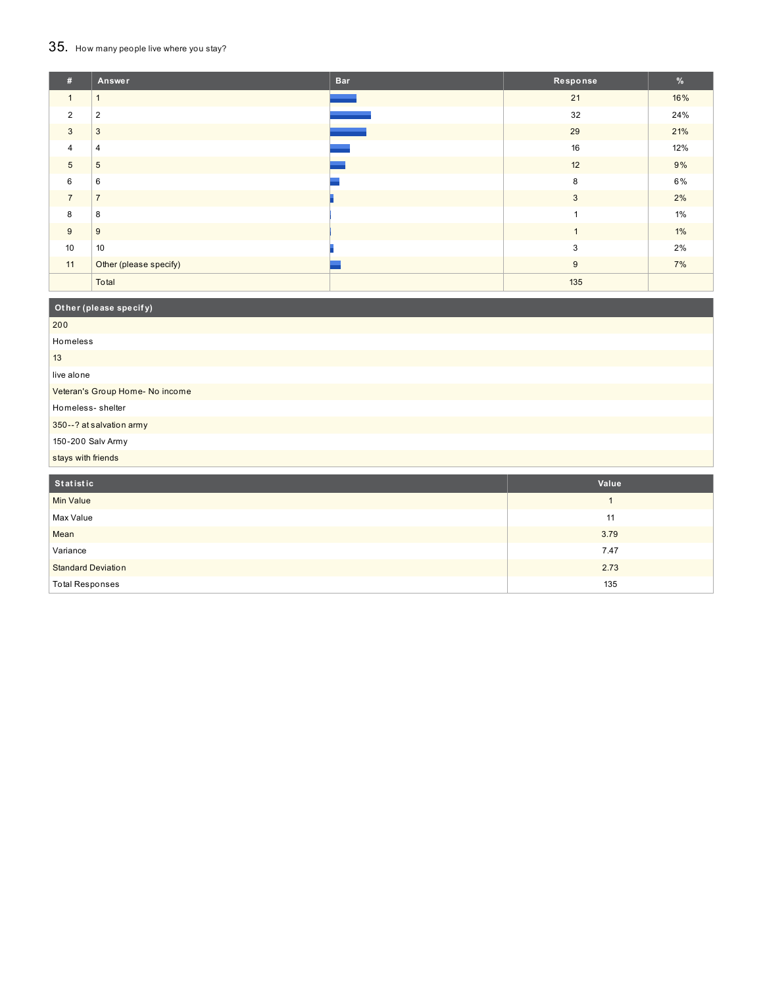## 35. How many people live where you stay?

| #              | Answer                 | <b>Bar</b> | Response       | %     |
|----------------|------------------------|------------|----------------|-------|
| $\mathbf{1}$   |                        |            | 21             | 16%   |
| $\overline{2}$ | $\overline{2}$         |            | 32             | 24%   |
| 3              | 3                      |            | 29             | 21%   |
| $\overline{4}$ | 4                      |            | 16             | 12%   |
| $\sqrt{5}$     | 5                      |            | 12             | 9%    |
| 6              | 6                      |            | 8              | 6%    |
| $\overline{7}$ | $\overline{7}$         |            | 3              | 2%    |
| 8              | 8                      |            | 1              | 1%    |
| 9              | 9                      |            | $\overline{1}$ | $1\%$ |
| 10             | 10                     |            | 3              | 2%    |
| 11             | Other (please specify) |            | 9              | 7%    |
|                | Total                  |            | 135            |       |

| Other (please specify)          |       |
|---------------------------------|-------|
| 200                             |       |
| Homeless                        |       |
| 13                              |       |
| live alone                      |       |
| Veteran's Group Home- No income |       |
| Homeless-shelter                |       |
| 350--? at salvation army        |       |
| 150-200 Salv Army               |       |
| stays with friends              |       |
| Statistic                       | Value |

| Statistic                 | Value |
|---------------------------|-------|
| <b>Min Value</b>          |       |
| Max Value                 | 11    |
| Mean                      | 3.79  |
| Variance                  | 7.47  |
| <b>Standard Deviation</b> | 2.73  |
| <b>Total Responses</b>    | 135   |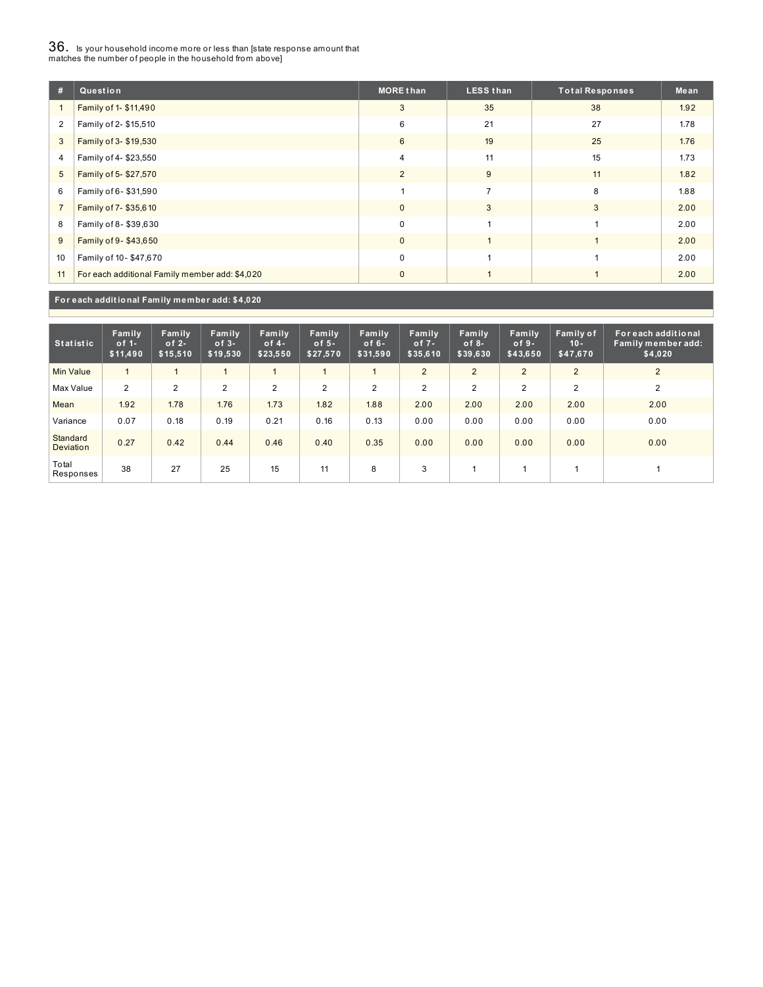## $36_\cdot$  is your household income more or less than [state response amount that<br>matches the number of people in the household from above]

| #              | Question                                       | <b>MORE than</b> | <b>LESS than</b> | <b>Total Responses</b> | Mean |
|----------------|------------------------------------------------|------------------|------------------|------------------------|------|
|                | Family of 1- \$11,490                          | 3                | 35               | 38                     | 1.92 |
| $\overline{2}$ | Family of 2- \$15,510                          | 6                | 21               | 27                     | 1.78 |
| 3              | Family of 3- \$19,530                          | 6                | 19               | 25                     | 1.76 |
| 4              | Family of 4-\$23,550                           | 4                | 11               | 15                     | 1.73 |
| 5              | Family of 5-\$27,570                           | 2                | 9                | 11                     | 1.82 |
| 6              | Family of 6-\$31,590                           |                  | $\overline{ }$   | 8                      | 1.88 |
| $\overline{7}$ | Family of 7-\$35,610                           | $\mathbf{0}$     | 3                | 3                      | 2.00 |
| 8              | Family of 8-\$39,630                           | $\Omega$         |                  |                        | 2.00 |
| 9              | Family of 9-\$43,650                           | $\mathbf{0}$     |                  |                        | 2.00 |
| 10             | Family of 10-\$47,670                          | 0                |                  |                        | 2.00 |
| 11             | For each additional Family member add: \$4,020 | $\mathbf{0}$     |                  |                        | 2.00 |

**For each addit ional Family member add: \$4,020**

| <b>Statistic</b>             | Family<br>of $1-$<br>\$11,490 | Family<br>of $2-$<br>\$15,510 | Family<br>$of 3-$<br>\$19,530 | Family<br>of $4-$<br>\$23,550 | Family<br>of $5-$<br>\$27,570 | Family<br>of $6-$<br>\$31,590 | <b>Family</b><br>of $7-$<br>\$35,610 | Family<br>of $8-$<br>\$39,630 | Family<br>$of 9-$<br>\$43,650 | Family of<br>$10 -$<br>\$47,670 | For each additional<br>Family member add:<br>\$4,020 |
|------------------------------|-------------------------------|-------------------------------|-------------------------------|-------------------------------|-------------------------------|-------------------------------|--------------------------------------|-------------------------------|-------------------------------|---------------------------------|------------------------------------------------------|
| <b>Min Value</b>             |                               |                               |                               |                               |                               |                               | $\overline{2}$                       | $\overline{2}$                | $\overline{2}$                | 2                               | 2                                                    |
| Max Value                    | 2                             | $\overline{2}$                | $\overline{2}$                | 2                             | $\overline{2}$                | $\overline{2}$                | $\overline{2}$                       | $\overline{2}$                | $\overline{2}$                | $\overline{2}$                  | 2                                                    |
| Mean                         | 1.92                          | 1.78                          | 1.76                          | 1.73                          | 1.82                          | 1.88                          | 2.00                                 | 2.00                          | 2.00                          | 2.00                            | 2.00                                                 |
| Variance                     | 0.07                          | 0.18                          | 0.19                          | 0.21                          | 0.16                          | 0.13                          | 0.00                                 | 0.00                          | 0.00                          | 0.00                            | 0.00                                                 |
| Standard<br><b>Deviation</b> | 0.27                          | 0.42                          | 0.44                          | 0.46                          | 0.40                          | 0.35                          | 0.00                                 | 0.00                          | 0.00                          | 0.00                            | 0.00                                                 |
| Total<br>Responses           | 38                            | 27                            | 25                            | 15                            | 11                            | 8                             | 3                                    |                               |                               |                                 |                                                      |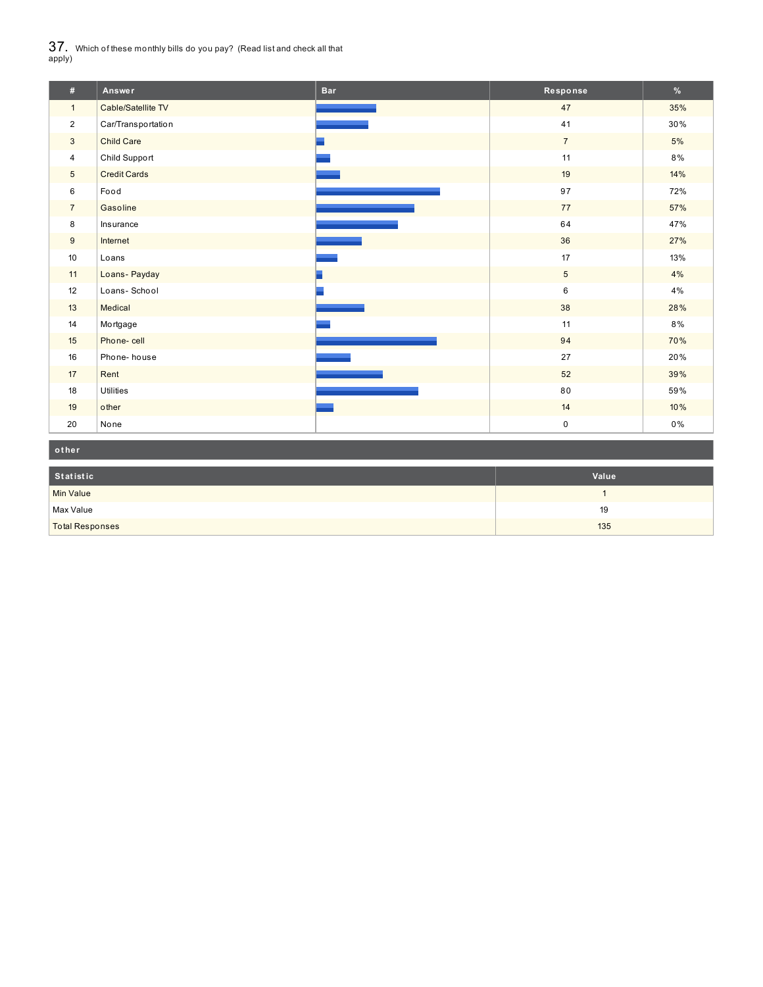$37_\cdot$  Which of these monthly bills do you pay? (Read list and check all that apply)

| #               | Answer              | <b>Bar</b> | Response        | $\%$  |
|-----------------|---------------------|------------|-----------------|-------|
| $\mathbf{1}$    | Cable/Satellite TV  |            | 47              | 35%   |
| $\overline{2}$  | Car/Transportation  |            | 41              | 30%   |
| $\mathbf{3}$    | <b>Child Care</b>   |            | $7\overline{ }$ | 5%    |
| $\overline{4}$  | Child Support       |            | 11              | 8%    |
| $5\overline{)}$ | <b>Credit Cards</b> |            | 19              | 14%   |
| 6               | Food                |            | 97              | 72%   |
| $\overline{7}$  | Gasoline            |            | 77              | 57%   |
| 8               | Insurance           |            | 64              | 47%   |
| 9               | Internet            |            | 36              | 27%   |
| 10              | Loans               |            | 17              | 13%   |
| 11              | Loans-Payday        |            | $\overline{5}$  | $4\%$ |
| 12              | Loans-School        |            | 6               | 4%    |
| 13              | Medical             |            | 38              | 28%   |
| 14              | Mortgage            |            | 11              | 8%    |
| 15              | Phone-cell          |            | 94              | 70%   |
| 16              | Phone-house         |            | 27              | 20%   |
| 17              | Rent                |            | 52              | 39%   |
| 18              | <b>Utilities</b>    |            | 80              | 59%   |
| 19              | other               |            | 14              | 10%   |
| 20              | None                |            | $\pmb{0}$       | $0\%$ |

| other                  |       |
|------------------------|-------|
| Statistic              | Value |
| Min Value              |       |
| Max Value              | 19    |
| <b>Total Responses</b> | 135   |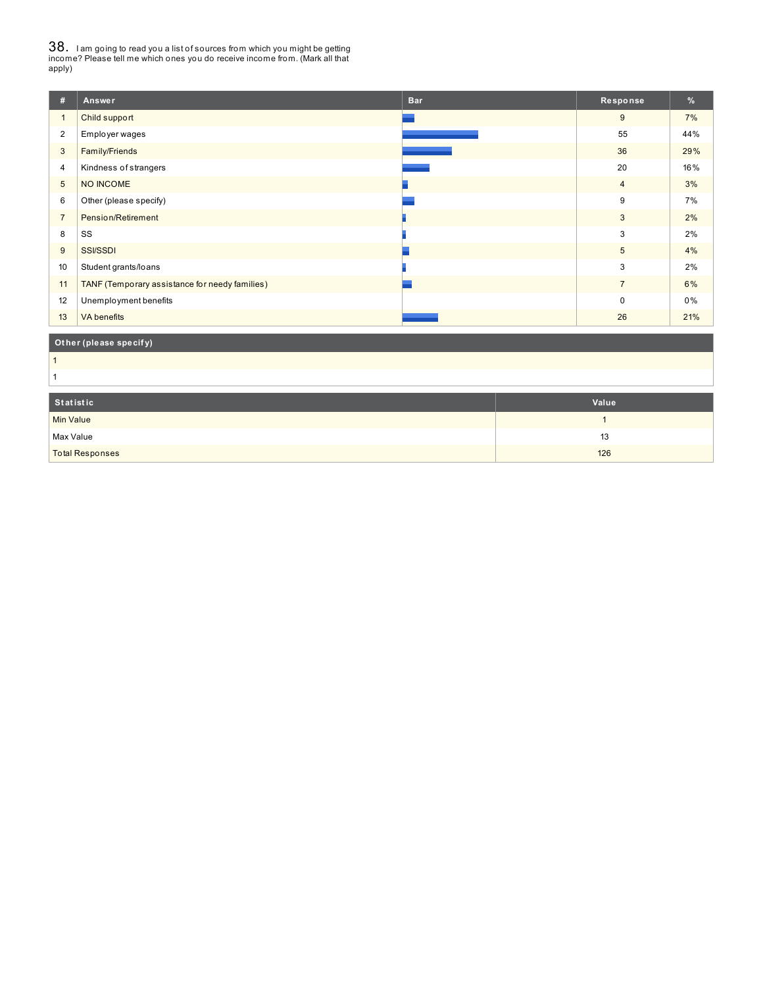38. <sup>I</sup> am going to read you <sup>a</sup> list of sources from which you might be getting income? Please tell me which ones you do receive income from. (Mark all that apply)

| #               | Answer                                         | <b>Bar</b> | Response       | %     |
|-----------------|------------------------------------------------|------------|----------------|-------|
| $\mathbf{1}$    | Child support                                  |            | 9              | 7%    |
| $\overline{2}$  | Employer wages                                 |            | 55             | 44%   |
| 3               | Family/Friends                                 |            | 36             | 29%   |
| 4               | Kindness of strangers                          |            | 20             | 16%   |
| $5\overline{)}$ | NO INCOME                                      |            | $\overline{4}$ | 3%    |
| 6               | Other (please specify)                         |            | 9              | 7%    |
| $\overline{7}$  | Pension/Retirement                             |            | $\mathbf{3}$   | 2%    |
| 8               | SS                                             |            | 3              | 2%    |
| 9               | <b>SSI/SSDI</b>                                |            | 5              | 4%    |
| 10              | Student grants/loans                           |            | 3              | 2%    |
| 11              | TANF (Temporary assistance for needy families) |            | $\overline{7}$ | 6%    |
| 12              | Unemployment benefits                          |            | $\Omega$       | $0\%$ |
| 13              | <b>VA</b> benefits                             |            | 26             | 21%   |

### **Ot her (please specif y)**

 

| Statistic              | Value |
|------------------------|-------|
| <b>Min Value</b>       |       |
| Max Value              | 13    |
| <b>Total Responses</b> | 126   |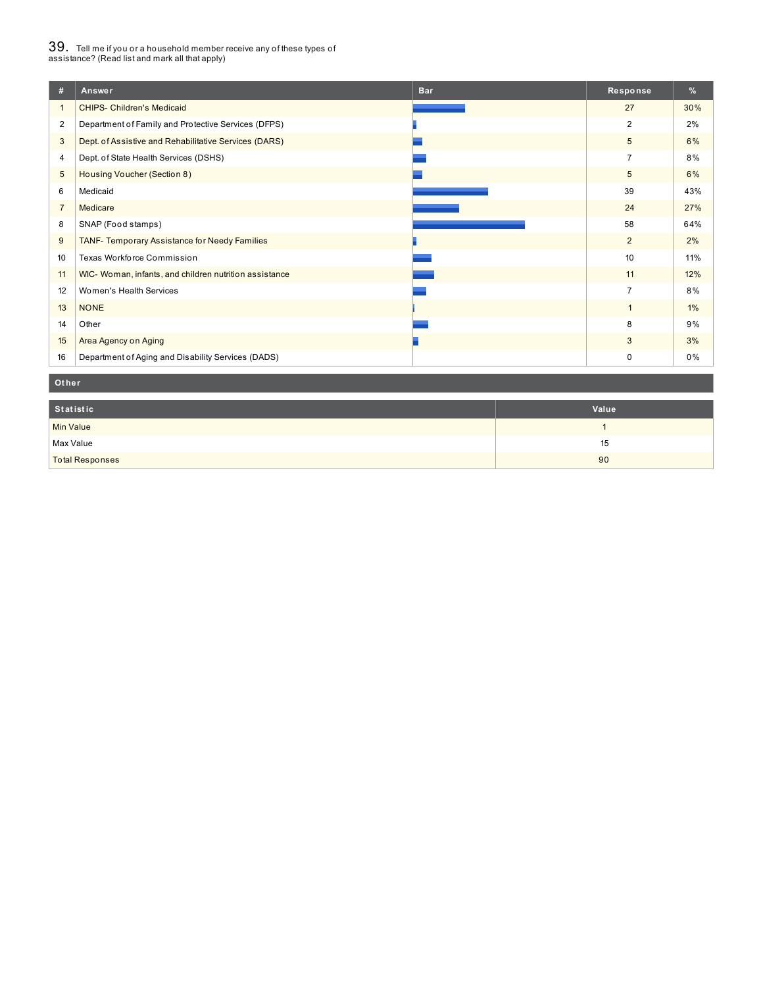## $39_\cdot$  Tell me if you or a household member receive any of these types of<br>assistance? (Read list and mark all that apply)

| #              | Answer                                                 | <b>Bar</b> | Response       | $\frac{9}{6}$ |
|----------------|--------------------------------------------------------|------------|----------------|---------------|
|                | <b>CHIPS- Children's Medicaid</b>                      |            | 27             | 30%           |
| $\overline{2}$ | Department of Family and Protective Services (DFPS)    |            | 2              | 2%            |
| 3              | Dept. of Assistive and Rehabilitative Services (DARS)  |            | 5              | 6%            |
| 4              | Dept. of State Health Services (DSHS)                  |            | $\overline{7}$ | 8%            |
| 5              | Housing Voucher (Section 8)                            |            | 5              | 6%            |
| 6              | Medicaid                                               |            | 39             | 43%           |
| $\overline{7}$ | Medicare                                               |            | 24             | 27%           |
| 8              | SNAP (Food stamps)                                     |            | 58             | 64%           |
| 9              | TANF- Temporary Assistance for Needy Families          |            | $\overline{2}$ | 2%            |
| 10             | Texas Workforce Commission                             |            | 10             | 11%           |
| 11             | WIC- Woman, infants, and children nutrition assistance |            | 11             | 12%           |
| 12             | Women's Health Services                                |            | $\overline{7}$ | 8%            |
| 13             | <b>NONE</b>                                            |            | $\mathbf{1}$   | $1\%$         |
| 14             | Other                                                  |            | 8              | 9%            |
| 15             | Area Agency on Aging                                   |            | 3              | 3%            |
| 16             | Department of Aging and Disability Services (DADS)     |            | 0              | 0%            |

#### **Ot her**

| Statistic              | Value |
|------------------------|-------|
| <b>Min Value</b>       |       |
| Max Value              | 15    |
| <b>Total Responses</b> | 90    |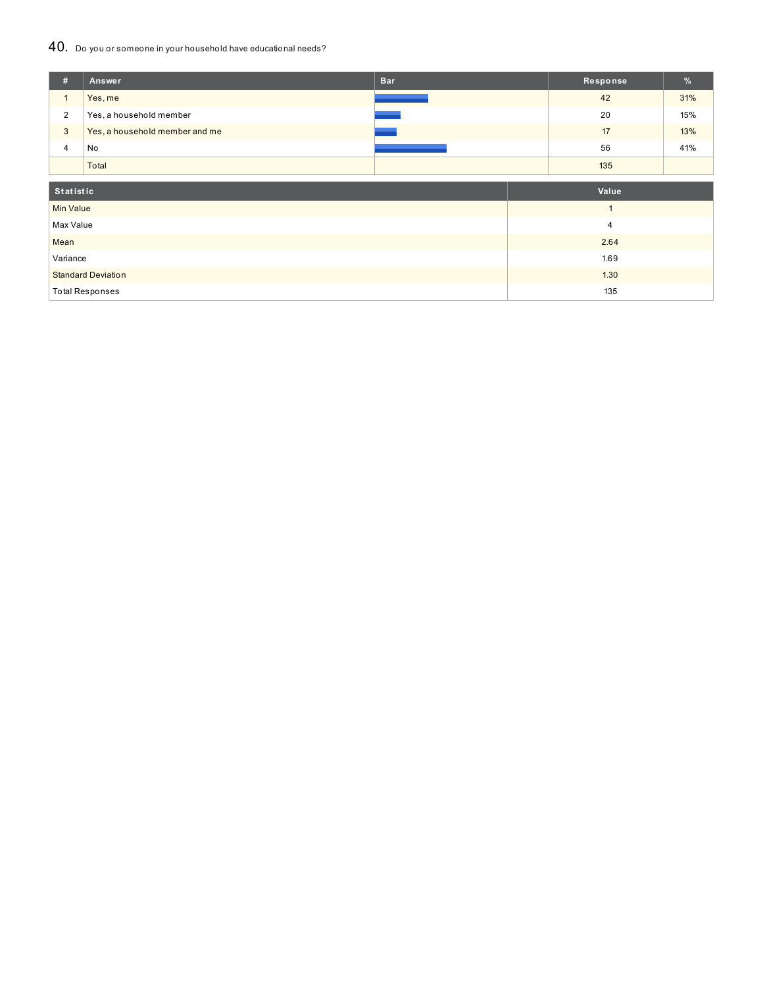### 40. Do you or someone in your household have educational needs?

| #                | Answer                         | <b>Bar</b> | Response       | %   |
|------------------|--------------------------------|------------|----------------|-----|
| $\mathbf{1}$     | Yes, me                        |            | 42             | 31% |
| $\overline{2}$   | Yes, a household member        |            | 20             | 15% |
| $\mathbf{3}$     | Yes, a household member and me |            | 17             | 13% |
| 4                | No                             |            | 56             | 41% |
|                  | Total                          |            | 135            |     |
|                  |                                |            |                |     |
| Statistic        |                                |            | Value          |     |
| <b>Min Value</b> |                                |            | $\overline{1}$ |     |
| Max Value        |                                |            | $\overline{4}$ |     |
| Mean             |                                |            | 2.64           |     |
| Variance         |                                |            | 1.69           |     |
|                  | <b>Standard Deviation</b>      |            | 1.30           |     |
|                  | <b>Total Responses</b>         |            | 135            |     |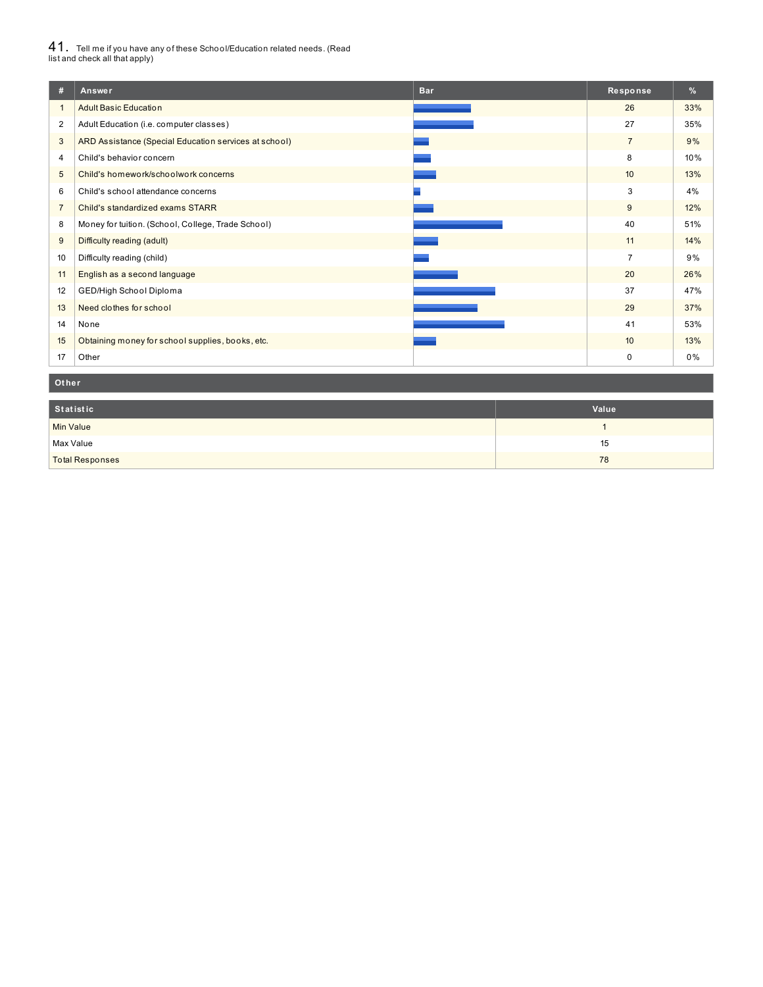# $41_\cdot$  Tell me if you have any of these School/Education related needs. (Read<br>list and check all that apply)

| #                | <b>Bar</b><br>Answer                                  | Response       | %   |
|------------------|-------------------------------------------------------|----------------|-----|
|                  | <b>Adult Basic Education</b>                          | 26             | 33% |
| $\overline{2}$   | Adult Education (i.e. computer classes)               | 27             | 35% |
| 3                | ARD Assistance (Special Education services at school) | $\overline{7}$ | 9%  |
| 4                | Child's behavior concern                              | 8              | 10% |
| 5                | Child's homework/schoolwork concerns                  | 10             | 13% |
| 6                | Child's school attendance concerns                    | 3              | 4%  |
| $\overline{7}$   | Child's standardized exams STARR                      | 9              | 12% |
| 8                | Money for tuition. (School, College, Trade School)    | 40             | 51% |
| 9                | Difficulty reading (adult)                            | 11             | 14% |
| 10 <sup>10</sup> | Difficulty reading (child)                            | $\overline{7}$ | 9%  |
| 11               | English as a second language                          | 20             | 26% |
| 12               | GED/High School Diploma                               | 37             | 47% |
| 13               | Need clothes for school                               | 29             | 37% |
| 14               | None                                                  | 41             | 53% |
| 15               | Obtaining money for school supplies, books, etc.      | 10             | 13% |
| 17               | Other                                                 | $\mathbf 0$    | 0%  |

#### **Ot her**

| Statistic              | Value |
|------------------------|-------|
| <b>Min Value</b>       |       |
| Max Value              | 15    |
| <b>Total Responses</b> | 78    |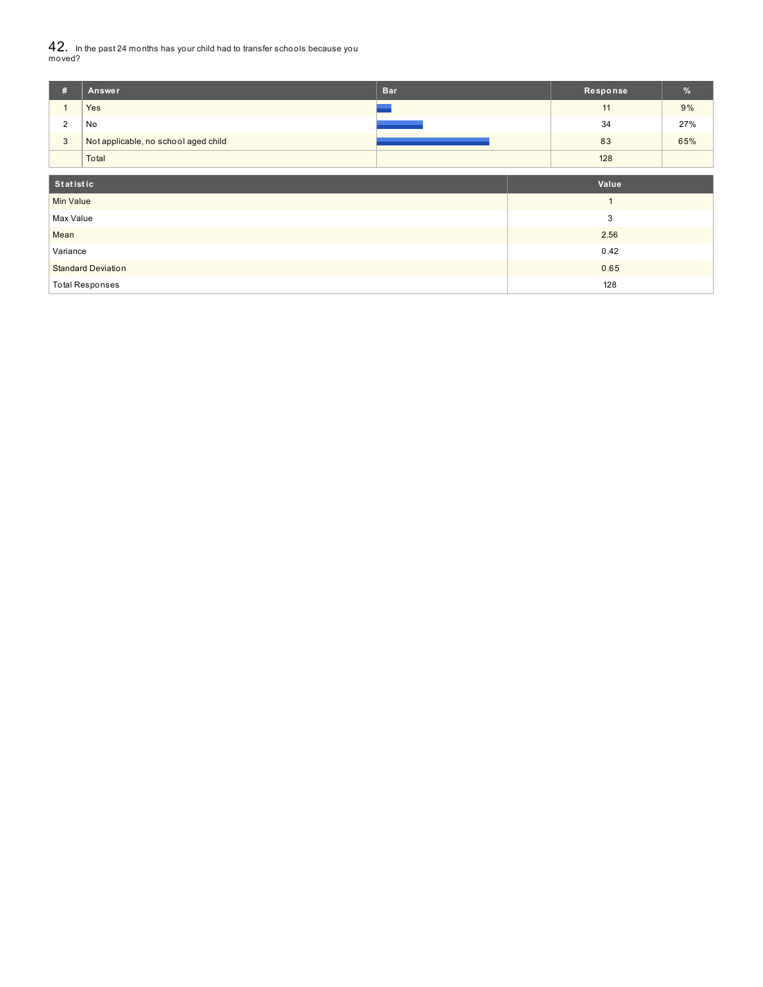42. In the past <sup>24</sup> months has your child had to transfer schools because you moved?

| #                         | Answer                               | <b>Bar</b> |      | Response | $\frac{9}{6}$ |
|---------------------------|--------------------------------------|------------|------|----------|---------------|
|                           | Yes                                  |            |      | 11       | 9%            |
| 2                         | No                                   |            |      | 34       | 27%           |
| $\mathbf{3}$              | Not applicable, no school aged child |            |      | 83       | 65%           |
|                           | Total                                |            |      | 128      |               |
| Statistic                 |                                      |            |      | Value    |               |
| <b>Min Value</b>          |                                      |            |      |          |               |
| Max Value                 |                                      |            | 3    |          |               |
| Mean                      |                                      |            |      | 2.56     |               |
| Variance                  |                                      |            | 0.42 |          |               |
| <b>Standard Deviation</b> |                                      |            | 0.65 |          |               |
|                           | <b>Total Responses</b>               |            | 128  |          |               |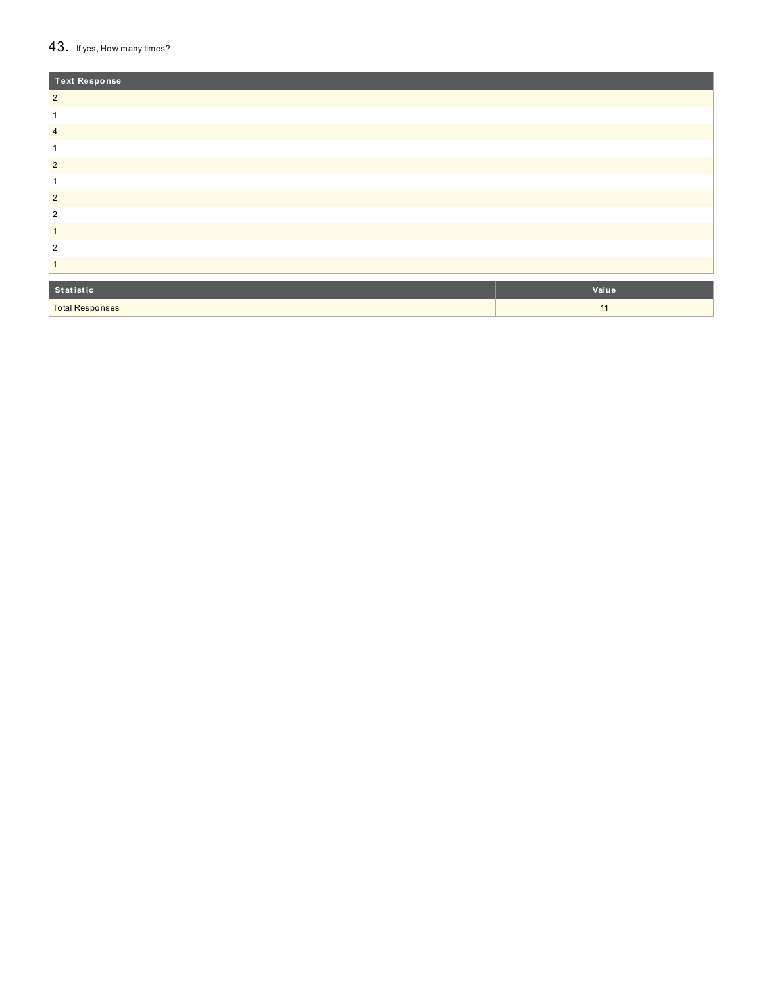#### $43.$  If yes, How many times?

| <b>Text Response</b>   |       |
|------------------------|-------|
| $\overline{2}$         |       |
|                        |       |
| $\overline{4}$         |       |
|                        |       |
| $\overline{2}$         |       |
|                        |       |
| $\overline{2}$         |       |
| 2                      |       |
|                        |       |
| 2                      |       |
|                        |       |
| Statistic              | Value |
| <b>Total Responses</b> | 11    |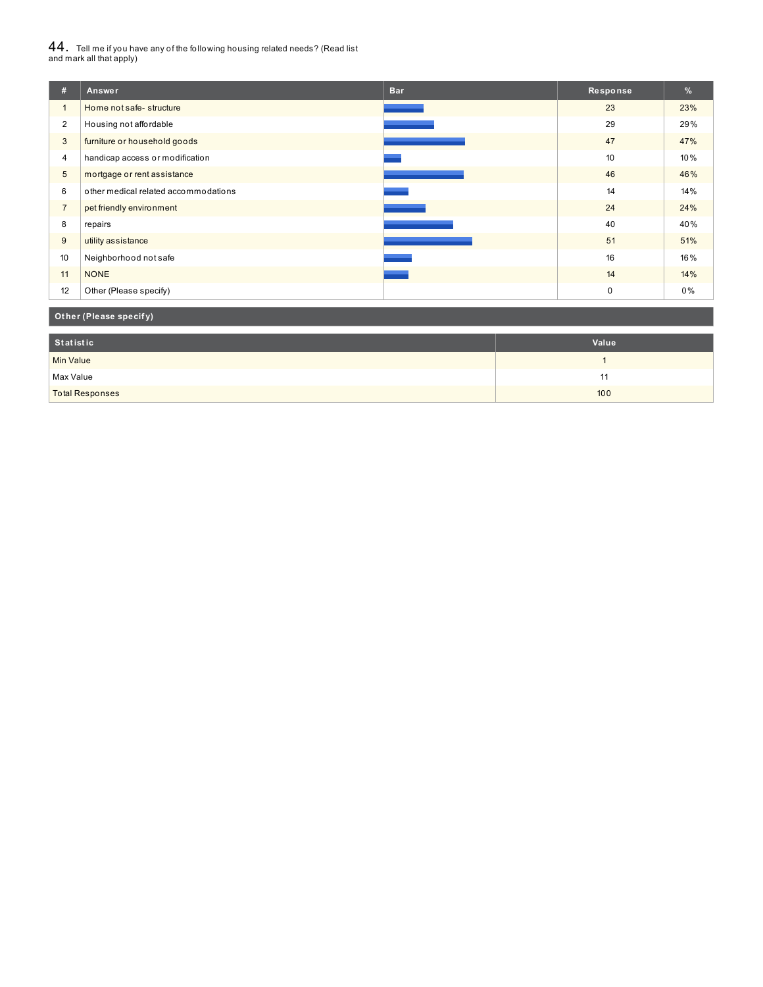# $44_\cdot$  Tell me if you have any of the following housing related needs? (Read list<br>and mark all that apply)

| #              | Answer                               | <b>Bar</b> | Response    | %   |
|----------------|--------------------------------------|------------|-------------|-----|
| $\mathbf{1}$   | Home not safe-structure              |            | 23          | 23% |
| $\overline{2}$ | Housing not affordable               |            | 29          | 29% |
| 3              | furniture or household goods         |            | 47          | 47% |
| $\overline{4}$ | handicap access or modification      |            | 10          | 10% |
| 5              | mortgage or rent assistance          |            | 46          | 46% |
| 6              | other medical related accommodations |            | 14          | 14% |
| $\overline{7}$ | pet friendly environment             |            | 24          | 24% |
| 8              | repairs                              |            | 40          | 40% |
| 9              | utility assistance                   |            | 51          | 51% |
| 10             | Neighborhood not safe                |            | 16          | 16% |
| 11             | <b>NONE</b>                          |            | 14          | 14% |
| 12             | Other (Please specify)               |            | $\mathbf 0$ | 0%  |

### **Ot her (Please specif y)**

| Statistic              | Value |
|------------------------|-------|
| Min Value              |       |
| Max Value              | . .   |
| <b>Total Responses</b> | 100   |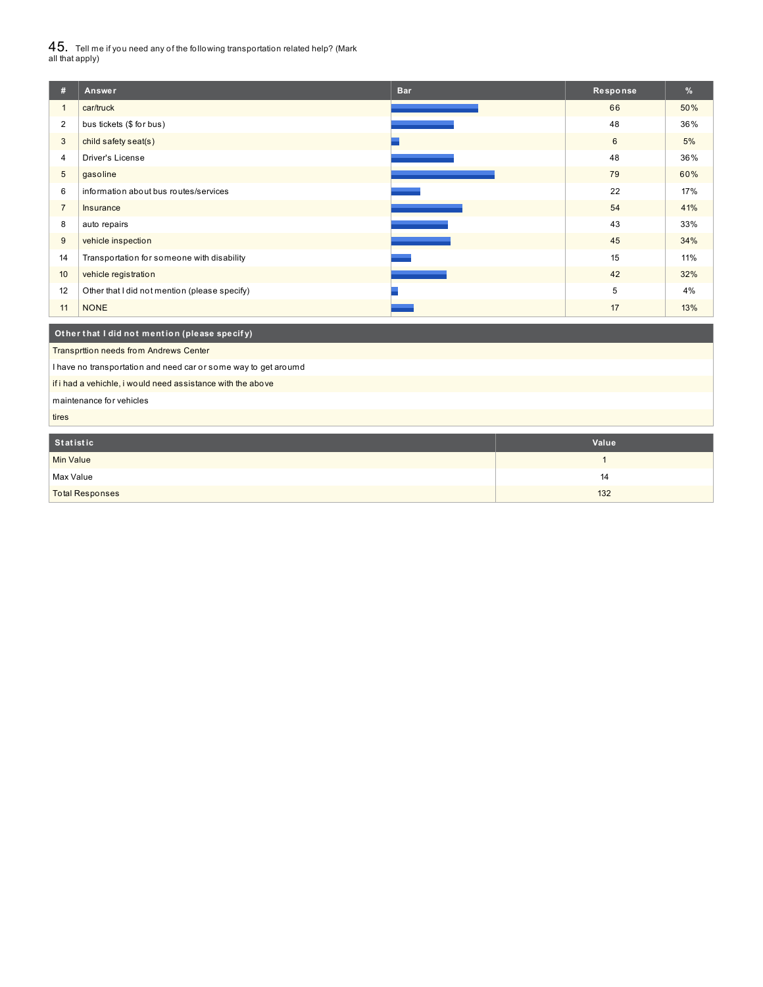$45_\cdot$  Tell me if you need any of the following transportation related help? (Mark<br>all that apply)

| #                                                           | Answer                                                          | <b>Bar</b> | Response     | %   |  |  |
|-------------------------------------------------------------|-----------------------------------------------------------------|------------|--------------|-----|--|--|
| $\mathbf{1}$                                                | car/truck                                                       |            | 66           | 50% |  |  |
| $\overline{2}$                                              | bus tickets (\$ for bus)                                        |            | 48           | 36% |  |  |
| 3                                                           | child safety seat(s)                                            |            | 6            | 5%  |  |  |
| 4                                                           | Driver's License                                                |            | 48           | 36% |  |  |
| 5                                                           | gasoline                                                        |            | 79           | 60% |  |  |
| 6                                                           | information about bus routes/services                           |            | 22           | 17% |  |  |
| $\overline{7}$                                              | Insurance                                                       |            | 54           | 41% |  |  |
| 8                                                           | auto repairs                                                    |            | 43           | 33% |  |  |
| 9                                                           | vehicle inspection                                              |            | 45           | 34% |  |  |
| 14                                                          | Transportation for someone with disability                      |            | 15           | 11% |  |  |
| 10                                                          | vehicle registration                                            |            | 42           | 32% |  |  |
| 12                                                          | Other that I did not mention (please specify)                   |            | 5            | 4%  |  |  |
| 11                                                          | <b>NONE</b>                                                     |            | 17           | 13% |  |  |
| Other that I did not mention (please specify)               |                                                                 |            |              |     |  |  |
|                                                             | Transprttion needs from Andrews Center                          |            |              |     |  |  |
|                                                             | I have no transportation and need car or some way to get aroumd |            |              |     |  |  |
| if i had a vehichle, i would need assistance with the above |                                                                 |            |              |     |  |  |
| maintenance for vehicles                                    |                                                                 |            |              |     |  |  |
| tires                                                       |                                                                 |            |              |     |  |  |
|                                                             |                                                                 |            |              |     |  |  |
| <b>Statistic</b><br>Value                                   |                                                                 |            |              |     |  |  |
| <b>Min Value</b>                                            |                                                                 |            | $\mathbf{1}$ |     |  |  |

Max Value 14 total Responses and the control of the control of the control of the control of the control of the control of the control of the control of the control of the control of the control of the control of the control of the co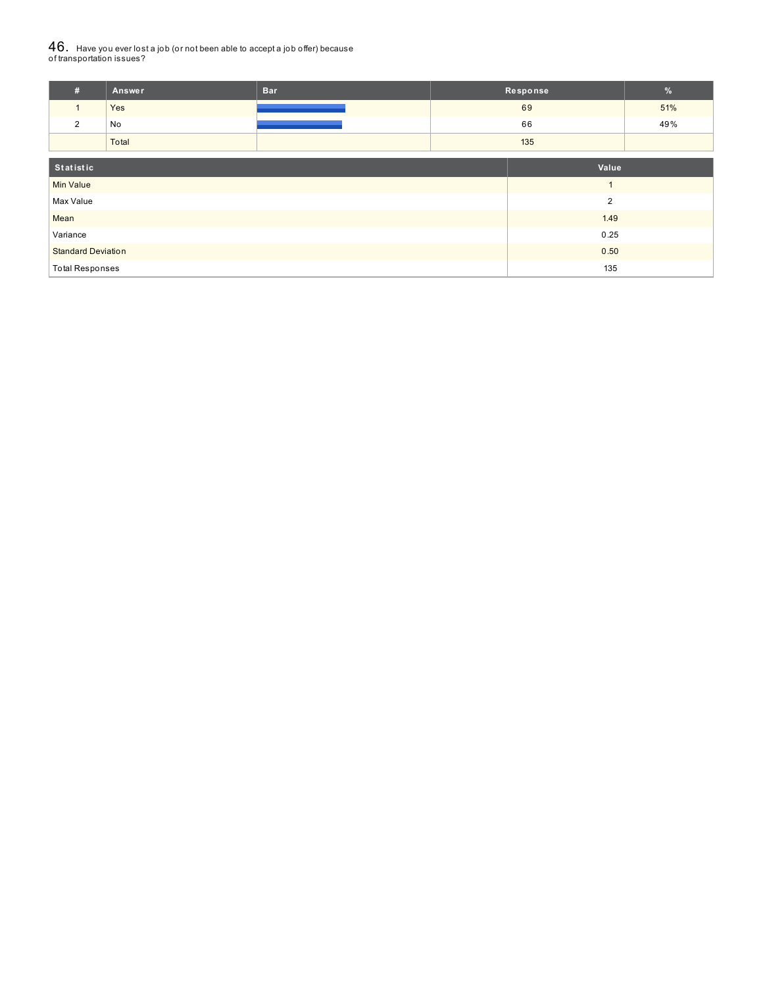# ${\bf 46}_{\cdot}\,$  Have you ever lost a job (or not been able to accept a job offer) because<br>of transportation issues?

| #                | Answer | <b>Bar</b> |     | Response                | $\%$ |
|------------------|--------|------------|-----|-------------------------|------|
|                  | Yes    |            |     | 69                      | 51%  |
| 2                | No     |            |     | 66                      | 49%  |
|                  | Total  |            | 135 |                         |      |
| Statistic        |        |            |     | Value                   |      |
| <b>Min Value</b> |        |            |     | $\overline{\mathbf{A}}$ |      |
| Max Value        |        |            |     | $\overline{2}$          |      |
| Mean             |        |            |     | 1.49                    |      |
| Variance         |        |            |     | 0.25                    |      |

Standard Deviation **2.000 of the Contract of Contract of Contract of Contract of Contract of Contract of Contract of Contract of Contract of Contract of Contract of Contract of Contract of Contract of Contract of Contract** Total Responses 2008 and 2009 and 2009 and 2009 and 2009 and 2009 and 2009 and 2009 and 2009 and 2009 and 2009  $\pm$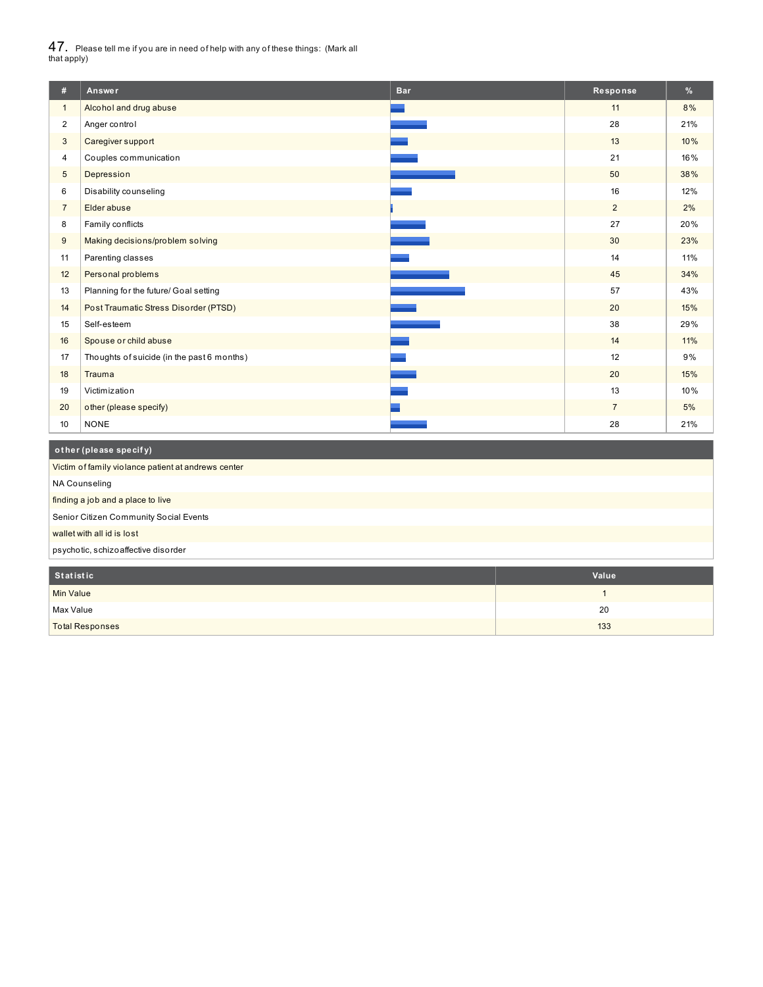$47_\cdot$  Please tell me if you are in need of help with any of these things: (Mark all<br>that apply)

| #              | Answer                                     | <b>Bar</b> | Response       | %   |
|----------------|--------------------------------------------|------------|----------------|-----|
| $\mathbf{1}$   | Alcohol and drug abuse                     |            | 11             | 8%  |
| $\overline{2}$ | Anger control                              |            | 28             | 21% |
| 3              | Caregiver support                          |            | 13             | 10% |
| 4              | Couples communication                      |            | 21             | 16% |
| 5              | Depression                                 |            | 50             | 38% |
| 6              | Disability counseling                      |            | 16             | 12% |
| $\overline{7}$ | Elder abuse                                |            | $\overline{2}$ | 2%  |
| 8              | Family conflicts                           |            | 27             | 20% |
| 9              | Making decisions/problem solving           |            | 30             | 23% |
| 11             | Parenting classes                          |            | 14             | 11% |
| 12             | Personal problems                          |            | 45             | 34% |
| 13             | Planning for the future/ Goal setting      |            | 57             | 43% |
| 14             | Post Traumatic Stress Disorder (PTSD)      |            | 20             | 15% |
| 15             | Self-esteem                                |            | 38             | 29% |
| 16             | Spouse or child abuse                      |            | 14             | 11% |
| 17             | Thoughts of suicide (in the past 6 months) |            | 12             | 9%  |
| 18             | Trauma                                     |            | 20             | 15% |
| 19             | Victimization                              |            | 13             | 10% |
| 20             | other (please specify)                     |            | $\overline{7}$ | 5%  |
| 10             | <b>NONE</b>                                |            | 28             | 21% |
|                |                                            |            |                |     |

| other (please specify)                              |  |  |
|-----------------------------------------------------|--|--|
| Victim of family violance patient at andrews center |  |  |
| NA Counseling                                       |  |  |
| finding a job and a place to live                   |  |  |
| Senior Citizen Community Social Events              |  |  |
| wallet with all id is lost                          |  |  |
| psychotic, schizoaffective disorder                 |  |  |

| Statistic              | Value |
|------------------------|-------|
| <b>Min Value</b>       |       |
| Max Value              | 20    |
| <b>Total Responses</b> | 133   |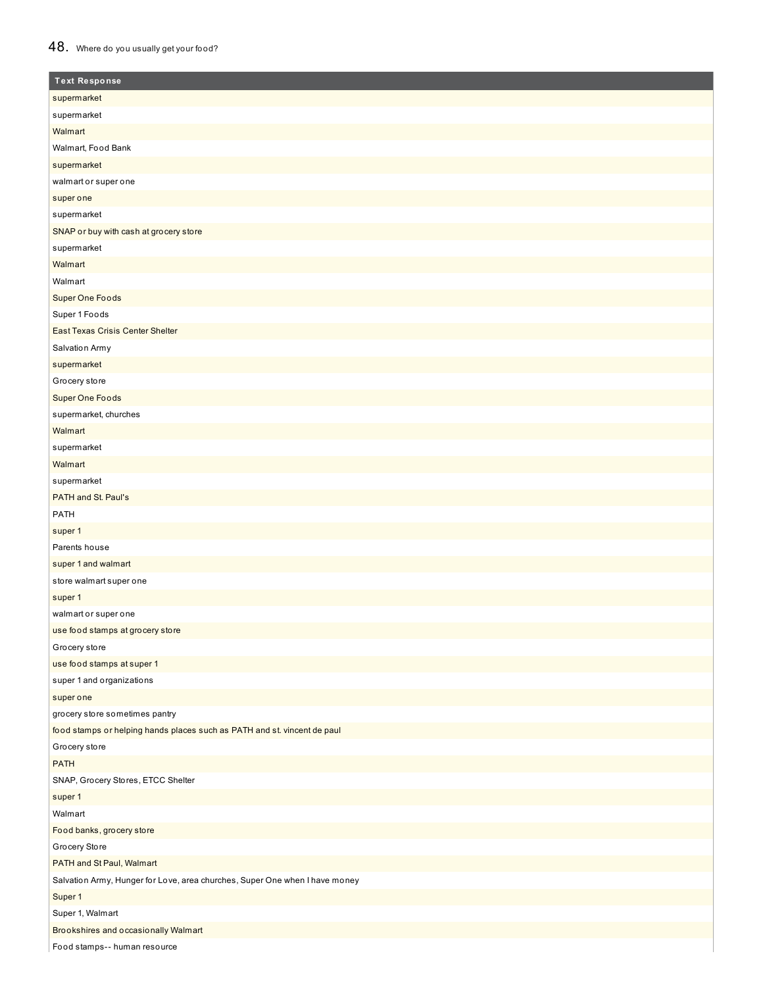## 48. Where do you usually get your food?

| <b>Text Response</b>                                                        |
|-----------------------------------------------------------------------------|
| supermarket                                                                 |
| supermarket                                                                 |
| Walmart                                                                     |
| Walmart, Food Bank                                                          |
| supermarket                                                                 |
| walmart or super one                                                        |
| super one                                                                   |
| supermarket                                                                 |
| SNAP or buy with cash at grocery store                                      |
| supermarket                                                                 |
| Walmart                                                                     |
| Walmart                                                                     |
| <b>Super One Foods</b>                                                      |
| Super 1 Foods                                                               |
| East Texas Crisis Center Shelter                                            |
| Salvation Army                                                              |
| supermarket                                                                 |
| Grocery store                                                               |
| Super One Foods                                                             |
| supermarket, churches                                                       |
| Walmart                                                                     |
| supermarket                                                                 |
| Walmart                                                                     |
| supermarket                                                                 |
| PATH and St. Paul's                                                         |
| PATH                                                                        |
| super 1                                                                     |
| Parents house                                                               |
| super 1 and walmart                                                         |
| store walmart super one                                                     |
| super 1                                                                     |
| walmart or super one                                                        |
| use food stamps at grocery store                                            |
| Grocery store                                                               |
| use food stamps at super 1                                                  |
| super 1 and organizations                                                   |
| super one                                                                   |
| grocery store sometimes pantry                                              |
| food stamps or helping hands places such as PATH and st. vincent de paul    |
| Grocery store                                                               |
| <b>PATH</b>                                                                 |
| SNAP, Grocery Stores, ETCC Shelter                                          |
| super 1                                                                     |
| Walmart                                                                     |
| Food banks, grocery store                                                   |
| Grocery Store                                                               |
| PATH and St Paul, Walmart                                                   |
| Salvation Army, Hunger for Love, area churches, Super One when I have money |
| Super 1                                                                     |
| Super 1, Walmart                                                            |
| Brookshires and occasionally Walmart                                        |
| Food stamps-- human resource                                                |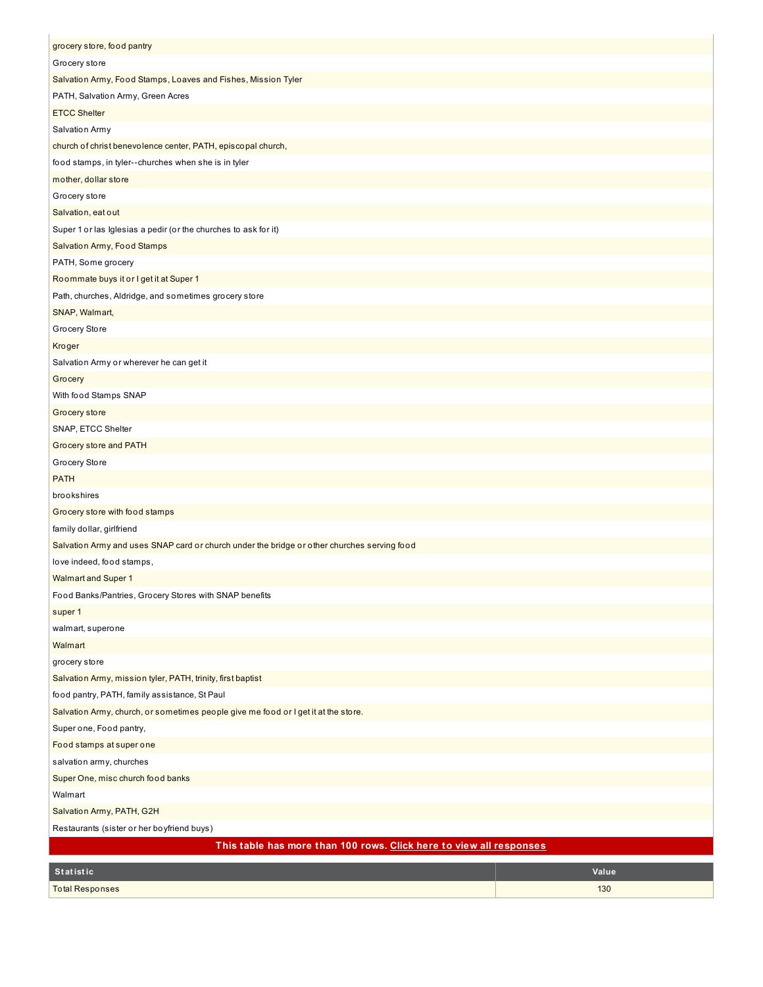| grocery store, food pantry                                                                  |       |  |  |
|---------------------------------------------------------------------------------------------|-------|--|--|
| Grocery store                                                                               |       |  |  |
| Salvation Army, Food Stamps, Loaves and Fishes, Mission Tyler                               |       |  |  |
| PATH, Salvation Army, Green Acres                                                           |       |  |  |
| <b>ETCC Shelter</b>                                                                         |       |  |  |
| Salvation Army                                                                              |       |  |  |
| church of christ benevolence center, PATH, episcopal church,                                |       |  |  |
| food stamps, in tyler--churches when she is in tyler                                        |       |  |  |
| mother, dollar store                                                                        |       |  |  |
| Grocery store                                                                               |       |  |  |
| Salvation, eat out                                                                          |       |  |  |
| Super 1 or las Iglesias a pedir (or the churches to ask for it)                             |       |  |  |
| Salvation Army, Food Stamps                                                                 |       |  |  |
| PATH, Some grocery                                                                          |       |  |  |
| Roommate buys it or I get it at Super 1                                                     |       |  |  |
| Path, churches, Aldridge, and sometimes grocery store                                       |       |  |  |
| SNAP, Walmart,                                                                              |       |  |  |
| Grocery Store                                                                               |       |  |  |
| Kroger                                                                                      |       |  |  |
| Salvation Army or wherever he can get it                                                    |       |  |  |
| Grocery                                                                                     |       |  |  |
| With food Stamps SNAP                                                                       |       |  |  |
| Grocery store                                                                               |       |  |  |
| SNAP, ETCC Shelter                                                                          |       |  |  |
| Grocery store and PATH                                                                      |       |  |  |
| Grocery Store                                                                               |       |  |  |
| <b>PATH</b>                                                                                 |       |  |  |
| brookshires                                                                                 |       |  |  |
| Grocery store with food stamps                                                              |       |  |  |
| family dollar, girlfriend                                                                   |       |  |  |
| Salvation Army and uses SNAP card or church under the bridge or other churches serving food |       |  |  |
| love indeed, food stamps,                                                                   |       |  |  |
| <b>Walmart and Super 1</b>                                                                  |       |  |  |
| Food Banks/Pantries, Grocery Stores with SNAP benefits                                      |       |  |  |
| super 1                                                                                     |       |  |  |
| walmart, superone                                                                           |       |  |  |
| Walmart                                                                                     |       |  |  |
| grocery store                                                                               |       |  |  |
| Salvation Army, mission tyler, PATH, trinity, first baptist                                 |       |  |  |
| food pantry, PATH, family assistance, St Paul                                               |       |  |  |
| Salvation Army, church, or sometimes people give me food or I get it at the store.          |       |  |  |
| Super one, Food pantry,                                                                     |       |  |  |
| Food stamps at super one                                                                    |       |  |  |
| salvation army, churches                                                                    |       |  |  |
| Super One, misc church food banks                                                           |       |  |  |
| Walmart                                                                                     |       |  |  |
|                                                                                             |       |  |  |
| Salvation Army, PATH, G2H                                                                   |       |  |  |
| Restaurants (sister or her boyfriend buys)                                                  |       |  |  |
| This table has more than 100 rows. Click here to view all responses                         |       |  |  |
| Statistic                                                                                   | Value |  |  |
| <b>Total Responses</b>                                                                      | 130   |  |  |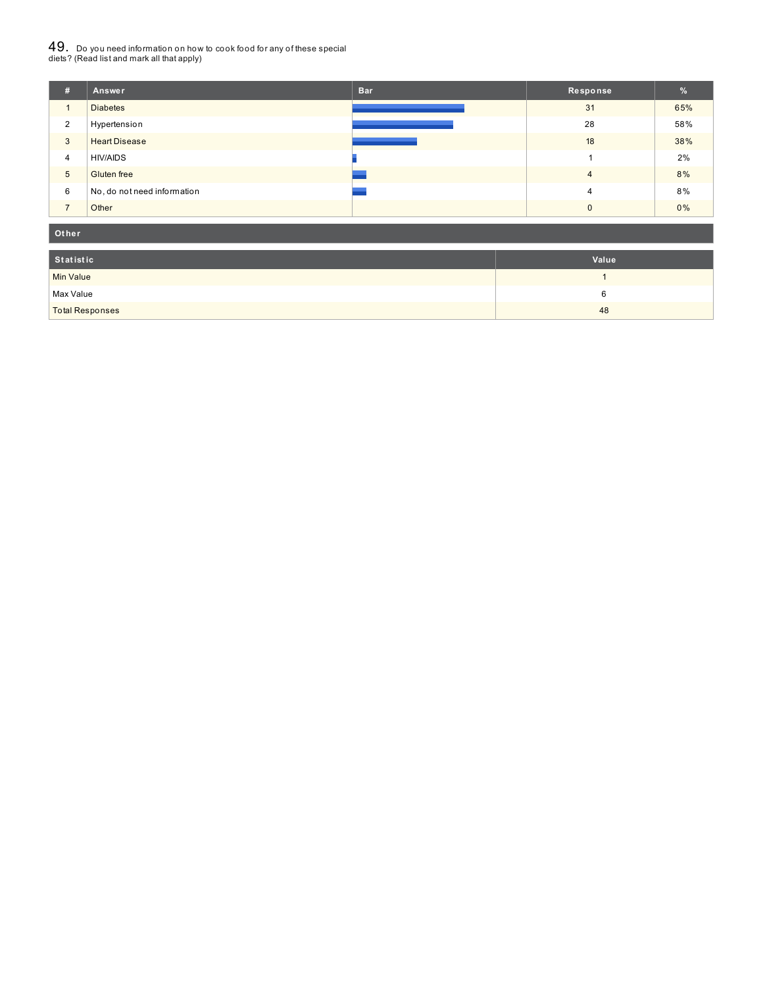# $49_\cdot$  Do you need information on how to cook food for any of these special<br>diets? (Read list and mark all that apply)

| #              | Answer                      | <b>Bar</b> | Response       | %     |
|----------------|-----------------------------|------------|----------------|-------|
| 1              | <b>Diabetes</b>             |            | 31             | 65%   |
| $\overline{2}$ | Hypertension                |            | 28             | 58%   |
| 3              | <b>Heart Disease</b>        |            | 18             | 38%   |
| $\overline{4}$ | <b>HIV/AIDS</b>             |            |                | 2%    |
| 5              | Gluten free                 |            | $\overline{4}$ | 8%    |
| 6              | No, do not need information |            | 4              | 8%    |
| $\overline{ }$ | Other                       |            | $\Omega$       | $0\%$ |

#### **Ot her**

| Statistic              | Value |
|------------------------|-------|
| Min Value              |       |
| Max Value              |       |
| <b>Total Responses</b> | 48    |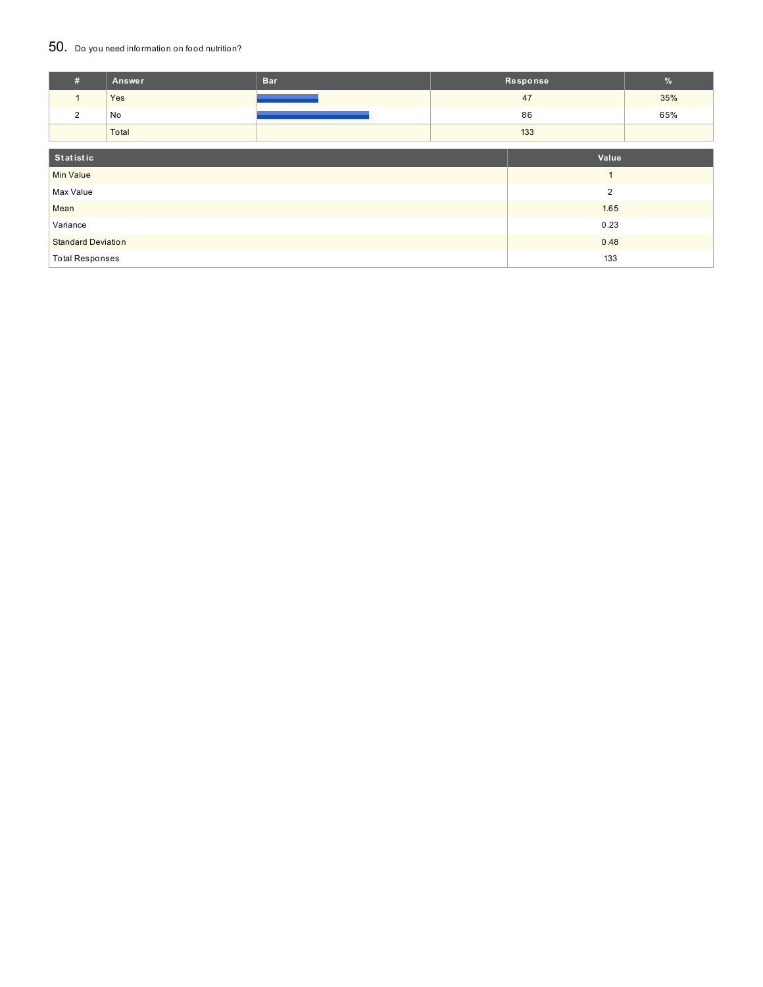### 50. Do you need information on food nutrition?

| #                         | Answer | <b>Bar</b> |      | Response       | %   |
|---------------------------|--------|------------|------|----------------|-----|
| $\mathbf{1}$              | Yes    |            |      | 47             | 35% |
| 2                         | No     |            |      | 86             | 65% |
|                           | Total  |            |      | 133            |     |
| Statistic<br>Value        |        |            |      |                |     |
|                           |        |            |      |                |     |
| <b>Min Value</b>          |        |            |      | $\overline{1}$ |     |
| Max Value                 |        |            |      | $\overline{2}$ |     |
| Mean                      |        |            | 1.65 |                |     |
| Variance                  |        |            |      | 0.23           |     |
| <b>Standard Deviation</b> |        |            |      | 0.48           |     |
| <b>Total Responses</b>    |        |            |      | 133            |     |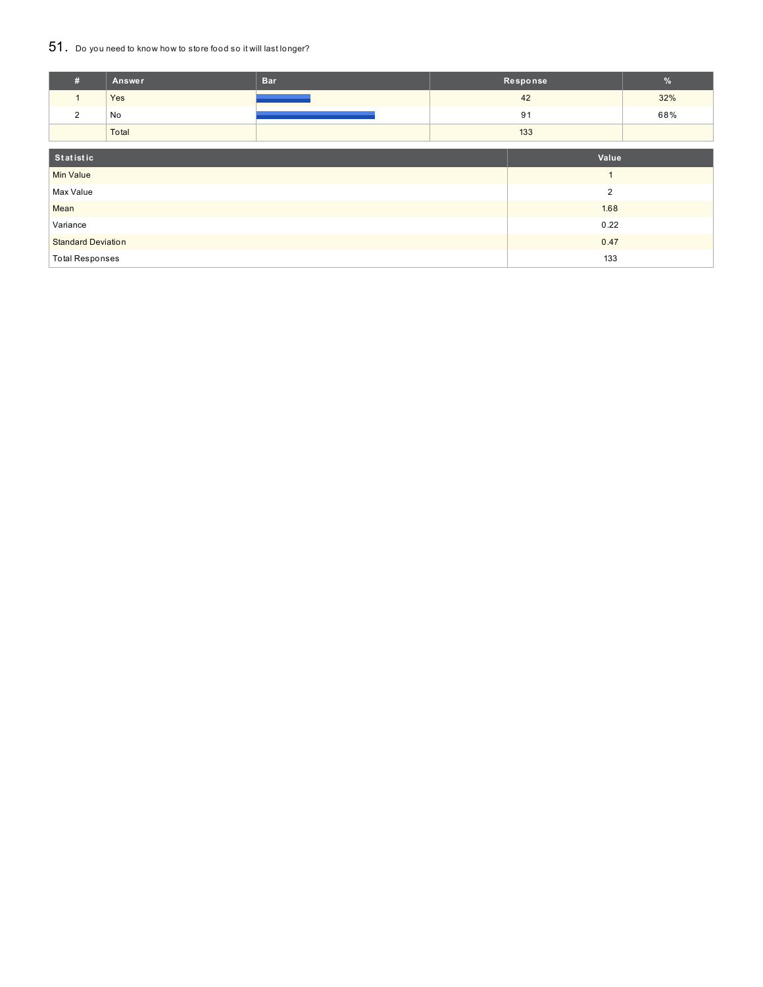## 51. Do you need to know how to store food so it will last longer?

| #                         | Answer | <b>Bar</b> |      | Response       | $\%$ |
|---------------------------|--------|------------|------|----------------|------|
| $\mathbf{1}$              | Yes    |            |      | 42             | 32%  |
| 2                         | No     |            |      | 91             | 68%  |
|                           | Total  |            | 133  |                |      |
|                           |        |            |      |                |      |
| Statistic                 |        |            |      | Value          |      |
| <b>Min Value</b>          |        |            |      |                |      |
| Max Value                 |        |            |      | $\overline{2}$ |      |
| Mean                      |        |            |      | 1.68           |      |
| Variance                  |        |            |      | 0.22           |      |
| <b>Standard Deviation</b> |        |            | 0.47 |                |      |
| <b>Total Responses</b>    |        |            |      | 133            |      |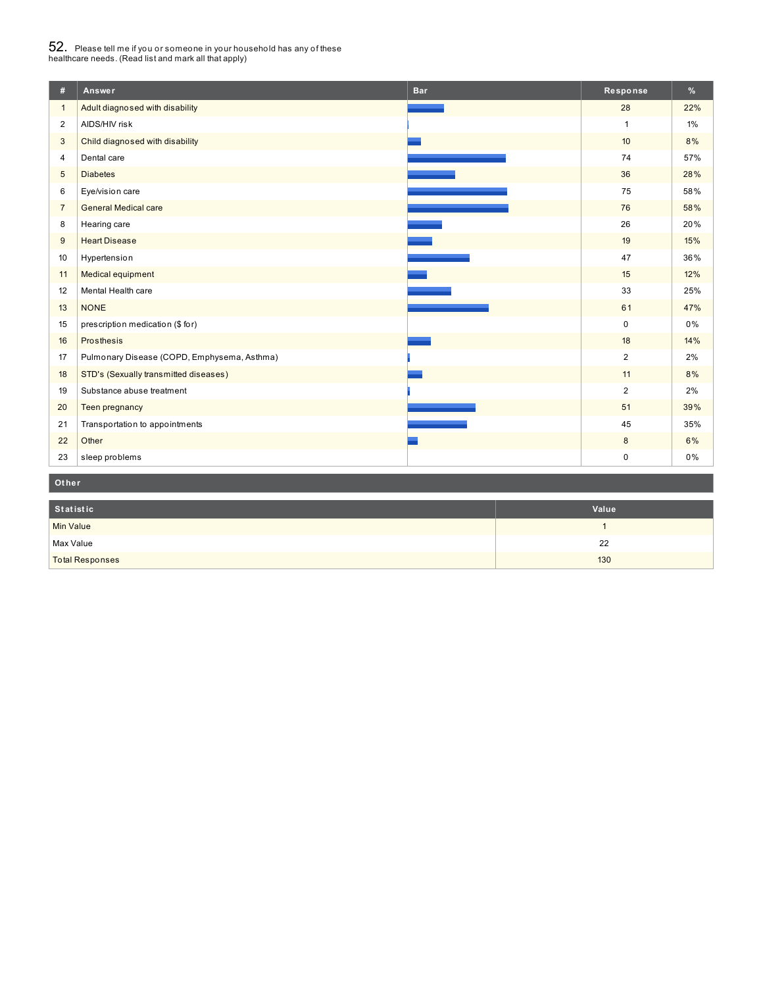# $52_\cdot$  Please tell me if you or someone in your household has any of these<br>healthcare needs. (Read list and mark all that apply)

| #              | Answer                                      | <b>Bar</b> | Response       | %     |  |  |  |
|----------------|---------------------------------------------|------------|----------------|-------|--|--|--|
| $\mathbf{1}$   | Adult diagnosed with disability             |            | 28             | 22%   |  |  |  |
| $\overline{2}$ | AIDS/HIV risk                               |            | $\mathbf{1}$   | $1\%$ |  |  |  |
| 3              | Child diagnosed with disability             |            | 10             | 8%    |  |  |  |
| 4              | Dental care                                 |            | 74             | 57%   |  |  |  |
| 5              | <b>Diabetes</b>                             |            | 36             | 28%   |  |  |  |
| 6              | Eye/vision care                             |            | 75             | 58%   |  |  |  |
| $\overline{7}$ | <b>General Medical care</b>                 |            | 76             | 58%   |  |  |  |
| 8              | Hearing care                                |            | 26             | 20%   |  |  |  |
| 9              | <b>Heart Disease</b>                        |            | 19             | 15%   |  |  |  |
| 10             | Hypertension                                |            | 47             | 36%   |  |  |  |
| 11             | Medical equipment                           |            | 15             | 12%   |  |  |  |
| 12             | Mental Health care                          |            | 33             | 25%   |  |  |  |
| 13             | <b>NONE</b>                                 |            | 61             | 47%   |  |  |  |
| 15             | prescription medication (\$ for)            |            | $\mathbf 0$    | 0%    |  |  |  |
| 16             | Prosthesis                                  |            | 18             | 14%   |  |  |  |
| 17             | Pulmonary Disease (COPD, Emphysema, Asthma) |            | $\overline{2}$ | 2%    |  |  |  |
| 18             | STD's (Sexually transmitted diseases)       |            | 11             | 8%    |  |  |  |
| 19             | Substance abuse treatment                   |            | $\overline{2}$ | 2%    |  |  |  |
| 20             | Teen pregnancy                              |            | 51             | 39%   |  |  |  |
| 21             | Transportation to appointments              |            | 45             | 35%   |  |  |  |
| 22             | Other                                       |            | 8              | 6%    |  |  |  |
| 23             | sleep problems                              |            | $\mathsf 0$    | 0%    |  |  |  |
|                | Other                                       |            |                |       |  |  |  |

| Statistic              | Value |
|------------------------|-------|
| <b>Min Value</b>       |       |
| Max Value              | 22    |
| <b>Total Responses</b> | 130   |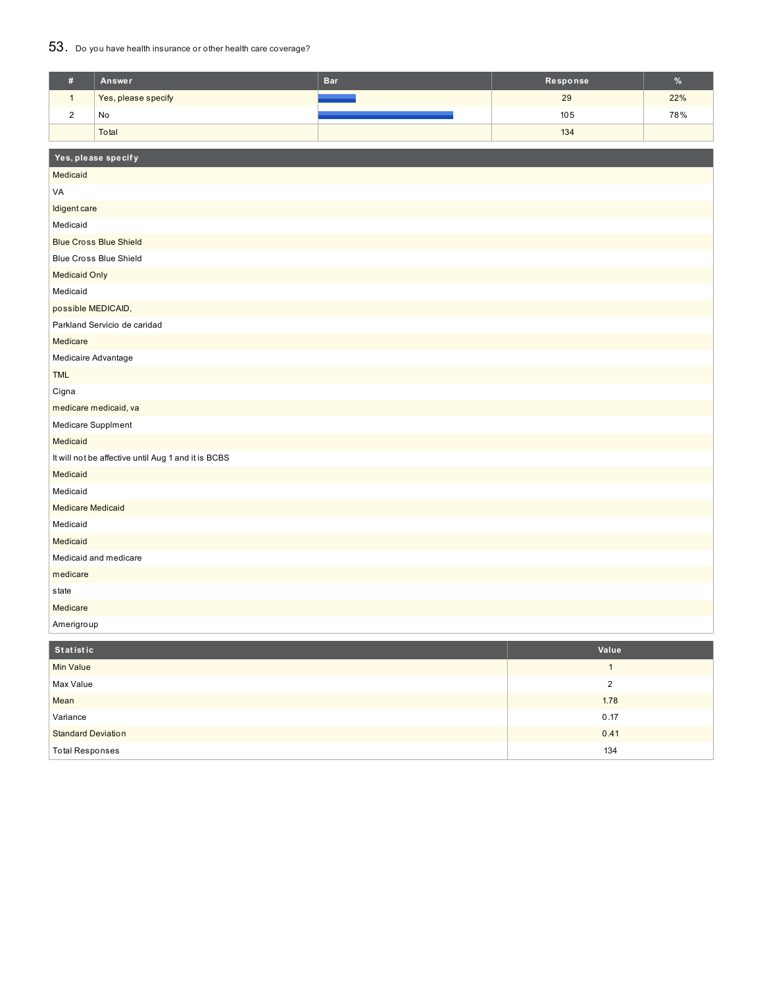## 53. Do you have health insurance or other health care coverage?

| $\#$                     | Answer                                              | <b>Bar</b> | Response | $\%$ |  |  |  |
|--------------------------|-----------------------------------------------------|------------|----------|------|--|--|--|
| $\mathbf{1}$             | Yes, please specify                                 |            | 29       | 22%  |  |  |  |
| $\sqrt{2}$               | No                                                  |            | 105      | 78%  |  |  |  |
|                          | Total                                               |            | 134      |      |  |  |  |
|                          | Yes, please specify                                 |            |          |      |  |  |  |
| Medicaid                 |                                                     |            |          |      |  |  |  |
| VA                       |                                                     |            |          |      |  |  |  |
| Idigent care             |                                                     |            |          |      |  |  |  |
| Medicaid                 |                                                     |            |          |      |  |  |  |
|                          | <b>Blue Cross Blue Shield</b>                       |            |          |      |  |  |  |
|                          | <b>Blue Cross Blue Shield</b>                       |            |          |      |  |  |  |
| <b>Medicaid Only</b>     |                                                     |            |          |      |  |  |  |
| Medicaid                 |                                                     |            |          |      |  |  |  |
| possible MEDICAID,       |                                                     |            |          |      |  |  |  |
|                          | Parkland Servicio de caridad                        |            |          |      |  |  |  |
| Medicare                 |                                                     |            |          |      |  |  |  |
|                          |                                                     |            |          |      |  |  |  |
| <b>TML</b>               | Medicaire Advantage                                 |            |          |      |  |  |  |
| Cigna                    |                                                     |            |          |      |  |  |  |
|                          | medicare medicaid, va                               |            |          |      |  |  |  |
| Medicare Supplment       |                                                     |            |          |      |  |  |  |
| Medicaid                 |                                                     |            |          |      |  |  |  |
|                          | It will not be affective until Aug 1 and it is BCBS |            |          |      |  |  |  |
| Medicaid                 |                                                     |            |          |      |  |  |  |
| Medicaid                 |                                                     |            |          |      |  |  |  |
| <b>Medicare Medicaid</b> |                                                     |            |          |      |  |  |  |
| Medicaid                 |                                                     |            |          |      |  |  |  |
| Medicaid                 |                                                     |            |          |      |  |  |  |
| Medicaid and medicare    |                                                     |            |          |      |  |  |  |
| medicare                 |                                                     |            |          |      |  |  |  |
| state                    |                                                     |            |          |      |  |  |  |
| Medicare                 |                                                     |            |          |      |  |  |  |
| Amerigroup               |                                                     |            |          |      |  |  |  |
| <b>Statistic</b>         |                                                     |            | Value    |      |  |  |  |

| Statistic                 | Value |
|---------------------------|-------|
| <b>Min Value</b>          |       |
| Max Value                 |       |
| Mean                      | 1.78  |
| Variance                  | 0.17  |
| <b>Standard Deviation</b> | 0.41  |
| <b>Total Responses</b>    | 134   |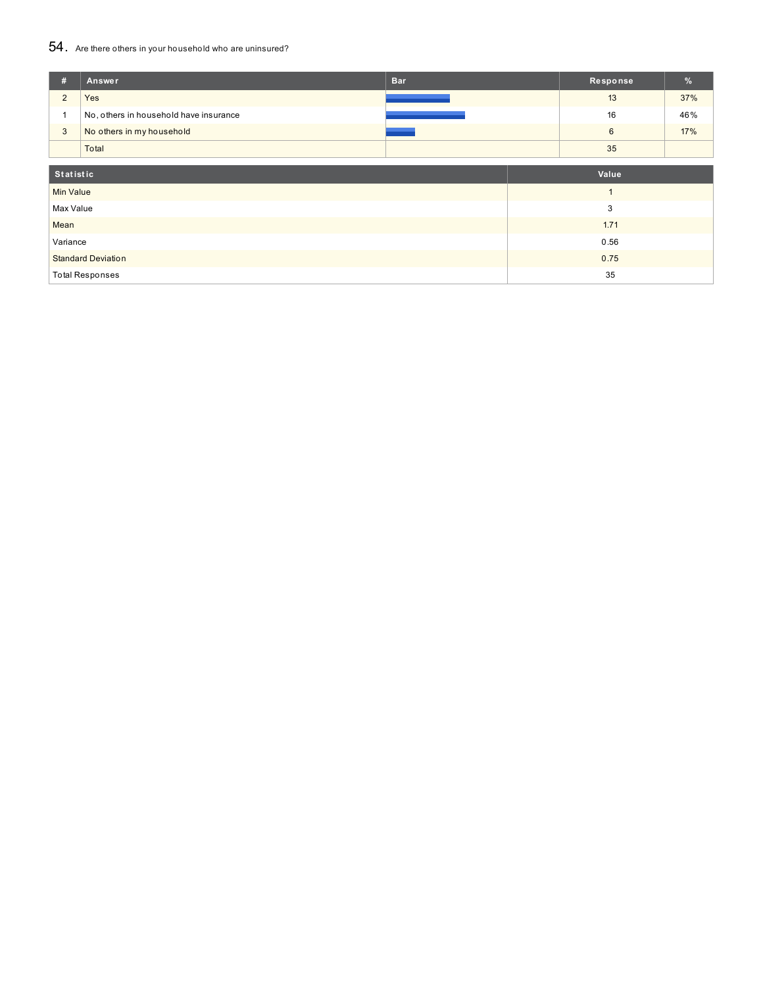## 54. Are there others in your household who are uninsured?

| #                         | Answer                                 | <b>Bar</b> |  | Response       | %   |
|---------------------------|----------------------------------------|------------|--|----------------|-----|
| $\overline{2}$            | Yes                                    |            |  | 13             | 37% |
|                           | No, others in household have insurance |            |  | 16             | 46% |
| 3                         | No others in my household              |            |  | $6\phantom{1}$ | 17% |
|                           | Total                                  |            |  | 35             |     |
| Value<br>Statistic        |                                        |            |  |                |     |
| <b>Min Value</b>          |                                        |            |  |                |     |
| Max Value                 |                                        |            |  | 3              |     |
| Mean                      |                                        |            |  | 1.71           |     |
| Variance                  |                                        |            |  | 0.56           |     |
| <b>Standard Deviation</b> |                                        |            |  | 0.75           |     |
|                           | <b>Total Responses</b>                 |            |  | 35             |     |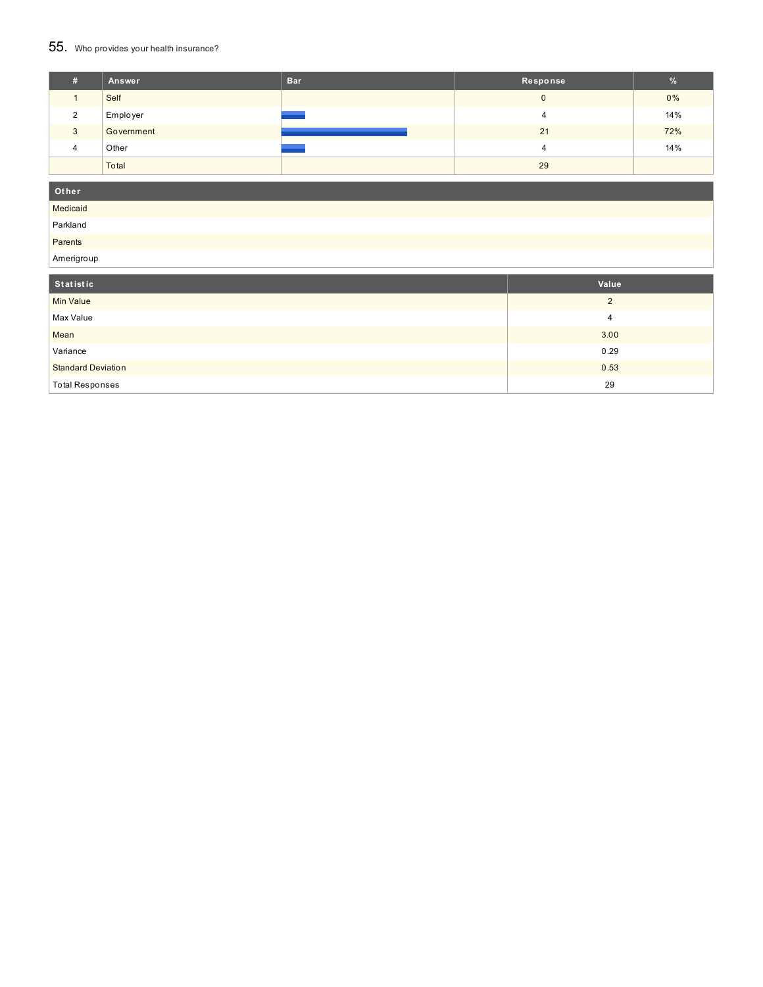## 55. Who provides your health insurance?

| #        | Answer     | <b>Bar</b> | Response | %   |
|----------|------------|------------|----------|-----|
|          | Self       |            |          | 0%  |
| $\Omega$ | Employer   |            |          | 14% |
| 3        | Government |            | 21       | 72% |
| $\Delta$ | Other      |            |          | 14% |
|          | Total      |            | 29       |     |

### **Ot her**

Medicaid

Parkland Parents

Amerigroup

| <b>Allielly</b> oup       |          |
|---------------------------|----------|
| Statistic                 | Value    |
| Min Value                 | $\Omega$ |
| Max Value                 | 4        |
| Mean                      | 3.00     |
| Variance                  | 0.29     |
| <b>Standard Deviation</b> | 0.53     |
| <b>Total Responses</b>    | 29       |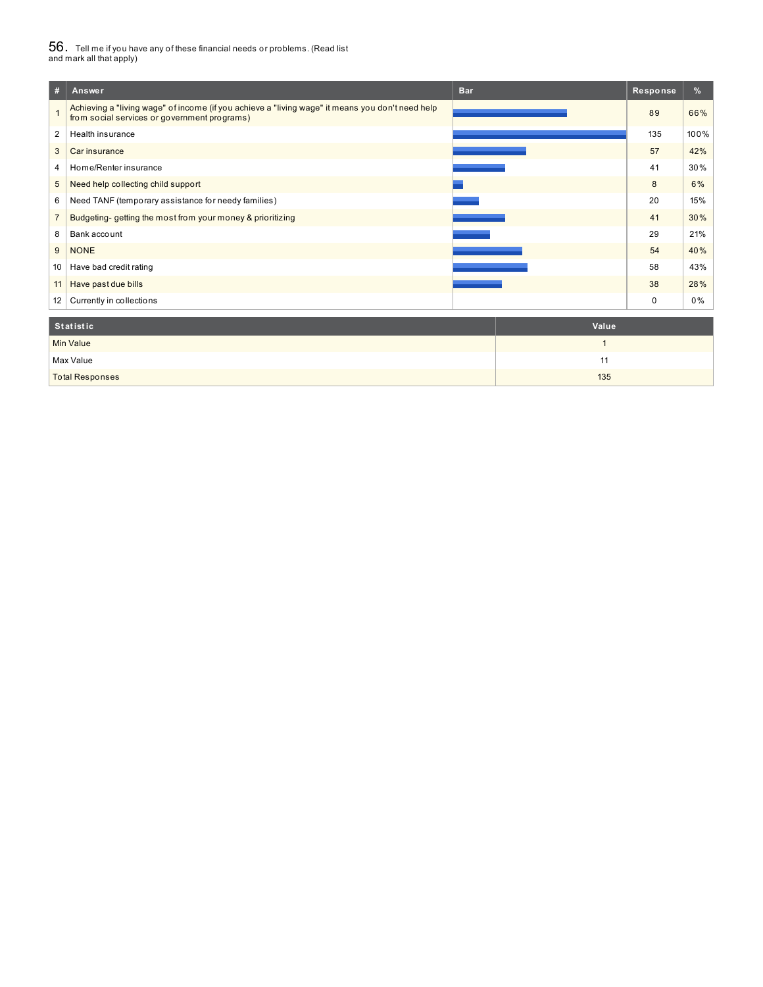# $56_\cdot$  Tell me if you have any of these financial needs or problems. (Read list<br>and mark all that apply)

| #               | <b>Bar</b><br>Answer                                                                                                                             | Response | %    |
|-----------------|--------------------------------------------------------------------------------------------------------------------------------------------------|----------|------|
|                 | Achieving a "living wage" of income (if you achieve a "living wage" it means you don't need help<br>from social services or government programs) | 89       | 66%  |
| 2               | Health insurance                                                                                                                                 | 135      | 100% |
| 3               | Car insurance                                                                                                                                    | 57       | 42%  |
| 4               | Home/Renter insurance                                                                                                                            | 41       | 30%  |
| 5               | Need help collecting child support                                                                                                               | 8        | 6%   |
| 6               | Need TANF (temporary assistance for needy families)                                                                                              | 20       | 15%  |
| $\overline{7}$  | Budgeting-getting the most from your money & prioritizing                                                                                        | 41       | 30%  |
| 8               | Bank account                                                                                                                                     | 29       | 21%  |
| 9               | <b>NONE</b>                                                                                                                                      | 54       | 40%  |
| 10              | Have bad credit rating                                                                                                                           | 58       | 43%  |
| 11              | Have past due bills                                                                                                                              | 38       | 28%  |
| 12 <sup>1</sup> | Currently in collections                                                                                                                         | 0        | 0%   |
|                 | <b>Statistic</b><br>Value                                                                                                                        |          |      |

| Statistic              | Value |
|------------------------|-------|
| <b>Min Value</b>       |       |
| Max Value              |       |
| <b>Total Responses</b> | 135   |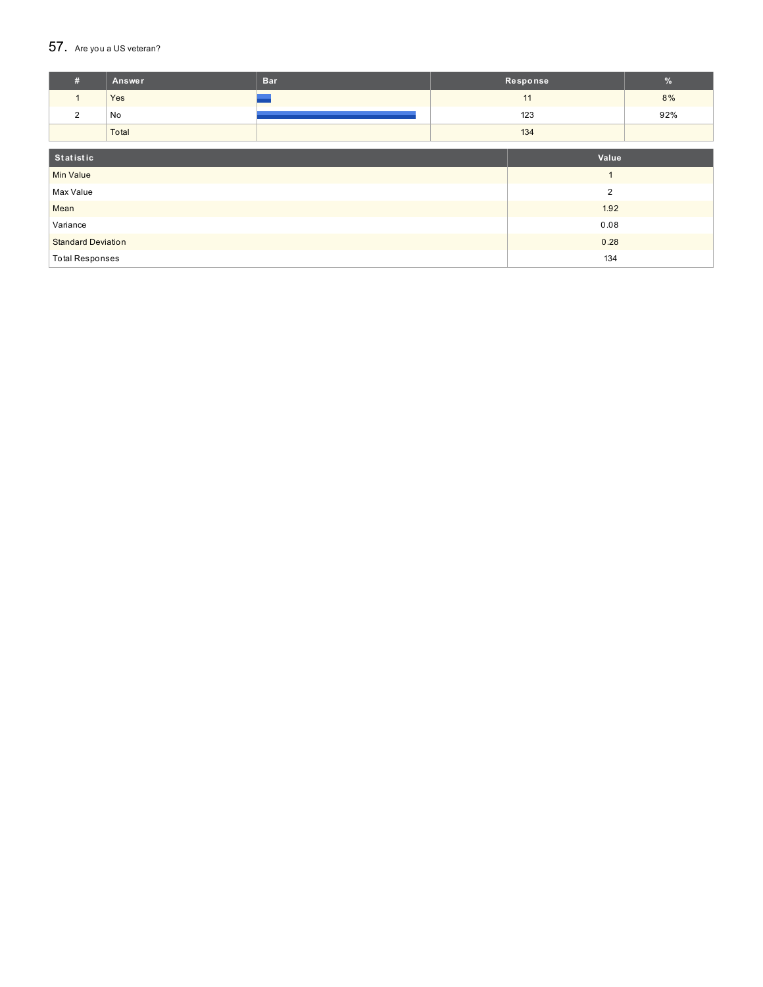#### $57.$  Are you a US veteran?

| #                         | Answer | <b>Bar</b> |       | Response | $\frac{9}{6}$ |
|---------------------------|--------|------------|-------|----------|---------------|
| $\mathbf{1}$              | Yes    |            |       | 11       | 8%            |
| 2                         | No     |            |       | 123      | 92%           |
|                           | Total  |            | 134   |          |               |
|                           |        |            |       |          |               |
| Statistic                 |        |            | Value |          |               |
| <b>Min Value</b>          |        |            |       |          |               |
| Max Value                 |        |            |       | 2        |               |
| Mean                      |        |            |       | 1.92     |               |
| Variance                  |        |            |       | 0.08     |               |
| <b>Standard Deviation</b> |        |            |       | 0.28     |               |
| <b>Total Responses</b>    |        |            |       | 134      |               |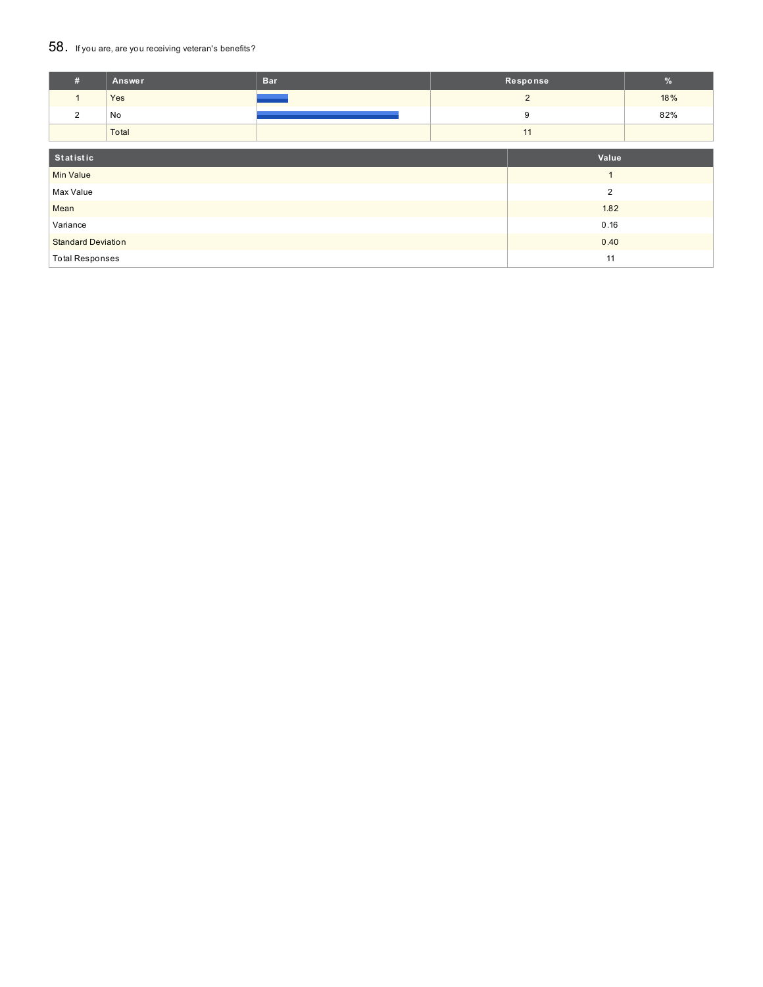### 58. If you are, are you receiving veteran's benefits?

| #                         | Answer | <b>Bar</b> |                | Response       | $\%$ |
|---------------------------|--------|------------|----------------|----------------|------|
|                           | Yes    |            |                | $\overline{2}$ | 18%  |
| 2                         | No     |            |                | 9              | 82%  |
|                           | Total  |            |                | 11             |      |
| Statistic                 |        |            |                | Value          |      |
| <b>Min Value</b>          |        |            | $\overline{A}$ |                |      |
| Max Value                 |        |            | $\overline{2}$ |                |      |
| Mean                      |        |            | 1.82           |                |      |
| Variance                  |        |            | 0.16           |                |      |
| <b>Standard Deviation</b> |        |            | 0.40           |                |      |
| <b>Total Responses</b>    |        |            | 11             |                |      |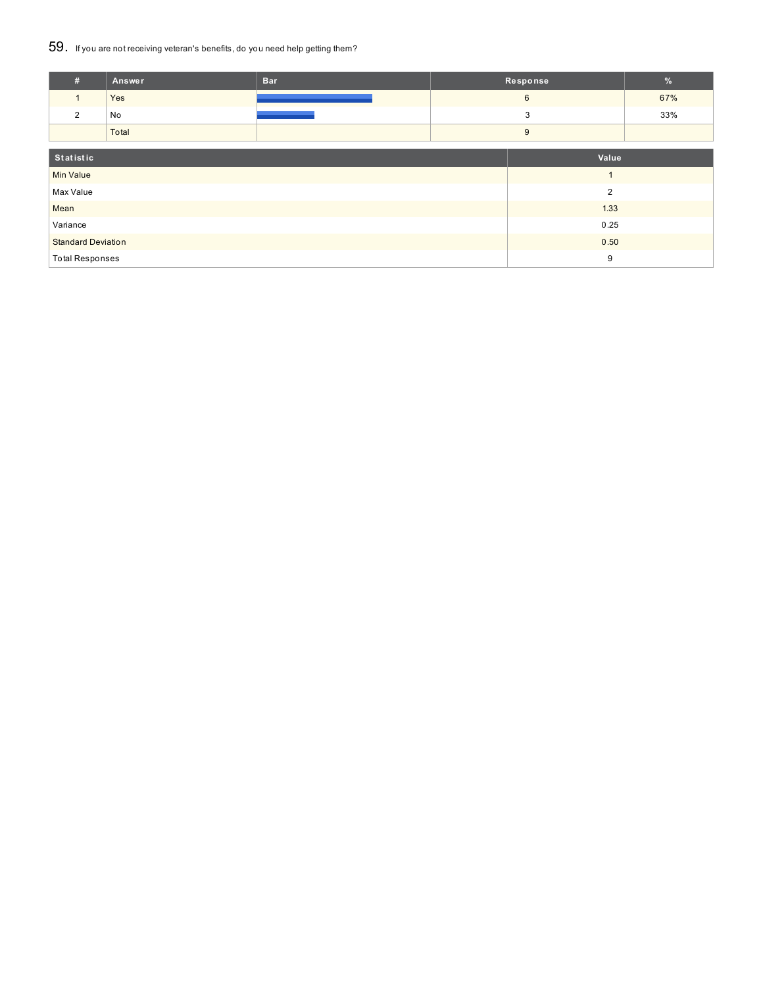### 59. If you are not receiving veteran's benefits, do you need help getting them?

| #                         | <b>Answer</b> | <b>Bar</b> |      | Response       | $\frac{9}{6}$ |  |
|---------------------------|---------------|------------|------|----------------|---------------|--|
| $\mathbf{1}$              | Yes           |            |      | $6\phantom{1}$ | 67%           |  |
| 2                         | No            |            |      | 3              | 33%           |  |
|                           | Total         |            |      | 9              |               |  |
|                           |               |            |      |                |               |  |
| Statistic                 |               |            |      | Value          |               |  |
| <b>Min Value</b>          |               |            |      |                |               |  |
| Max Value                 |               |            | 2    |                |               |  |
| Mean                      |               |            | 1.33 |                |               |  |
| Variance                  |               |            |      | 0.25           |               |  |
| <b>Standard Deviation</b> |               |            | 0.50 |                |               |  |
| <b>Total Responses</b>    |               |            |      | 9              |               |  |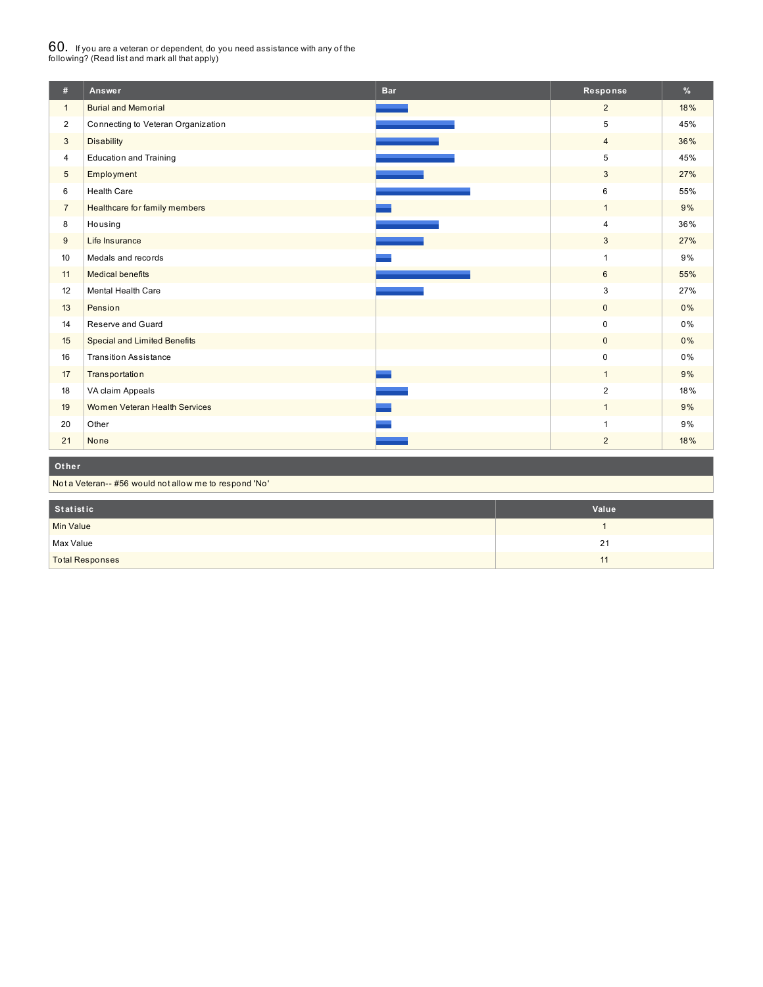## $60_\cdot$  If you are a veteran or dependent, do you need assistance with any of the<br>following? (Read list and mark all that apply)

| #              | Answer                                                 | <b>Bar</b> | Response       | %   |  |
|----------------|--------------------------------------------------------|------------|----------------|-----|--|
| $\mathbf{1}$   | <b>Burial and Memorial</b>                             |            | $\overline{2}$ | 18% |  |
| $\overline{2}$ | Connecting to Veteran Organization                     |            | 5              | 45% |  |
| 3              | <b>Disability</b>                                      |            | $\overline{4}$ | 36% |  |
| $\overline{4}$ | <b>Education and Training</b>                          |            | 5              | 45% |  |
| 5              | Employment                                             |            | 3              | 27% |  |
| 6              | <b>Health Care</b>                                     |            | 6              | 55% |  |
| $\overline{7}$ | Healthcare for family members                          |            | $\mathbf{1}$   | 9%  |  |
| 8              | Housing                                                |            | 4              | 36% |  |
| 9              | Life Insurance                                         |            | 3              | 27% |  |
| 10             | Medals and records                                     |            | 1              | 9%  |  |
| 11             | <b>Medical benefits</b>                                |            | 6              | 55% |  |
| 12             | Mental Health Care                                     |            | 3              | 27% |  |
| 13             | Pension                                                |            | $\mathbf 0$    | 0%  |  |
| 14             | Reserve and Guard                                      |            | $\pmb{0}$      | 0%  |  |
| 15             | <b>Special and Limited Benefits</b>                    |            | $\mathbf 0$    | 0%  |  |
| 16             | <b>Transition Assistance</b>                           |            | $\mathbf 0$    | 0%  |  |
| 17             | Transportation                                         |            | $\mathbf{1}$   | 9%  |  |
| 18             | VA claim Appeals                                       |            | $\overline{2}$ | 18% |  |
| 19             | Women Veteran Health Services                          |            | $\mathbf{1}$   | 9%  |  |
| 20             | Other                                                  |            |                | 9%  |  |
| 21             | None                                                   |            | $\overline{2}$ | 18% |  |
|                |                                                        |            |                |     |  |
|                |                                                        |            |                |     |  |
| Other          | Not a Veteran-- #56 would not allow me to respond 'No' |            |                |     |  |

| Statistic              | Value |
|------------------------|-------|
| <b>Min Value</b>       |       |
| Max Value              | 21    |
| <b>Total Responses</b> | 11    |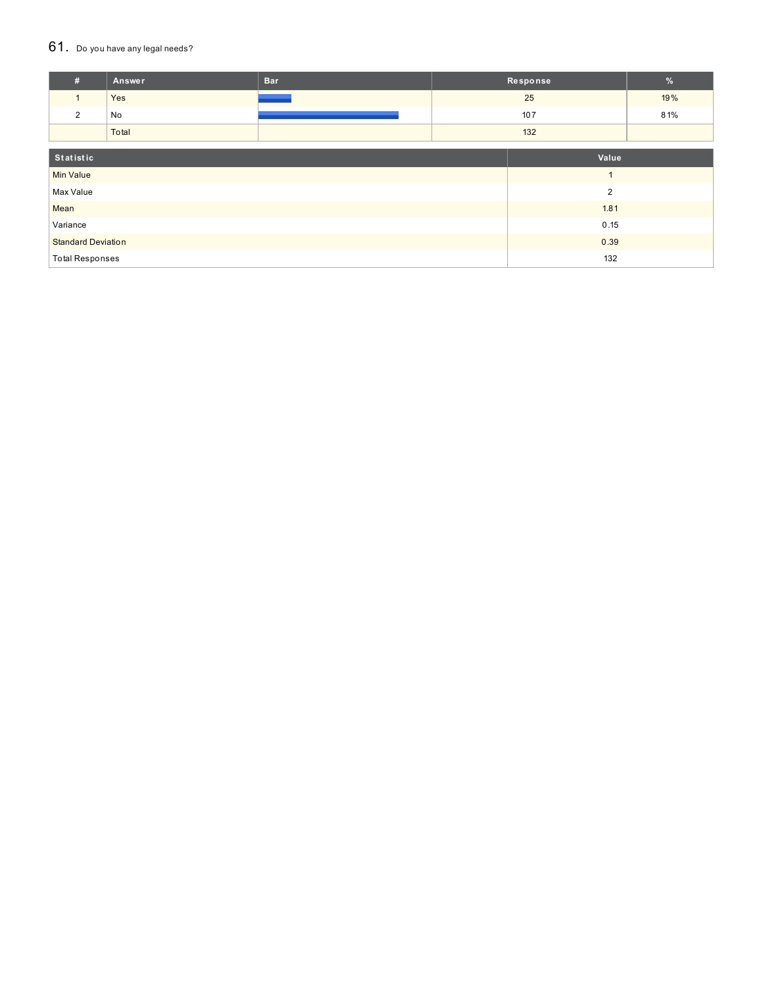#### $61.$  Do you have any legal needs?

| #                         | Answer | <b>Bar</b> |      | Response       | $\%$ |
|---------------------------|--------|------------|------|----------------|------|
| $\mathbf{1}$              | Yes    |            |      | 25             | 19%  |
| $\overline{2}$            | No     |            |      | 107            | 81%  |
|                           | Total  |            |      | 132            |      |
|                           |        |            |      |                |      |
| Statistic                 |        | Value      |      |                |      |
| <b>Min Value</b>          |        |            |      |                |      |
| Max Value                 |        |            |      | $\overline{2}$ |      |
| Mean                      |        |            | 1.81 |                |      |
| Variance                  |        |            | 0.15 |                |      |
| <b>Standard Deviation</b> |        |            | 0.39 |                |      |
| <b>Total Responses</b>    |        |            | 132  |                |      |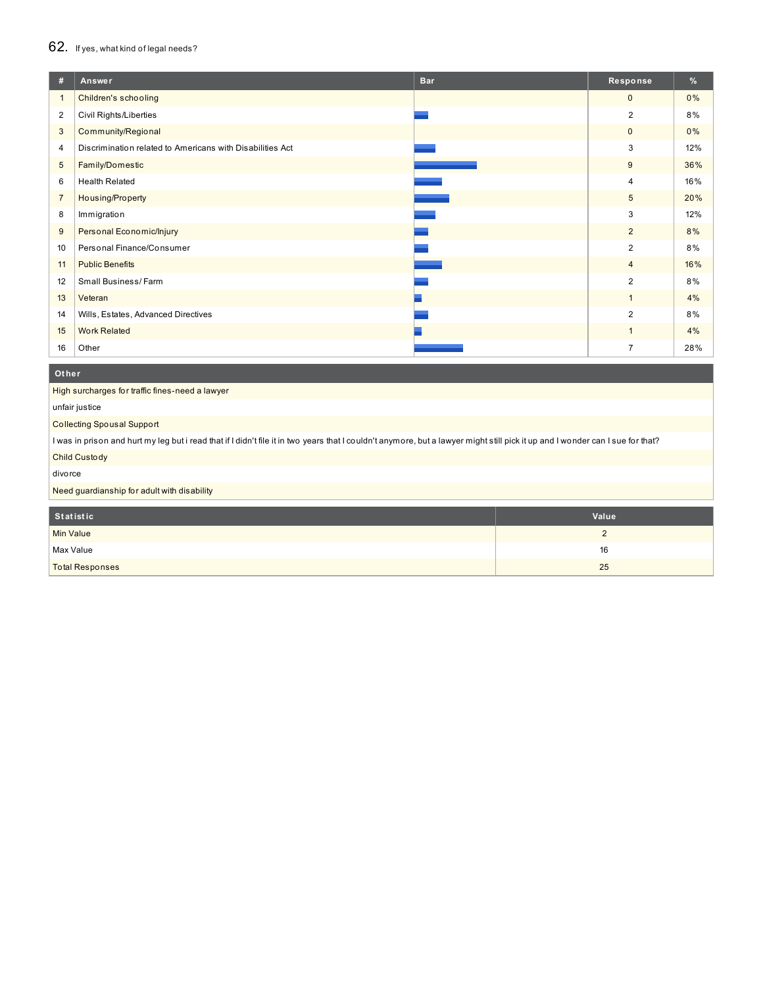## 62. If yes, what kind of legal needs?

| #              | <b>Bar</b><br>Answer                                      | Response        | %     |
|----------------|-----------------------------------------------------------|-----------------|-------|
| $\mathbf{1}$   | Children's schooling                                      | $\mathbf{0}$    | 0%    |
| 2              | Civil Rights/Liberties                                    | $\overline{2}$  | 8%    |
| 3              | Community/Regional                                        | $\mathbf{0}$    | $0\%$ |
| 4              | Discrimination related to Americans with Disabilities Act | 3               | 12%   |
| 5              | Family/Domestic                                           | 9               | 36%   |
| 6              | <b>Health Related</b>                                     | $\overline{4}$  | 16%   |
| $\overline{7}$ | Housing/Property                                          | $5\phantom{.0}$ | 20%   |
| 8              | Immigration                                               | 3               | 12%   |
| 9              | Personal Economic/Injury                                  | $\overline{2}$  | 8%    |
| 10             | Personal Finance/Consumer                                 | $\overline{2}$  | 8%    |
| 11             | <b>Public Benefits</b>                                    | $\overline{4}$  | 16%   |
| 12             | Small Business/Farm                                       | $\overline{2}$  | 8%    |
| 13             | Veteran                                                   | $\overline{1}$  | 4%    |
| 14             | Wills, Estates, Advanced Directives                       | $\overline{2}$  | 8%    |
| 15             | <b>Work Related</b>                                       | $\mathbf{1}$    | 4%    |
| 16             | Other                                                     | $\overline{7}$  | 28%   |

#### **Ot her**

High surcharges for traffic fines-need a lawyer

unfair justice

Collecting Spousal Support

I was in prison and hurt my leg but i read that if I didn't file it in two years that I couldn't anymore, but a lawyer might still pick it up and I wonder can I sue for that? Child Custody

divorce

Need guardianship for adult with disability

| Statistic              | Value |
|------------------------|-------|
| Min Value              | ∼     |
| Max Value              | 16    |
| <b>Total Responses</b> | 25    |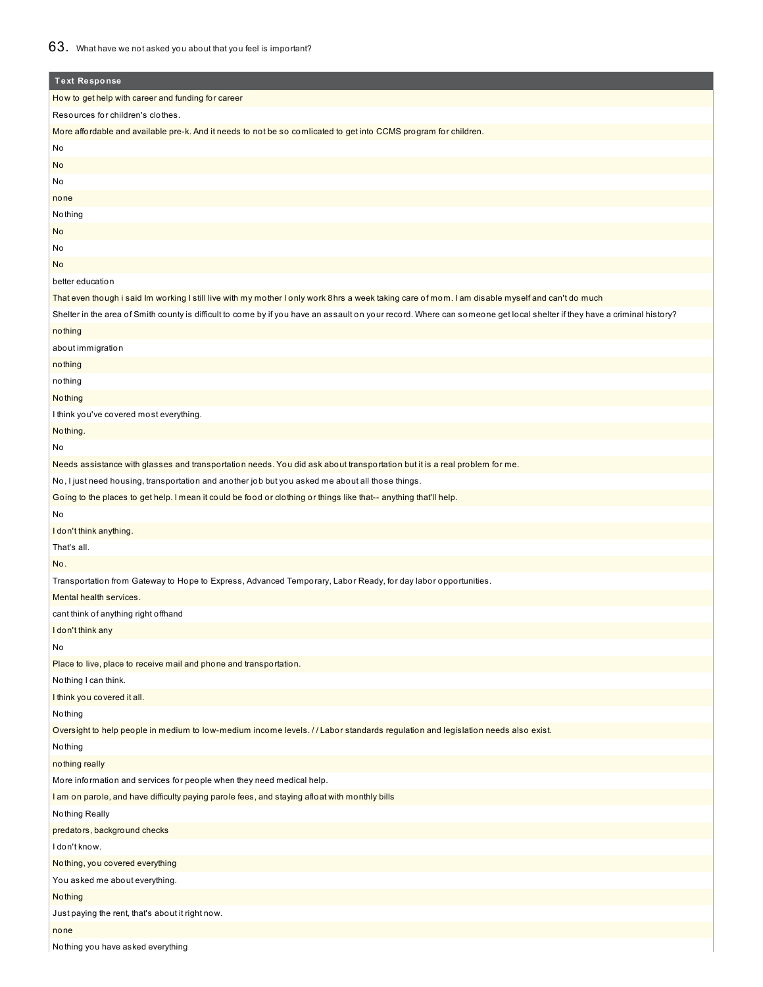## How to get help with career and funding for career Resources for children's clothes. More affordable and available pre-k. And it needs to not be so comlicated to get into CCMS program for children. No No No none **Nothing** No No No better education That even though i said Im working I still live with my mother I only work 8hrs a week taking care of mom. I am disable myself and can't do much Shelter in the area of Smith county is difficult to come by if you have an assault on your record. Where can someone get local shelter if they have a criminal history? nothing about immigration nothing nothing Nothing I think you've covered most everything. Nothing. No Needs assistance with glasses and transportation needs. You did ask about transportation but it is a real problem for me. No, I just need housing, transportation and another job but you asked me about all those things. Going to the places to get help. I mean it could be food or clothing or things like that-- anything that'll help. No I don't think anything. That's all. No. Transportation from Gateway to Hope to Express, Advanced Temporary, Labor Ready, for day labor opportunities. Mental health services. cant think of anything right offhand I don't think any No Place to live, place to receive mail and phone and transportation. Nothing I can think. I think you covered it all. Nothing Oversight to help people in medium to low-medium income levels. / / Labor standards regulation and legislation needs also exist. Nothing nothing really More information and services for people when they need medical help. I am on parole, and have difficulty paying parole fees, and staying afloat with monthly bills Nothing Really predators, background checks I don't know. Nothing, you covered everything **Text Response**

You asked me about everything.

### Nothing

Just paying the rent, that's about it right now. none

Nothing you have asked everything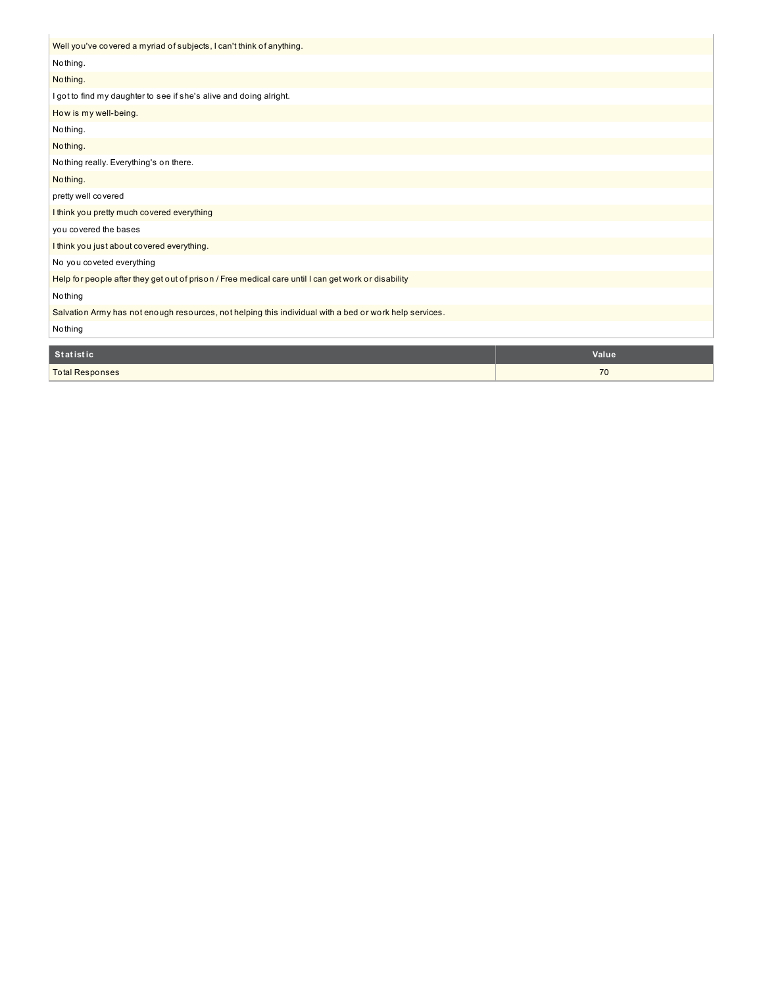| Well you've covered a myriad of subjects, I can't think of anything.                                   |       |  |  |  |
|--------------------------------------------------------------------------------------------------------|-------|--|--|--|
| Nothing.                                                                                               |       |  |  |  |
| Nothing.                                                                                               |       |  |  |  |
| I got to find my daughter to see if she's alive and doing alright.                                     |       |  |  |  |
| How is my well-being.                                                                                  |       |  |  |  |
| Nothing.                                                                                               |       |  |  |  |
| Nothing.                                                                                               |       |  |  |  |
| Nothing really. Everything's on there.                                                                 |       |  |  |  |
| Nothing.                                                                                               |       |  |  |  |
| pretty well covered                                                                                    |       |  |  |  |
| I think you pretty much covered everything                                                             |       |  |  |  |
| you covered the bases                                                                                  |       |  |  |  |
| I think you just about covered everything.                                                             |       |  |  |  |
| No you coveted everything                                                                              |       |  |  |  |
| Help for people after they get out of prison / Free medical care until I can get work or disability    |       |  |  |  |
| Nothing                                                                                                |       |  |  |  |
| Salvation Army has not enough resources, not helping this individual with a bed or work help services. |       |  |  |  |
| Nothing                                                                                                |       |  |  |  |
| <b>Statistic</b>                                                                                       | Value |  |  |  |
| <b>Total Responses</b>                                                                                 | 70    |  |  |  |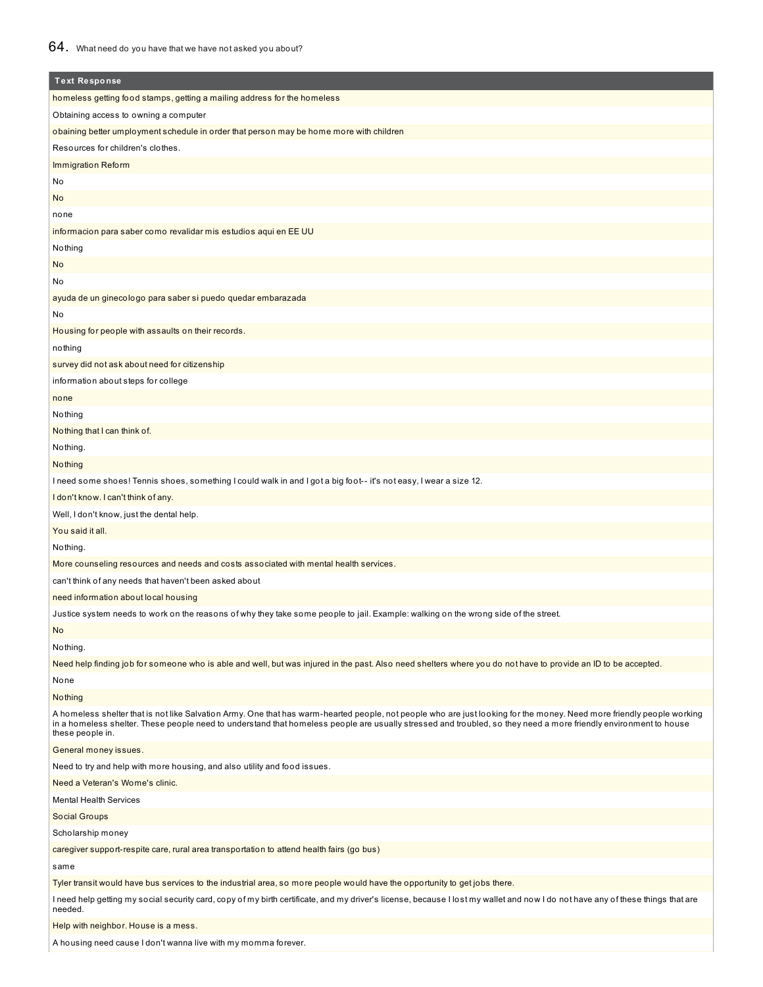## 64. What need do you have that we have not asked you about?

I

| <b>Text Response</b>                                                                                                                                                                                                                                                                                                                                           |  |  |
|----------------------------------------------------------------------------------------------------------------------------------------------------------------------------------------------------------------------------------------------------------------------------------------------------------------------------------------------------------------|--|--|
| homeless getting food stamps, getting a mailing address for the homeless                                                                                                                                                                                                                                                                                       |  |  |
| Obtaining access to owning a computer                                                                                                                                                                                                                                                                                                                          |  |  |
| obaining better umployment schedule in order that person may be home more with children                                                                                                                                                                                                                                                                        |  |  |
| Resources for children's clothes.                                                                                                                                                                                                                                                                                                                              |  |  |
| Immigration Reform                                                                                                                                                                                                                                                                                                                                             |  |  |
| No                                                                                                                                                                                                                                                                                                                                                             |  |  |
| No                                                                                                                                                                                                                                                                                                                                                             |  |  |
| none                                                                                                                                                                                                                                                                                                                                                           |  |  |
|                                                                                                                                                                                                                                                                                                                                                                |  |  |
| informacion para saber como revalidar mis estudios aqui en EE UU<br>Nothing                                                                                                                                                                                                                                                                                    |  |  |
|                                                                                                                                                                                                                                                                                                                                                                |  |  |
| No                                                                                                                                                                                                                                                                                                                                                             |  |  |
| No                                                                                                                                                                                                                                                                                                                                                             |  |  |
| ayuda de un ginecologo para saber si puedo quedar embarazada                                                                                                                                                                                                                                                                                                   |  |  |
| No                                                                                                                                                                                                                                                                                                                                                             |  |  |
| Housing for people with assaults on their records.                                                                                                                                                                                                                                                                                                             |  |  |
| nothing                                                                                                                                                                                                                                                                                                                                                        |  |  |
| survey did not ask about need for citizenship                                                                                                                                                                                                                                                                                                                  |  |  |
| information about steps for college                                                                                                                                                                                                                                                                                                                            |  |  |
| none                                                                                                                                                                                                                                                                                                                                                           |  |  |
| Nothing                                                                                                                                                                                                                                                                                                                                                        |  |  |
| Nothing that I can think of.                                                                                                                                                                                                                                                                                                                                   |  |  |
| Nothing.                                                                                                                                                                                                                                                                                                                                                       |  |  |
| <b>Nothing</b>                                                                                                                                                                                                                                                                                                                                                 |  |  |
| l need some shoes! Tennis shoes, something I could walk in and I got a big foot-- it's not easy, I wear a size 12.                                                                                                                                                                                                                                             |  |  |
| I don't know. I can't think of any.                                                                                                                                                                                                                                                                                                                            |  |  |
| Well, I don't know, just the dental help.                                                                                                                                                                                                                                                                                                                      |  |  |
| You said it all.                                                                                                                                                                                                                                                                                                                                               |  |  |
| Nothing.                                                                                                                                                                                                                                                                                                                                                       |  |  |
| More counseling resources and needs and costs associated with mental health services.                                                                                                                                                                                                                                                                          |  |  |
| can't think of any needs that haven't been asked about                                                                                                                                                                                                                                                                                                         |  |  |
| need information about local housing                                                                                                                                                                                                                                                                                                                           |  |  |
| Justice system needs to work on the reasons of why they take some people to jail. Example: walking on the wrong side of the street.                                                                                                                                                                                                                            |  |  |
| No                                                                                                                                                                                                                                                                                                                                                             |  |  |
| Nothing.                                                                                                                                                                                                                                                                                                                                                       |  |  |
| Need help finding job for someone who is able and well, but was injured in the past. Also need shelters where you do not have to provide an ID to be accepted.                                                                                                                                                                                                 |  |  |
| None                                                                                                                                                                                                                                                                                                                                                           |  |  |
| Nothing                                                                                                                                                                                                                                                                                                                                                        |  |  |
| A homeless shelter that is not like Salvation Army. One that has warm-hearted people, not people who are just looking for the money. Need more friendly people working<br>in a homeless shelter. These people need to understand that homeless people are usually stressed and troubled, so they need a more friendly environment to house<br>these people in. |  |  |
| General money issues.                                                                                                                                                                                                                                                                                                                                          |  |  |
| Need to try and help with more housing, and also utility and food issues.                                                                                                                                                                                                                                                                                      |  |  |
| Need a Veteran's Wome's clinic.                                                                                                                                                                                                                                                                                                                                |  |  |
| <b>Mental Health Services</b>                                                                                                                                                                                                                                                                                                                                  |  |  |
| Social Groups                                                                                                                                                                                                                                                                                                                                                  |  |  |
|                                                                                                                                                                                                                                                                                                                                                                |  |  |
| Scholarship money                                                                                                                                                                                                                                                                                                                                              |  |  |
| caregiver support-respite care, rural area transportation to attend health fairs (go bus)                                                                                                                                                                                                                                                                      |  |  |
| same                                                                                                                                                                                                                                                                                                                                                           |  |  |
| Tyler transit would have bus services to the industrial area, so more people would have the opportunity to get jobs there.                                                                                                                                                                                                                                     |  |  |
| needed.                                                                                                                                                                                                                                                                                                                                                        |  |  |
| l need help getting my social security card, copy of my birth certificate, and my driver's license, because I lost my wallet and now I do not have any of these things that are<br>Help with neighbor. House is a mess.                                                                                                                                        |  |  |

A housing need cause I don't wanna live with my momma forever.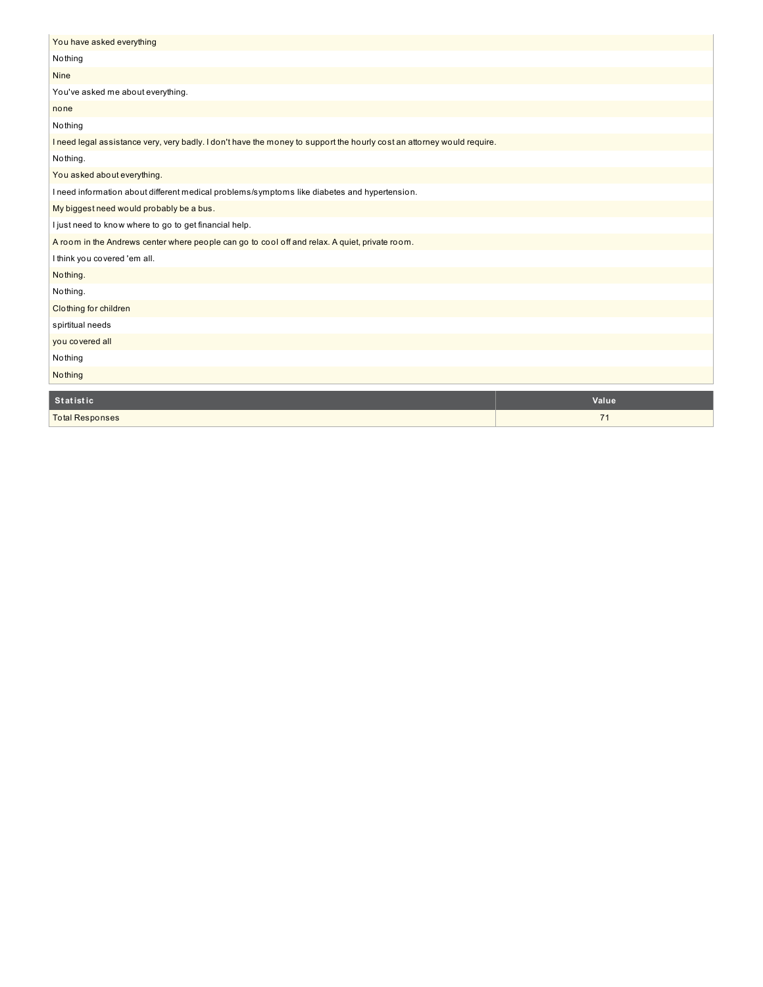| You have asked everything                                                                                              |       |
|------------------------------------------------------------------------------------------------------------------------|-------|
| Nothing                                                                                                                |       |
| <b>Nine</b>                                                                                                            |       |
| You've asked me about everything.                                                                                      |       |
| none                                                                                                                   |       |
| Nothing                                                                                                                |       |
| I need legal assistance very, very badly. I don't have the money to support the hourly cost an attorney would require. |       |
| Nothing.                                                                                                               |       |
| You asked about everything.                                                                                            |       |
| I need information about different medical problems/symptoms like diabetes and hypertension.                           |       |
| My biggest need would probably be a bus.                                                                               |       |
| I just need to know where to go to get financial help.                                                                 |       |
| A room in the Andrews center where people can go to cool off and relax. A quiet, private room.                         |       |
| I think you covered 'em all.                                                                                           |       |
| Nothing.                                                                                                               |       |
| Nothing.                                                                                                               |       |
| Clothing for children                                                                                                  |       |
| spirtitual needs                                                                                                       |       |
| you covered all                                                                                                        |       |
| Nothing                                                                                                                |       |
| Nothing                                                                                                                |       |
| <b>Statistic</b>                                                                                                       | Value |
|                                                                                                                        |       |
| <b>Total Responses</b>                                                                                                 | 71    |